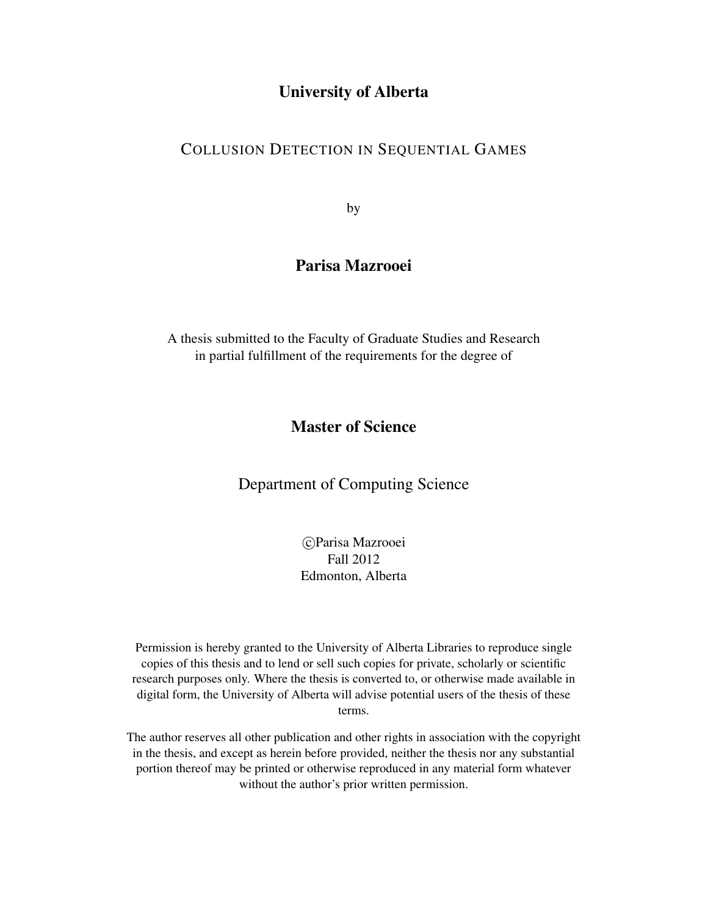#### University of Alberta

#### COLLUSION DETECTION IN SEQUENTIAL GAMES

by

#### Parisa Mazrooei

A thesis submitted to the Faculty of Graduate Studies and Research in partial fulfillment of the requirements for the degree of

#### Master of Science

Department of Computing Science

 c Parisa Mazrooei Fall 2012 Edmonton, Alberta

Permission is hereby granted to the University of Alberta Libraries to reproduce single copies of this thesis and to lend or sell such copies for private, scholarly or scientific research purposes only. Where the thesis is converted to, or otherwise made available in digital form, the University of Alberta will advise potential users of the thesis of these terms.

The author reserves all other publication and other rights in association with the copyright in the thesis, and except as herein before provided, neither the thesis nor any substantial portion thereof may be printed or otherwise reproduced in any material form whatever without the author's prior written permission.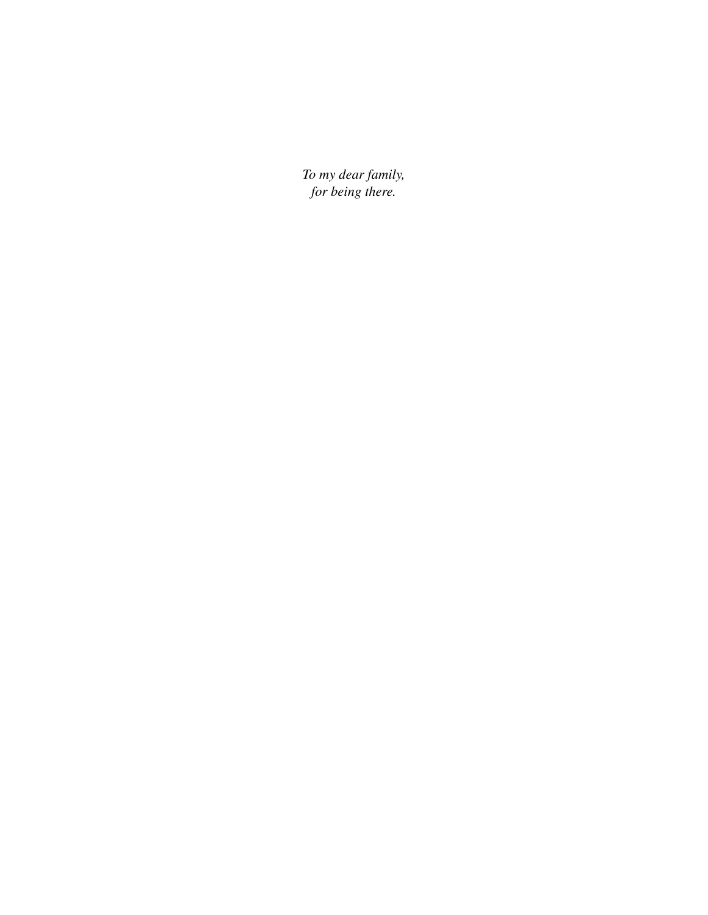*To my dear family, for being there.*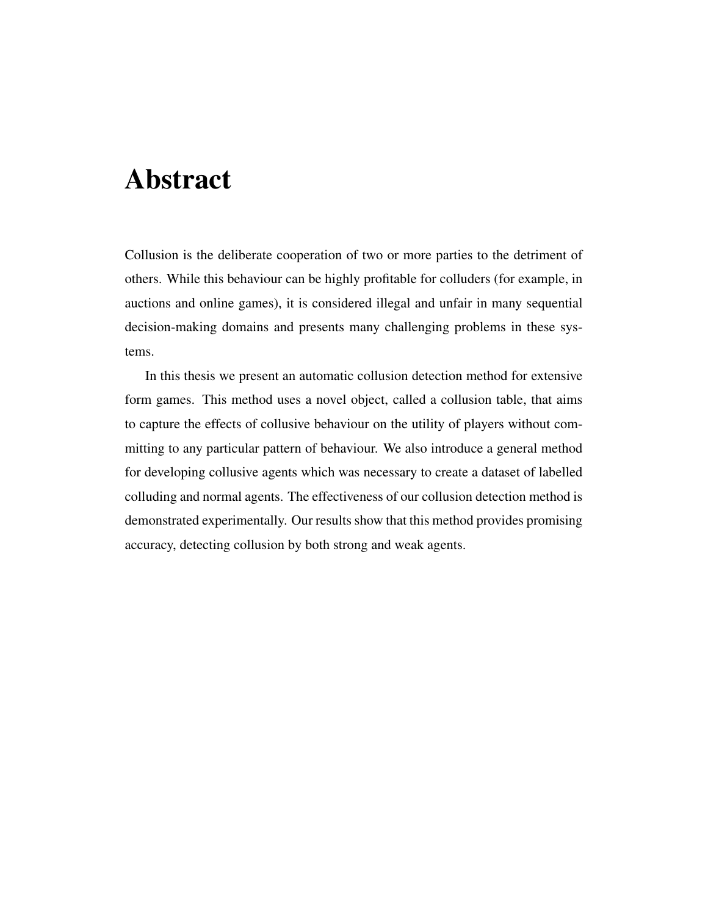# Abstract

Collusion is the deliberate cooperation of two or more parties to the detriment of others. While this behaviour can be highly profitable for colluders (for example, in auctions and online games), it is considered illegal and unfair in many sequential decision-making domains and presents many challenging problems in these systems.

In this thesis we present an automatic collusion detection method for extensive form games. This method uses a novel object, called a collusion table, that aims to capture the effects of collusive behaviour on the utility of players without committing to any particular pattern of behaviour. We also introduce a general method for developing collusive agents which was necessary to create a dataset of labelled colluding and normal agents. The effectiveness of our collusion detection method is demonstrated experimentally. Our results show that this method provides promising accuracy, detecting collusion by both strong and weak agents.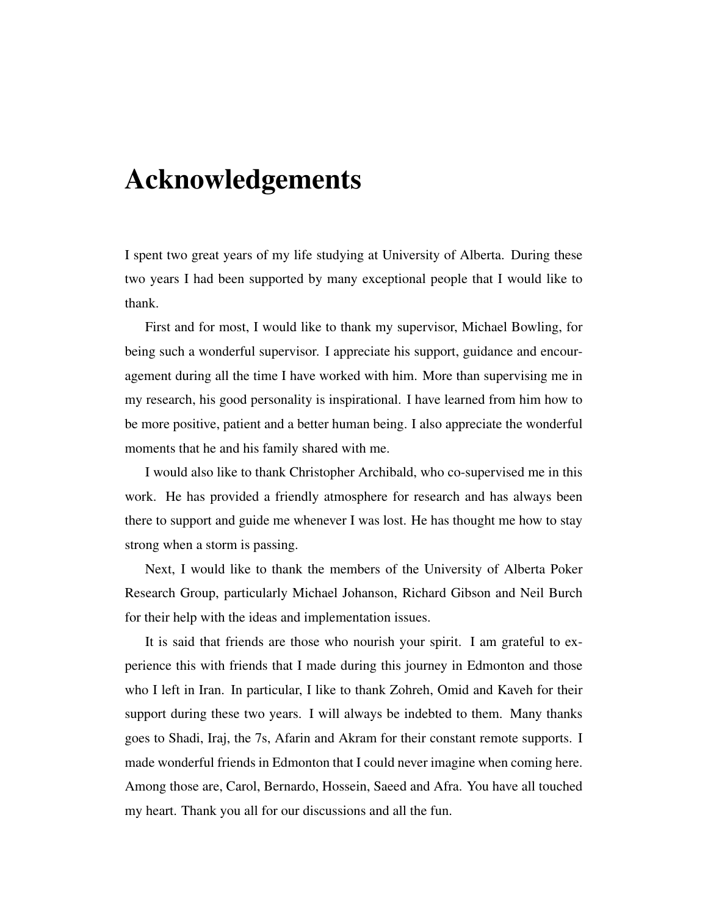# Acknowledgements

I spent two great years of my life studying at University of Alberta. During these two years I had been supported by many exceptional people that I would like to thank.

First and for most, I would like to thank my supervisor, Michael Bowling, for being such a wonderful supervisor. I appreciate his support, guidance and encouragement during all the time I have worked with him. More than supervising me in my research, his good personality is inspirational. I have learned from him how to be more positive, patient and a better human being. I also appreciate the wonderful moments that he and his family shared with me.

I would also like to thank Christopher Archibald, who co-supervised me in this work. He has provided a friendly atmosphere for research and has always been there to support and guide me whenever I was lost. He has thought me how to stay strong when a storm is passing.

Next, I would like to thank the members of the University of Alberta Poker Research Group, particularly Michael Johanson, Richard Gibson and Neil Burch for their help with the ideas and implementation issues.

It is said that friends are those who nourish your spirit. I am grateful to experience this with friends that I made during this journey in Edmonton and those who I left in Iran. In particular, I like to thank Zohreh, Omid and Kaveh for their support during these two years. I will always be indebted to them. Many thanks goes to Shadi, Iraj, the 7s, Afarin and Akram for their constant remote supports. I made wonderful friends in Edmonton that I could never imagine when coming here. Among those are, Carol, Bernardo, Hossein, Saeed and Afra. You have all touched my heart. Thank you all for our discussions and all the fun.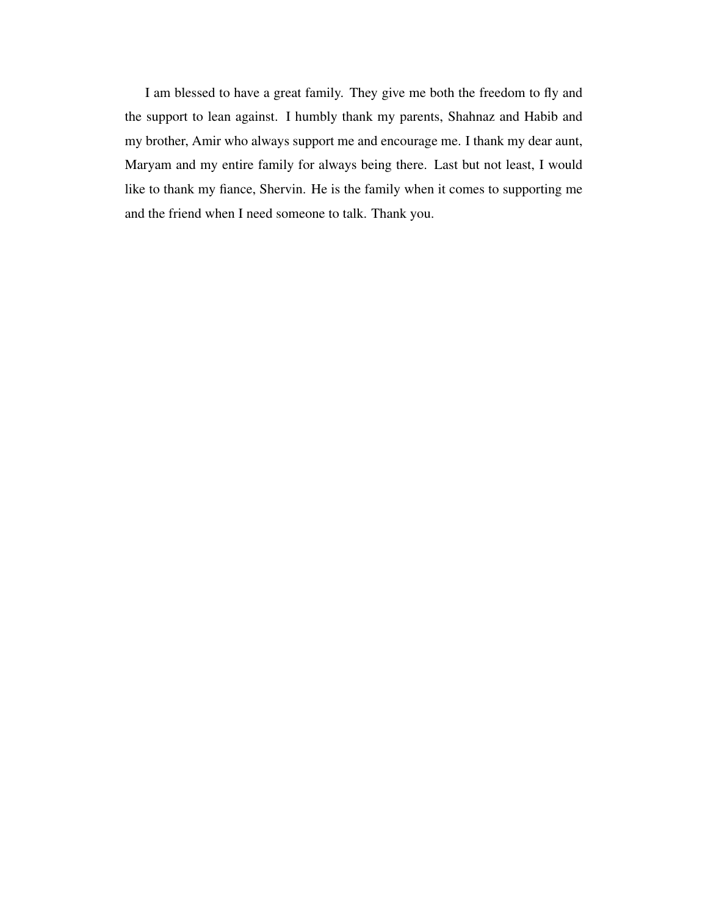I am blessed to have a great family. They give me both the freedom to fly and the support to lean against. I humbly thank my parents, Shahnaz and Habib and my brother, Amir who always support me and encourage me. I thank my dear aunt, Maryam and my entire family for always being there. Last but not least, I would like to thank my fiance, Shervin. He is the family when it comes to supporting me and the friend when I need someone to talk. Thank you.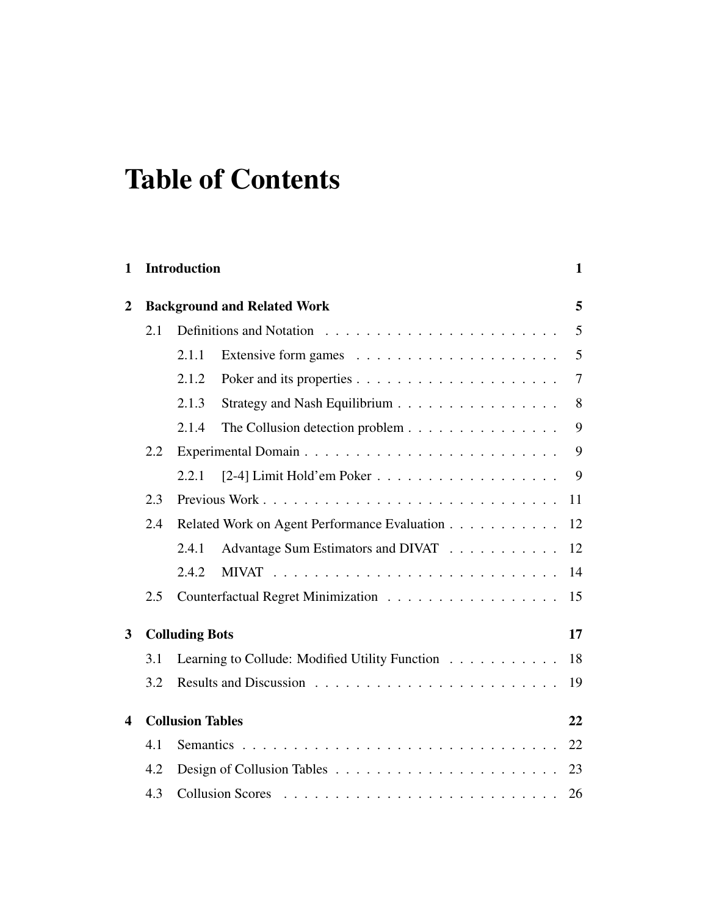# Table of Contents

| $\mathbf{1}$               |     | <b>Introduction</b>                |                                                | $\mathbf 1$ |  |  |
|----------------------------|-----|------------------------------------|------------------------------------------------|-------------|--|--|
| $\mathbf{2}$               |     | <b>Background and Related Work</b> |                                                |             |  |  |
|                            | 2.1 |                                    |                                                | 5           |  |  |
|                            |     | 2.1.1                              |                                                | 5           |  |  |
|                            |     | 2.1.2                              |                                                | 7           |  |  |
|                            |     | 2.1.3                              | Strategy and Nash Equilibrium                  | 8           |  |  |
|                            |     | 2.1.4                              | The Collusion detection problem                | 9           |  |  |
|                            | 2.2 |                                    |                                                | 9           |  |  |
|                            |     | 2.2.1                              |                                                | 9           |  |  |
|                            | 2.3 |                                    |                                                | 11          |  |  |
|                            | 2.4 |                                    | Related Work on Agent Performance Evaluation   | 12          |  |  |
|                            |     | 2.4.1                              | Advantage Sum Estimators and DIVAT             | 12          |  |  |
|                            |     | 2.4.2                              |                                                | 14          |  |  |
|                            | 2.5 |                                    | Counterfactual Regret Minimization             | 15          |  |  |
|                            |     |                                    |                                                | 17          |  |  |
| <b>Colluding Bots</b><br>3 |     |                                    |                                                |             |  |  |
|                            | 3.1 |                                    | Learning to Collude: Modified Utility Function | 18          |  |  |
|                            | 3.2 |                                    |                                                | 19          |  |  |
| 4                          |     | <b>Collusion Tables</b>            |                                                | 22          |  |  |
|                            |     |                                    |                                                |             |  |  |
|                            | 4.1 |                                    |                                                | 22          |  |  |
|                            | 4.2 |                                    |                                                | 23          |  |  |
|                            | 4.3 |                                    |                                                | 26          |  |  |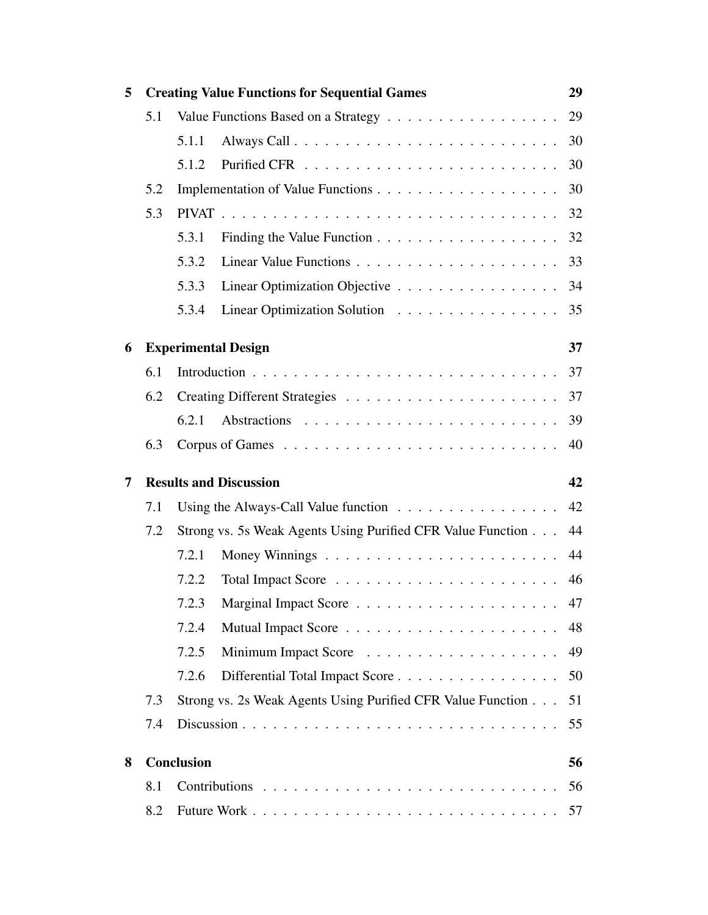| 5 |     | <b>Creating Value Functions for Sequential Games</b><br>29                      |    |  |  |  |
|---|-----|---------------------------------------------------------------------------------|----|--|--|--|
|   | 5.1 |                                                                                 | 29 |  |  |  |
|   |     | 5.1.1                                                                           | 30 |  |  |  |
|   |     | 5.1.2                                                                           | 30 |  |  |  |
|   | 5.2 |                                                                                 | 30 |  |  |  |
|   | 5.3 |                                                                                 | 32 |  |  |  |
|   |     | Finding the Value Function $\ldots \ldots \ldots \ldots \ldots \ldots$<br>5.3.1 | 32 |  |  |  |
|   |     | 5.3.2                                                                           | 33 |  |  |  |
|   |     | 5.3.3<br>Linear Optimization Objective                                          | 34 |  |  |  |
|   |     | Linear Optimization Solution<br>5.3.4                                           | 35 |  |  |  |
| 6 |     | <b>Experimental Design</b>                                                      | 37 |  |  |  |
|   | 6.1 |                                                                                 | 37 |  |  |  |
|   | 6.2 |                                                                                 | 37 |  |  |  |
|   |     | 6.2.1                                                                           | 39 |  |  |  |
|   | 6.3 |                                                                                 | 40 |  |  |  |
| 7 |     | <b>Results and Discussion</b>                                                   | 42 |  |  |  |
|   | 7.1 | Using the Always-Call Value function $\dots \dots \dots \dots \dots \dots$      | 42 |  |  |  |
|   | 7.2 | Strong vs. 5s Weak Agents Using Purified CFR Value Function                     | 44 |  |  |  |
|   |     | Money Winnings $\dots \dots \dots \dots \dots \dots \dots \dots$<br>7.2.1       | 44 |  |  |  |
|   |     | 7.2.2                                                                           | 46 |  |  |  |
|   |     |                                                                                 | 47 |  |  |  |
|   |     | 7.2.4                                                                           | 48 |  |  |  |
|   |     | 7.2.5                                                                           | 49 |  |  |  |
|   |     | 7.2.6<br>Differential Total Impact Score                                        | 50 |  |  |  |
|   | 7.3 | Strong vs. 2s Weak Agents Using Purified CFR Value Function 51                  |    |  |  |  |
|   | 7.4 |                                                                                 | 55 |  |  |  |
| 8 |     | <b>Conclusion</b>                                                               | 56 |  |  |  |
|   | 8.1 |                                                                                 | 56 |  |  |  |
|   | 8.2 |                                                                                 | 57 |  |  |  |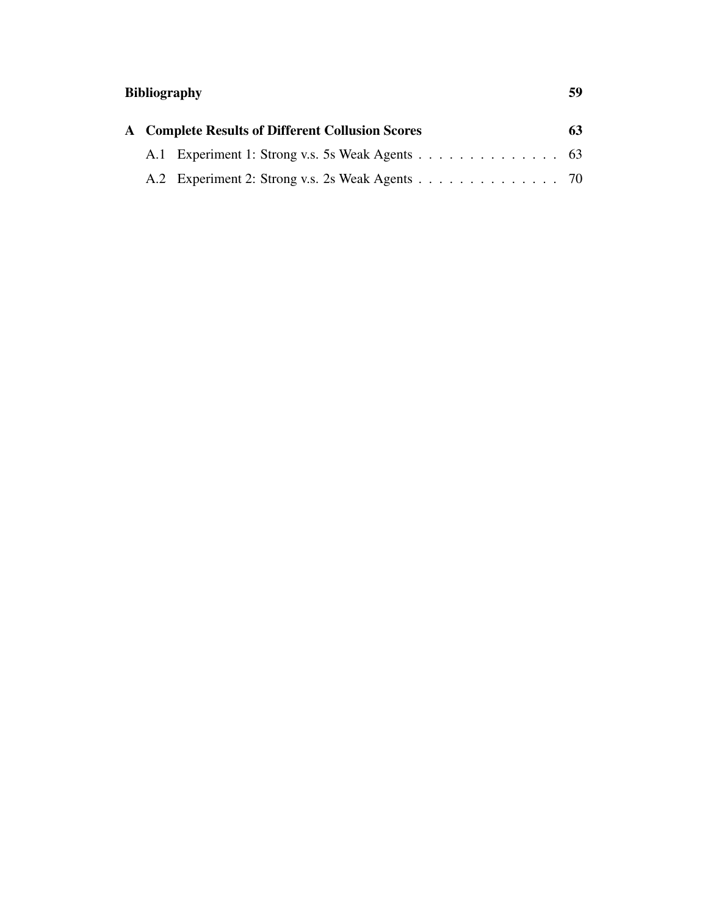# Bibliography 59

|  | <b>A</b> Complete Results of Different Collusion Scores | 63 |
|--|---------------------------------------------------------|----|
|  | A.1 Experiment 1: Strong v.s. 5s Weak Agents 63         |    |
|  | A.2 Experiment 2: Strong v.s. 2s Weak Agents 70         |    |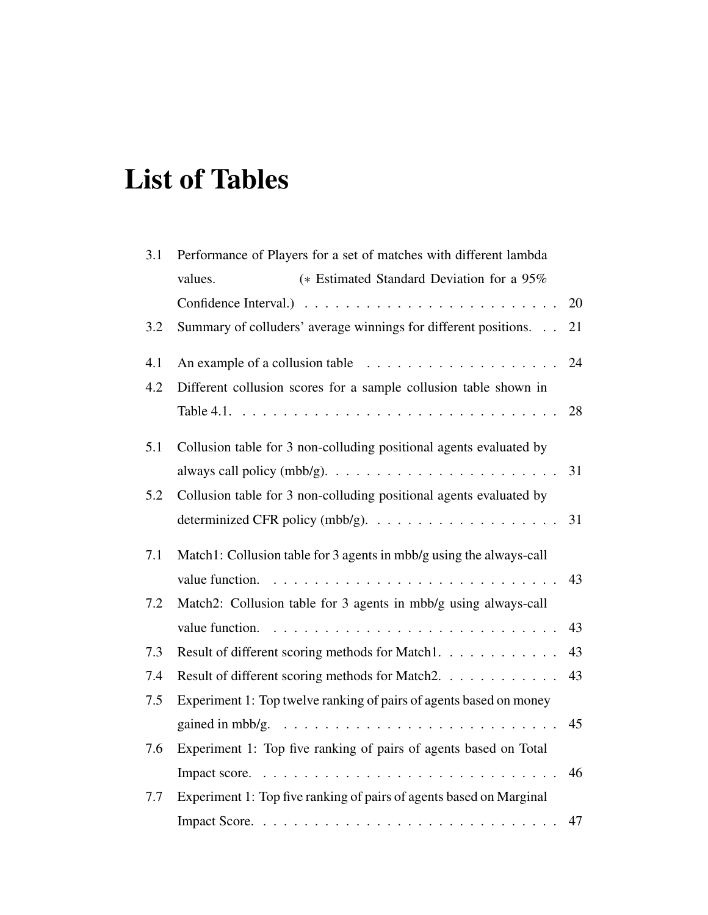# List of Tables

| 3.1<br>Performance of Players for a set of matches with different lambda |                                                                                           |  |  |
|--------------------------------------------------------------------------|-------------------------------------------------------------------------------------------|--|--|
|                                                                          | (* Estimated Standard Deviation for a 95%<br>values.                                      |  |  |
|                                                                          | 20                                                                                        |  |  |
| 3.2                                                                      | Summary of colluders' average winnings for different positions.<br>21                     |  |  |
| 4.1                                                                      | 24                                                                                        |  |  |
| 4.2                                                                      | Different collusion scores for a sample collusion table shown in                          |  |  |
|                                                                          |                                                                                           |  |  |
| 5.1                                                                      | Collusion table for 3 non-colluding positional agents evaluated by                        |  |  |
|                                                                          | always call policy (mbb/g). $\dots \dots \dots \dots \dots \dots \dots \dots \dots$<br>31 |  |  |
| 5.2                                                                      | Collusion table for 3 non-colluding positional agents evaluated by                        |  |  |
|                                                                          | determinized CFR policy (mbb/g). $\dots \dots \dots \dots \dots \dots \dots$<br>31        |  |  |
| 7.1                                                                      | Match1: Collusion table for 3 agents in mbb/g using the always-call                       |  |  |
|                                                                          | 43                                                                                        |  |  |
| 7.2                                                                      | Match2: Collusion table for 3 agents in mbb/g using always-call                           |  |  |
|                                                                          | 43                                                                                        |  |  |
| 7.3                                                                      | 43<br>Result of different scoring methods for Match1.                                     |  |  |
| 7.4                                                                      | Result of different scoring methods for Match2.<br>43                                     |  |  |
| 7.5                                                                      | Experiment 1: Top twelve ranking of pairs of agents based on money                        |  |  |
|                                                                          | gained in mbb/g. $\ldots \ldots \ldots \ldots \ldots \ldots \ldots \ldots \ldots$<br>45   |  |  |
| 7.6                                                                      | Experiment 1: Top five ranking of pairs of agents based on Total                          |  |  |
|                                                                          | 46                                                                                        |  |  |
| 7.7                                                                      | Experiment 1: Top five ranking of pairs of agents based on Marginal                       |  |  |
|                                                                          | 47                                                                                        |  |  |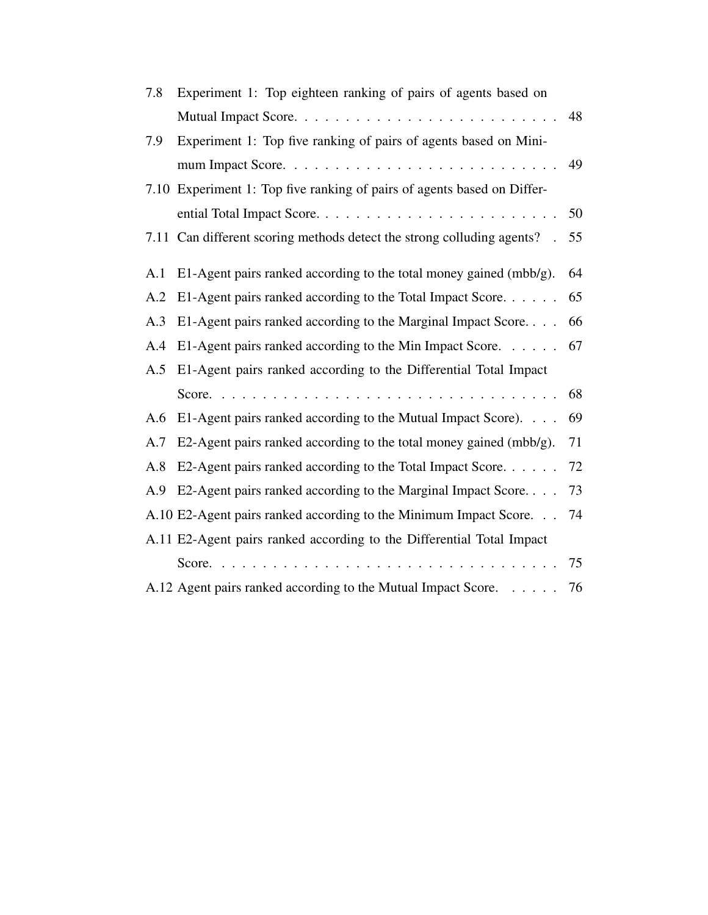| 7.8 | Experiment 1: Top eighteen ranking of pairs of agents based on          |    |
|-----|-------------------------------------------------------------------------|----|
|     |                                                                         | 48 |
| 7.9 | Experiment 1: Top five ranking of pairs of agents based on Mini-        |    |
|     |                                                                         | 49 |
|     | 7.10 Experiment 1: Top five ranking of pairs of agents based on Differ- |    |
|     |                                                                         | 50 |
|     | 7.11 Can different scoring methods detect the strong colluding agents?  | 55 |
| A.1 | E1-Agent pairs ranked according to the total money gained $(mbb/g)$ .   | 64 |
| A.2 | E1-Agent pairs ranked according to the Total Impact Score.              | 65 |
| A.3 | E1-Agent pairs ranked according to the Marginal Impact Score            | 66 |
| A.4 | E1-Agent pairs ranked according to the Min Impact Score.                | 67 |
| A.5 | E1-Agent pairs ranked according to the Differential Total Impact        |    |
|     |                                                                         | 68 |
| A.6 | E1-Agent pairs ranked according to the Mutual Impact Score).            | 69 |
| A.7 | E2-Agent pairs ranked according to the total money gained $(mbb/g)$ .   | 71 |
| A.8 | E2-Agent pairs ranked according to the Total Impact Score               | 72 |
| A.9 | E2-Agent pairs ranked according to the Marginal Impact Score            | 73 |
|     | A.10 E2-Agent pairs ranked according to the Minimum Impact Score.       | 74 |
|     | A.11 E2-Agent pairs ranked according to the Differential Total Impact   |    |
|     |                                                                         | 75 |
|     | A.12 Agent pairs ranked according to the Mutual Impact Score.           | 76 |
|     |                                                                         |    |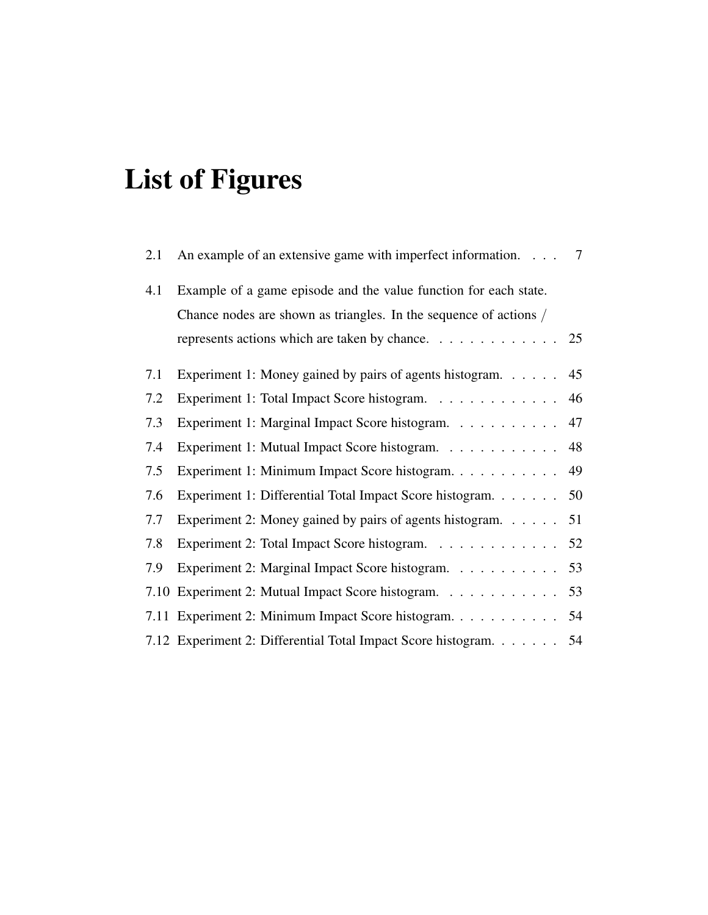# List of Figures

| 2.1 | An example of an extensive game with imperfect information.                           | 7  |
|-----|---------------------------------------------------------------------------------------|----|
| 4.1 | Example of a game episode and the value function for each state.                      |    |
|     | Chance nodes are shown as triangles. In the sequence of actions /                     |    |
|     | represents actions which are taken by chance. $\ldots \ldots \ldots \ldots \ldots$ 25 |    |
| 7.1 | Experiment 1: Money gained by pairs of agents histogram.                              | 45 |
| 7.2 | Experiment 1: Total Impact Score histogram.                                           | 46 |
| 7.3 | Experiment 1: Marginal Impact Score histogram.                                        | 47 |
| 7.4 | Experiment 1: Mutual Impact Score histogram. 48                                       |    |
| 7.5 | Experiment 1: Minimum Impact Score histogram.                                         | 49 |
| 7.6 | Experiment 1: Differential Total Impact Score histogram.                              | 50 |
| 7.7 | Experiment 2: Money gained by pairs of agents histogram.                              | 51 |
| 7.8 | Experiment 2: Total Impact Score histogram. 52                                        |    |
| 7.9 | Experiment 2: Marginal Impact Score histogram. 53                                     |    |
|     | 7.10 Experiment 2: Mutual Impact Score histogram.                                     | 53 |
|     | 7.11 Experiment 2: Minimum Impact Score histogram.                                    | 54 |
|     | 7.12 Experiment 2: Differential Total Impact Score histogram.                         | 54 |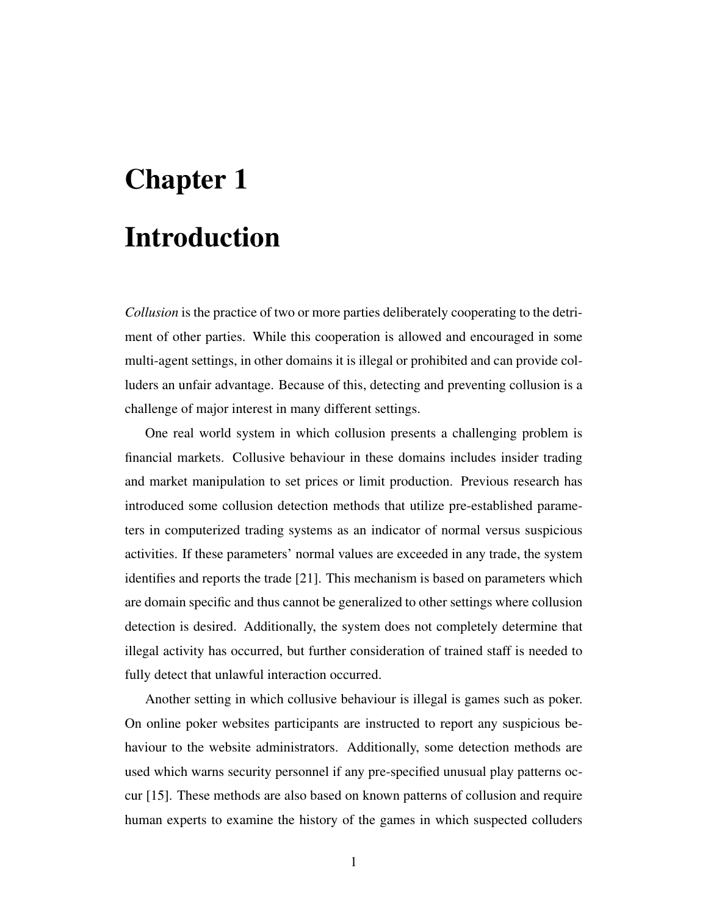# Chapter 1 Introduction

*Collusion* is the practice of two or more parties deliberately cooperating to the detriment of other parties. While this cooperation is allowed and encouraged in some multi-agent settings, in other domains it is illegal or prohibited and can provide colluders an unfair advantage. Because of this, detecting and preventing collusion is a challenge of major interest in many different settings.

One real world system in which collusion presents a challenging problem is financial markets. Collusive behaviour in these domains includes insider trading and market manipulation to set prices or limit production. Previous research has introduced some collusion detection methods that utilize pre-established parameters in computerized trading systems as an indicator of normal versus suspicious activities. If these parameters' normal values are exceeded in any trade, the system identifies and reports the trade [21]. This mechanism is based on parameters which are domain specific and thus cannot be generalized to other settings where collusion detection is desired. Additionally, the system does not completely determine that illegal activity has occurred, but further consideration of trained staff is needed to fully detect that unlawful interaction occurred.

Another setting in which collusive behaviour is illegal is games such as poker. On online poker websites participants are instructed to report any suspicious behaviour to the website administrators. Additionally, some detection methods are used which warns security personnel if any pre-specified unusual play patterns occur [15]. These methods are also based on known patterns of collusion and require human experts to examine the history of the games in which suspected colluders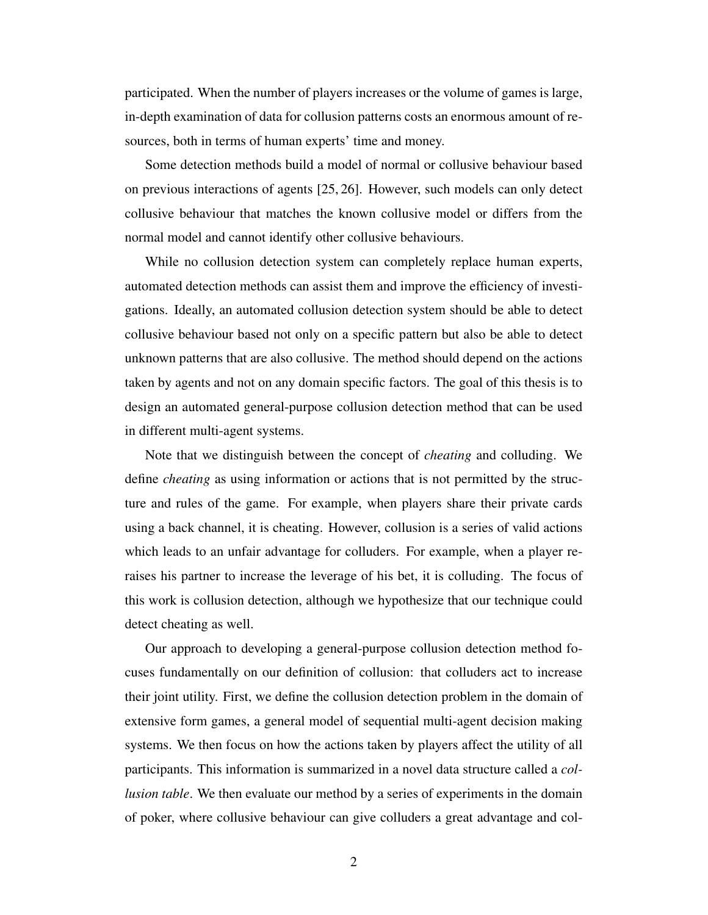participated. When the number of players increases or the volume of games is large, in-depth examination of data for collusion patterns costs an enormous amount of resources, both in terms of human experts' time and money.

Some detection methods build a model of normal or collusive behaviour based on previous interactions of agents [25, 26]. However, such models can only detect collusive behaviour that matches the known collusive model or differs from the normal model and cannot identify other collusive behaviours.

While no collusion detection system can completely replace human experts, automated detection methods can assist them and improve the efficiency of investigations. Ideally, an automated collusion detection system should be able to detect collusive behaviour based not only on a specific pattern but also be able to detect unknown patterns that are also collusive. The method should depend on the actions taken by agents and not on any domain specific factors. The goal of this thesis is to design an automated general-purpose collusion detection method that can be used in different multi-agent systems.

Note that we distinguish between the concept of *cheating* and colluding. We define *cheating* as using information or actions that is not permitted by the structure and rules of the game. For example, when players share their private cards using a back channel, it is cheating. However, collusion is a series of valid actions which leads to an unfair advantage for colluders. For example, when a player reraises his partner to increase the leverage of his bet, it is colluding. The focus of this work is collusion detection, although we hypothesize that our technique could detect cheating as well.

Our approach to developing a general-purpose collusion detection method focuses fundamentally on our definition of collusion: that colluders act to increase their joint utility. First, we define the collusion detection problem in the domain of extensive form games, a general model of sequential multi-agent decision making systems. We then focus on how the actions taken by players affect the utility of all participants. This information is summarized in a novel data structure called a *collusion table*. We then evaluate our method by a series of experiments in the domain of poker, where collusive behaviour can give colluders a great advantage and col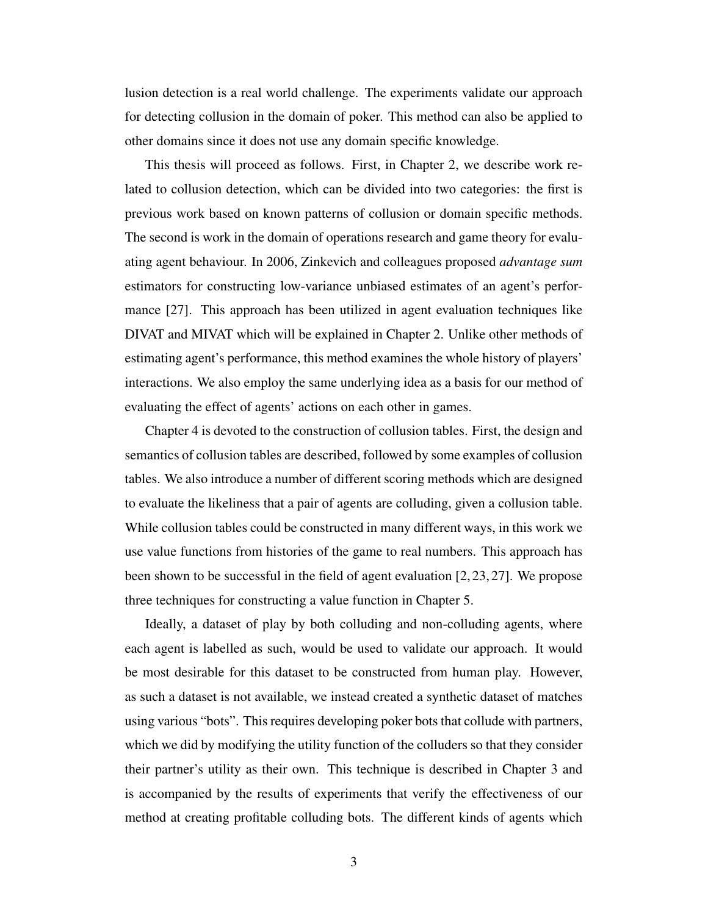lusion detection is a real world challenge. The experiments validate our approach for detecting collusion in the domain of poker. This method can also be applied to other domains since it does not use any domain specific knowledge.

This thesis will proceed as follows. First, in Chapter 2, we describe work related to collusion detection, which can be divided into two categories: the first is previous work based on known patterns of collusion or domain specific methods. The second is work in the domain of operations research and game theory for evaluating agent behaviour. In 2006, Zinkevich and colleagues proposed *advantage sum* estimators for constructing low-variance unbiased estimates of an agent's performance [27]. This approach has been utilized in agent evaluation techniques like DIVAT and MIVAT which will be explained in Chapter 2. Unlike other methods of estimating agent's performance, this method examines the whole history of players' interactions. We also employ the same underlying idea as a basis for our method of evaluating the effect of agents' actions on each other in games.

Chapter 4 is devoted to the construction of collusion tables. First, the design and semantics of collusion tables are described, followed by some examples of collusion tables. We also introduce a number of different scoring methods which are designed to evaluate the likeliness that a pair of agents are colluding, given a collusion table. While collusion tables could be constructed in many different ways, in this work we use value functions from histories of the game to real numbers. This approach has been shown to be successful in the field of agent evaluation [2, 23, 27]. We propose three techniques for constructing a value function in Chapter 5.

Ideally, a dataset of play by both colluding and non-colluding agents, where each agent is labelled as such, would be used to validate our approach. It would be most desirable for this dataset to be constructed from human play. However, as such a dataset is not available, we instead created a synthetic dataset of matches using various "bots". This requires developing poker bots that collude with partners, which we did by modifying the utility function of the colluders so that they consider their partner's utility as their own. This technique is described in Chapter 3 and is accompanied by the results of experiments that verify the effectiveness of our method at creating profitable colluding bots. The different kinds of agents which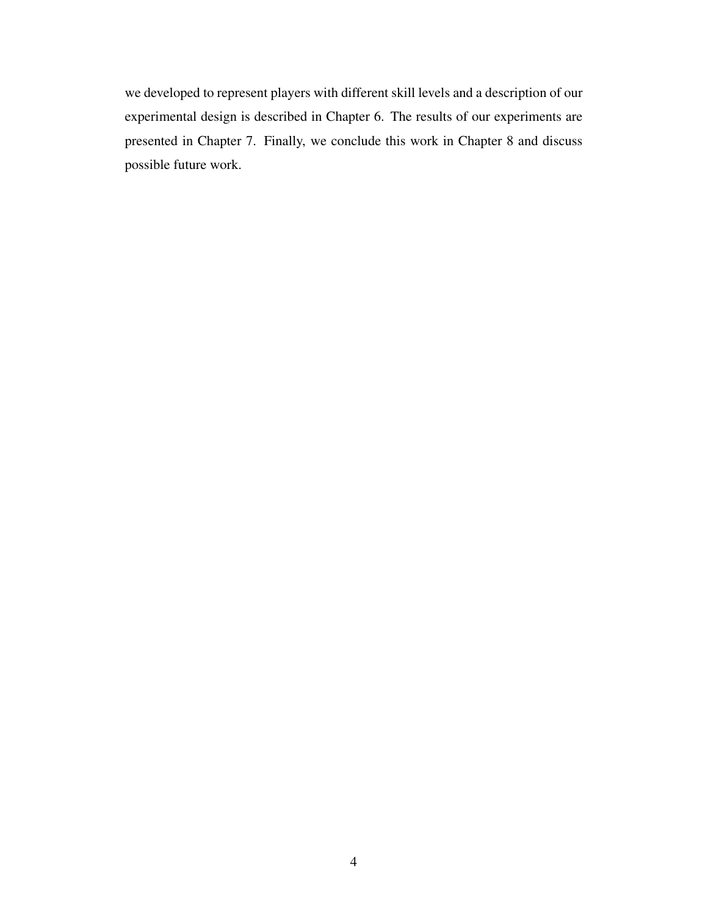we developed to represent players with different skill levels and a description of our experimental design is described in Chapter 6. The results of our experiments are presented in Chapter 7. Finally, we conclude this work in Chapter 8 and discuss possible future work.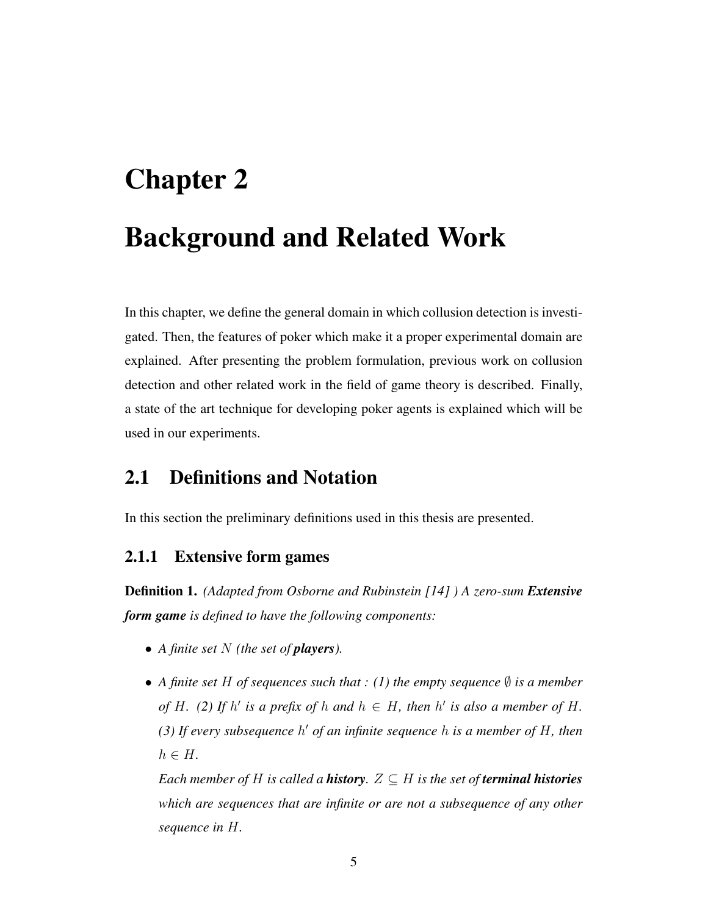# Chapter 2 Background and Related Work

In this chapter, we define the general domain in which collusion detection is investigated. Then, the features of poker which make it a proper experimental domain are explained. After presenting the problem formulation, previous work on collusion detection and other related work in the field of game theory is described. Finally, a state of the art technique for developing poker agents is explained which will be used in our experiments.

## 2.1 Definitions and Notation

In this section the preliminary definitions used in this thesis are presented.

#### 2.1.1 Extensive form games

Definition 1. *(Adapted from Osborne and Rubinstein [14] ) A zero-sum Extensive form game is defined to have the following components:*

- *A finite set N (the set of players).*
- A finite set H of sequences such that  $: (1)$  the empty sequence  $\emptyset$  *is a member of* H. (2) If  $h'$  is a prefix of  $h$  and  $h \in H$ , then  $h'$  is also a member of H. *(3) If every subsequence* h <sup>0</sup> *of an infinite sequence* h *is a member of* H*, then*  $h \in H$ .

*Each member of H is called a history*.  $Z \subseteq H$  *is the set of terminal histories which are sequences that are infinite or are not a subsequence of any other sequence in* H*.*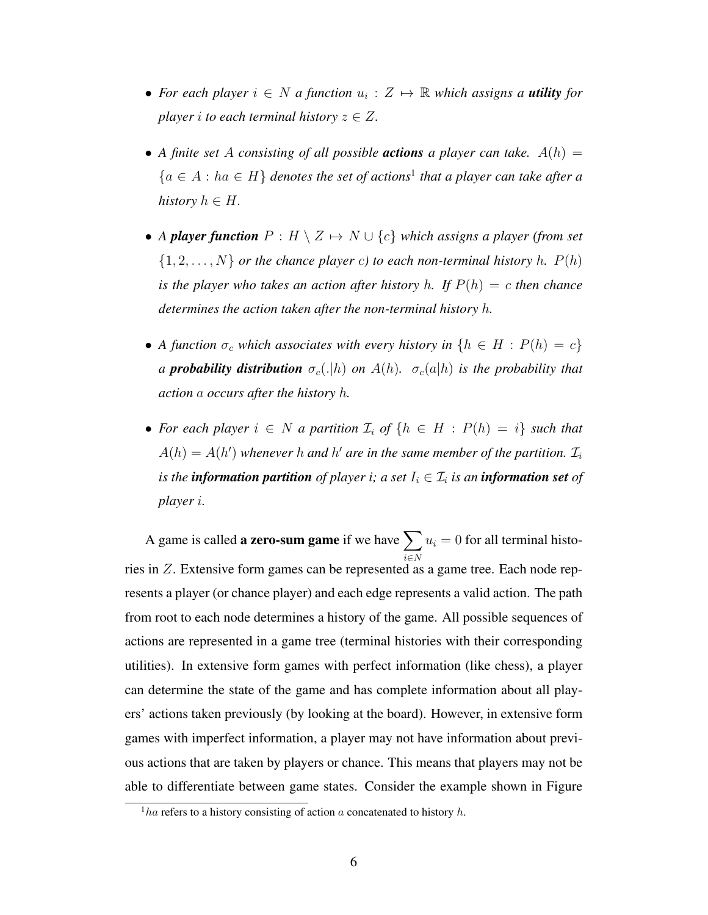- For each player  $i \in N$  a function  $u_i : Z \mapsto \mathbb{R}$  which assigns a **utility** for *player i to each terminal history*  $z \in Z$ *.*
- A finite set A consisting of all possible **actions** a player can take.  $A(h) =$  ${a \in A : ha \in H}$  denotes the set of actions<sup>1</sup> that a player can take after a *history*  $h \in H$ .
- *A player function*  $P : H \setminus Z \mapsto N \cup \{c\}$  *which assigns a player (from set*  $\{1, 2, \ldots, N\}$  *or the chance player c) to each non-terminal history h.*  $P(h)$ *is the player who takes an action after history h. If*  $P(h) = c$  *then chance determines the action taken after the non-terminal history* h*.*
- *A function*  $\sigma_c$  *which associates with every history in*  $\{h \in H : P(h) = c\}$ *a probability distribution*  $\sigma_c(.|h)$  *on*  $A(h)$ *.*  $\sigma_c(a|h)$  *is the probability that action* a *occurs after the history* h*.*
- For each player  $i \in N$  a partition  $\mathcal{I}_i$  of  $\{h \in H : P(h) = i\}$  such that  $A(h) = A(h')$  whenever h and h' are in the same member of the partition.  $\mathcal{I}_i$ is the **information partition** of player i; a set  $I_i \in \mathcal{I}_i$  is an **information set** of *player* i*.*

A game is called **a zero-sum game** if we have  $\sum$ i∈N  $u_i = 0$  for all terminal histories in Z. Extensive form games can be represented as a game tree. Each node represents a player (or chance player) and each edge represents a valid action. The path from root to each node determines a history of the game. All possible sequences of actions are represented in a game tree (terminal histories with their corresponding utilities). In extensive form games with perfect information (like chess), a player can determine the state of the game and has complete information about all players' actions taken previously (by looking at the board). However, in extensive form games with imperfect information, a player may not have information about previous actions that are taken by players or chance. This means that players may not be able to differentiate between game states. Consider the example shown in Figure

 $\frac{1}{1}$ ha refers to a history consisting of action a concatenated to history h.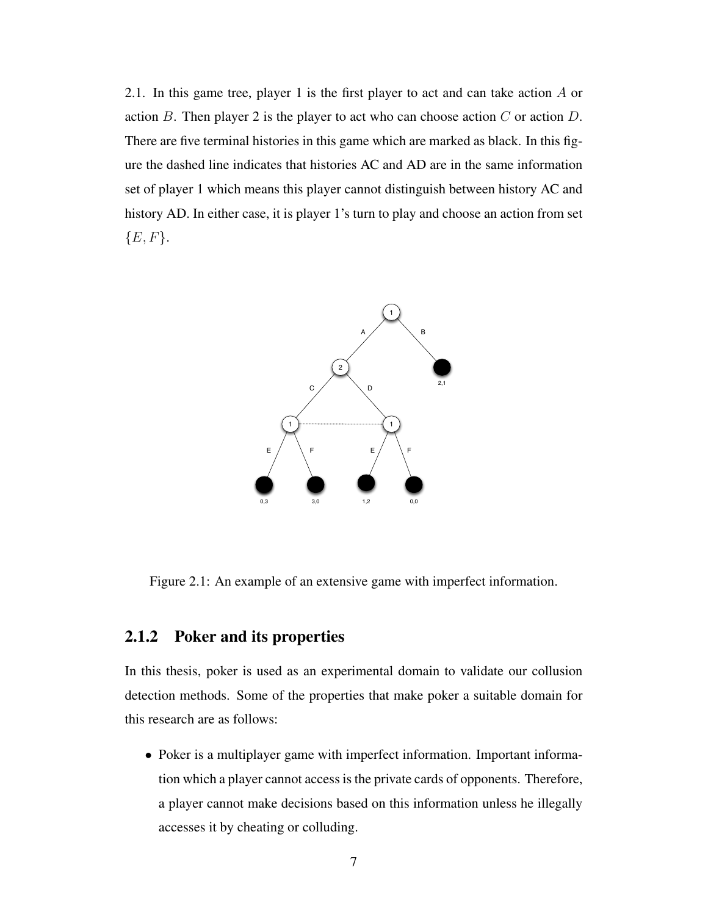2.1. In this game tree, player 1 is the first player to act and can take action A or action B. Then player 2 is the player to act who can choose action  $C$  or action  $D$ . There are five terminal histories in this game which are marked as black. In this figure the dashed line indicates that histories AC and AD are in the same information set of player 1 which means this player cannot distinguish between history AC and history AD. In either case, it is player 1's turn to play and choose an action from set  ${E, F}.$ 



Figure 2.1: An example of an extensive game with imperfect information.

#### 2.1.2 Poker and its properties

In this thesis, poker is used as an experimental domain to validate our collusion detection methods. Some of the properties that make poker a suitable domain for this research are as follows:

• Poker is a multiplayer game with imperfect information. Important information which a player cannot access is the private cards of opponents. Therefore, a player cannot make decisions based on this information unless he illegally accesses it by cheating or colluding.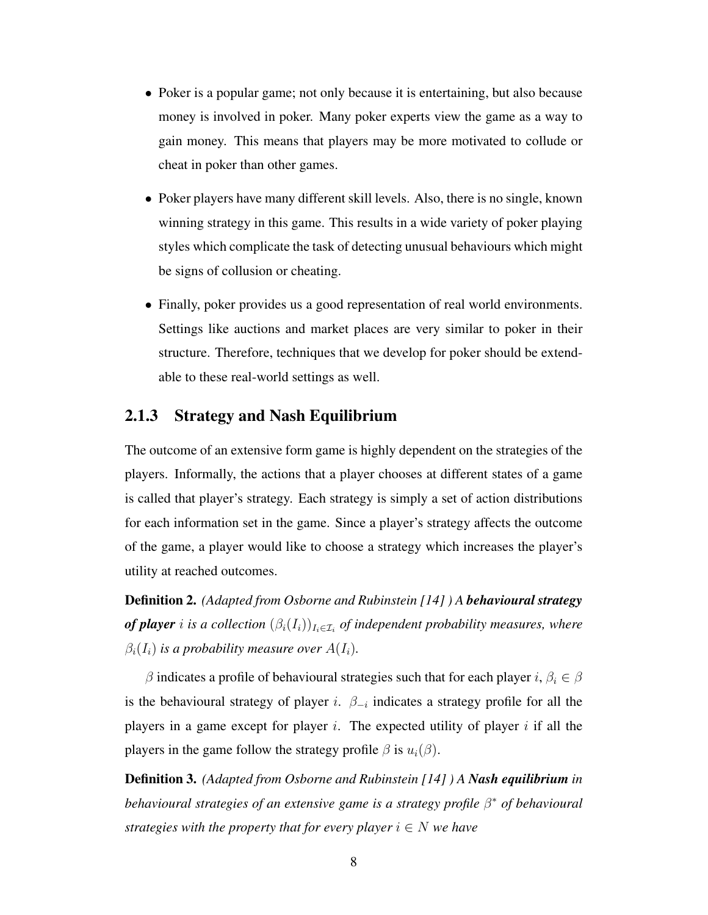- Poker is a popular game; not only because it is entertaining, but also because money is involved in poker. Many poker experts view the game as a way to gain money. This means that players may be more motivated to collude or cheat in poker than other games.
- Poker players have many different skill levels. Also, there is no single, known winning strategy in this game. This results in a wide variety of poker playing styles which complicate the task of detecting unusual behaviours which might be signs of collusion or cheating.
- Finally, poker provides us a good representation of real world environments. Settings like auctions and market places are very similar to poker in their structure. Therefore, techniques that we develop for poker should be extendable to these real-world settings as well.

#### 2.1.3 Strategy and Nash Equilibrium

The outcome of an extensive form game is highly dependent on the strategies of the players. Informally, the actions that a player chooses at different states of a game is called that player's strategy. Each strategy is simply a set of action distributions for each information set in the game. Since a player's strategy affects the outcome of the game, a player would like to choose a strategy which increases the player's utility at reached outcomes.

Definition 2. *(Adapted from Osborne and Rubinstein [14] ) A behavioural strategy*  ${\bf \textit{of player}}\ i \ \textit{is a collection} \ (\beta_i(I_i))_{I_i \in \mathcal{I}_i}\ {\bf \textit{of independent probability measures}}, \ where$  $\beta_i(I_i)$  *is a probability measure over*  $A(I_i)$ *.* 

β indicates a profile of behavioural strategies such that for each player i,  $\beta_i \in \beta$ is the behavioural strategy of player i.  $\beta_{-i}$  indicates a strategy profile for all the players in a game except for player  $i$ . The expected utility of player  $i$  if all the players in the game follow the strategy profile  $\beta$  is  $u_i(\beta)$ .

Definition 3. *(Adapted from Osborne and Rubinstein [14] ) A Nash equilibrium in behavioural strategies of an extensive game is a strategy profile* β <sup>∗</sup> *of behavioural strategies with the property that for every player*  $i \in N$  *we have*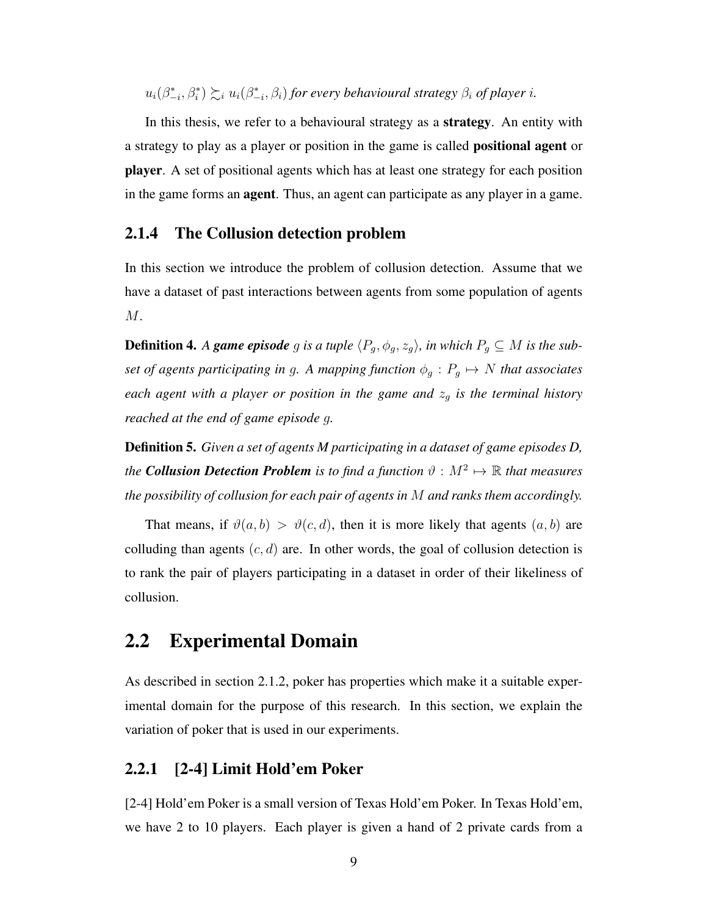$u_i(\beta_{-i}^*, \beta_i^*) \succsim_i u_i(\beta_{-i}^*, \beta_i)$  for every behavioural strategy  $\beta_i$  of player *i*.

In this thesis, we refer to a behavioural strategy as a strategy. An entity with a strategy to play as a player or position in the game is called positional agent or player. A set of positional agents which has at least one strategy for each position in the game forms an agent. Thus, an agent can participate as any player in a game.

#### 2.1.4 The Collusion detection problem

In this section we introduce the problem of collusion detection. Assume that we have a dataset of past interactions between agents from some population of agents  $M$ .

**Definition 4.** *A game episode* g *is a tuple*  $\langle P_g, \phi_g, z_g \rangle$ , *in which*  $P_g \subseteq M$  *is the subset of agents participating in g. A mapping function*  $\phi_g : P_g \mapsto N$  *that associates each agent with a player or position in the game and*  $z<sub>q</sub>$  *is the terminal history reached at the end of game episode* g*.*

Definition 5. *Given a set of agents M participating in a dataset of game episodes D,* the **Collusion Detection Problem** is to find a function  $\vartheta : M^2 \mapsto \mathbb{R}$  that measures *the possibility of collusion for each pair of agents in* M *and ranks them accordingly.*

That means, if  $\vartheta(a, b) > \vartheta(c, d)$ , then it is more likely that agents  $(a, b)$  are colluding than agents  $(c, d)$  are. In other words, the goal of collusion detection is to rank the pair of players participating in a dataset in order of their likeliness of collusion.

### 2.2 Experimental Domain

As described in section 2.1.2, poker has properties which make it a suitable experimental domain for the purpose of this research. In this section, we explain the variation of poker that is used in our experiments.

#### 2.2.1 [2-4] Limit Hold'em Poker

[2-4] Hold'em Poker is a small version of Texas Hold'em Poker. In Texas Hold'em, we have 2 to 10 players. Each player is given a hand of 2 private cards from a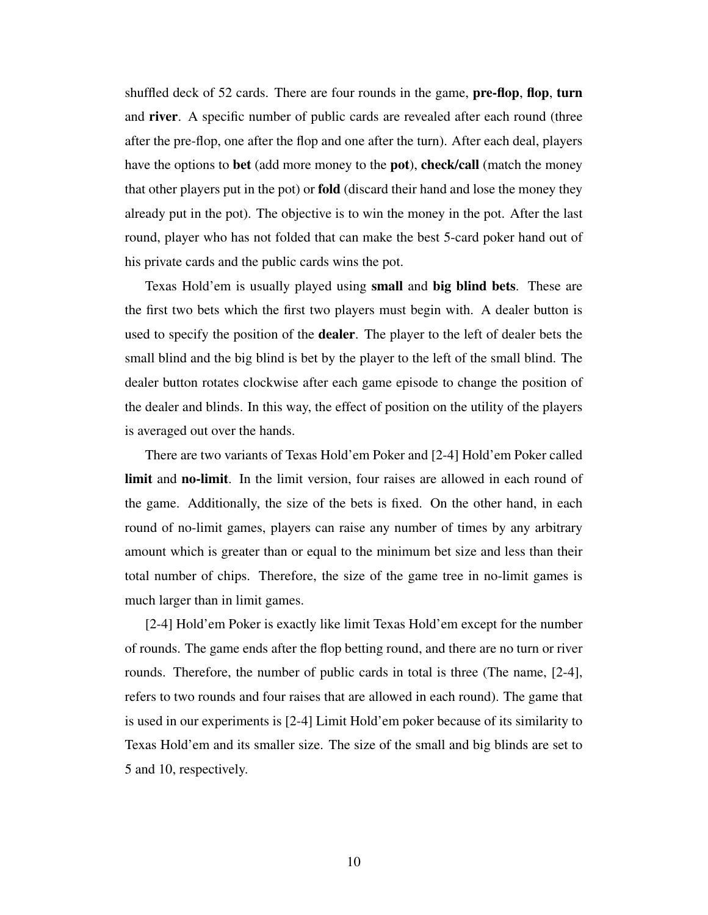shuffled deck of 52 cards. There are four rounds in the game,  $pre-flop, flop, turn$ and river. A specific number of public cards are revealed after each round (three after the pre-flop, one after the flop and one after the turn). After each deal, players have the options to bet (add more money to the pot), check/call (match the money that other players put in the pot) or fold (discard their hand and lose the money they already put in the pot). The objective is to win the money in the pot. After the last round, player who has not folded that can make the best 5-card poker hand out of his private cards and the public cards wins the pot.

Texas Hold'em is usually played using small and big blind bets. These are the first two bets which the first two players must begin with. A dealer button is used to specify the position of the **dealer**. The player to the left of dealer bets the small blind and the big blind is bet by the player to the left of the small blind. The dealer button rotates clockwise after each game episode to change the position of the dealer and blinds. In this way, the effect of position on the utility of the players is averaged out over the hands.

There are two variants of Texas Hold'em Poker and [2-4] Hold'em Poker called limit and no-limit. In the limit version, four raises are allowed in each round of the game. Additionally, the size of the bets is fixed. On the other hand, in each round of no-limit games, players can raise any number of times by any arbitrary amount which is greater than or equal to the minimum bet size and less than their total number of chips. Therefore, the size of the game tree in no-limit games is much larger than in limit games.

[2-4] Hold'em Poker is exactly like limit Texas Hold'em except for the number of rounds. The game ends after the flop betting round, and there are no turn or river rounds. Therefore, the number of public cards in total is three (The name, [2-4], refers to two rounds and four raises that are allowed in each round). The game that is used in our experiments is [2-4] Limit Hold'em poker because of its similarity to Texas Hold'em and its smaller size. The size of the small and big blinds are set to 5 and 10, respectively.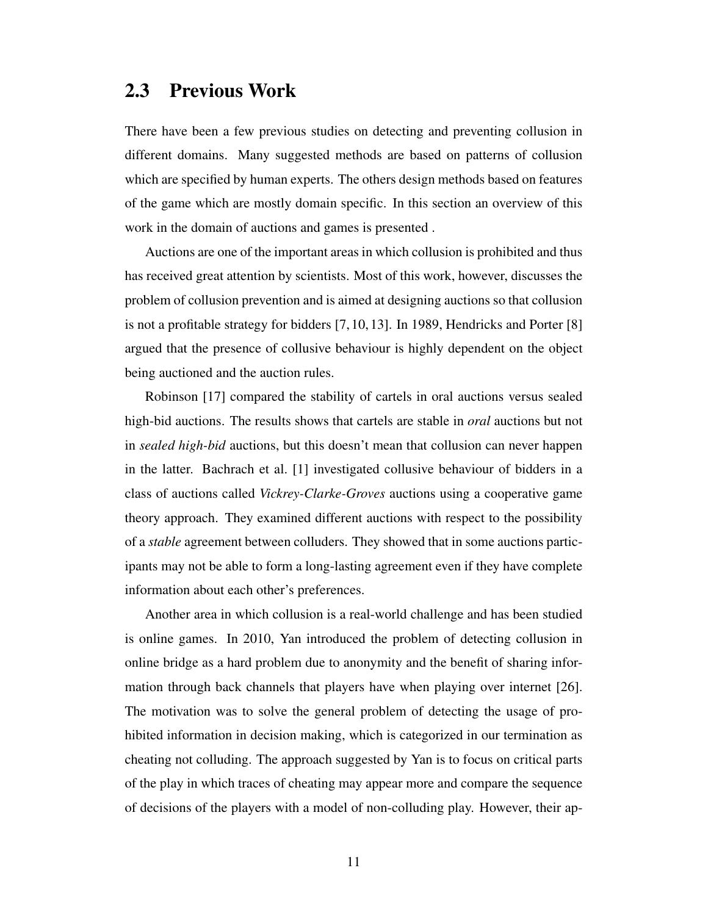### 2.3 Previous Work

There have been a few previous studies on detecting and preventing collusion in different domains. Many suggested methods are based on patterns of collusion which are specified by human experts. The others design methods based on features of the game which are mostly domain specific. In this section an overview of this work in the domain of auctions and games is presented .

Auctions are one of the important areas in which collusion is prohibited and thus has received great attention by scientists. Most of this work, however, discusses the problem of collusion prevention and is aimed at designing auctions so that collusion is not a profitable strategy for bidders [7, 10, 13]. In 1989, Hendricks and Porter [8] argued that the presence of collusive behaviour is highly dependent on the object being auctioned and the auction rules.

Robinson [17] compared the stability of cartels in oral auctions versus sealed high-bid auctions. The results shows that cartels are stable in *oral* auctions but not in *sealed high-bid* auctions, but this doesn't mean that collusion can never happen in the latter. Bachrach et al. [1] investigated collusive behaviour of bidders in a class of auctions called *Vickrey-Clarke-Groves* auctions using a cooperative game theory approach. They examined different auctions with respect to the possibility of a *stable* agreement between colluders. They showed that in some auctions participants may not be able to form a long-lasting agreement even if they have complete information about each other's preferences.

Another area in which collusion is a real-world challenge and has been studied is online games. In 2010, Yan introduced the problem of detecting collusion in online bridge as a hard problem due to anonymity and the benefit of sharing information through back channels that players have when playing over internet [26]. The motivation was to solve the general problem of detecting the usage of prohibited information in decision making, which is categorized in our termination as cheating not colluding. The approach suggested by Yan is to focus on critical parts of the play in which traces of cheating may appear more and compare the sequence of decisions of the players with a model of non-colluding play. However, their ap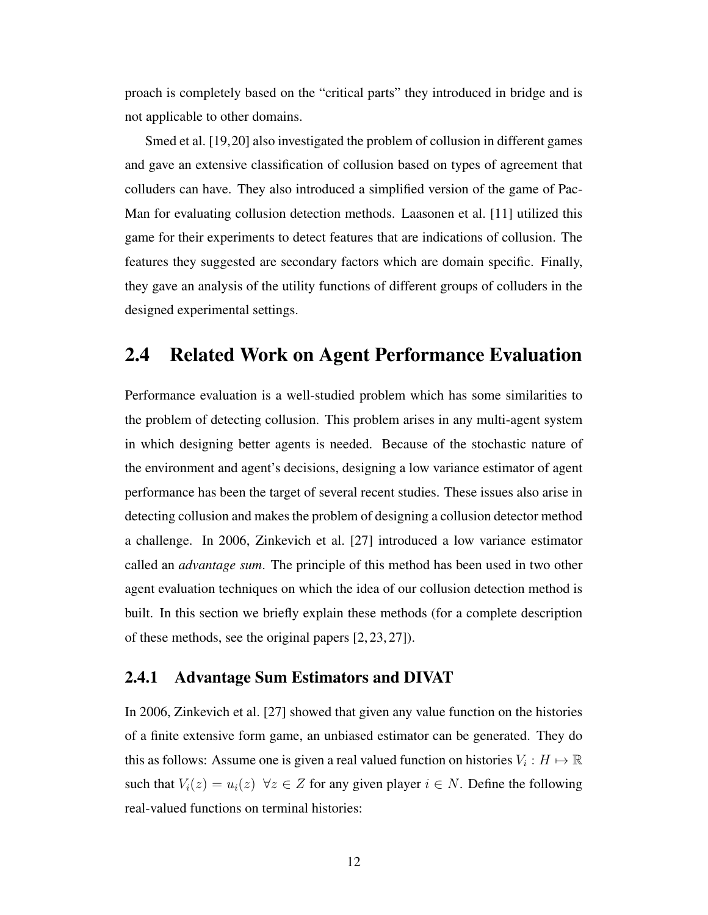proach is completely based on the "critical parts" they introduced in bridge and is not applicable to other domains.

Smed et al. [19,20] also investigated the problem of collusion in different games and gave an extensive classification of collusion based on types of agreement that colluders can have. They also introduced a simplified version of the game of Pac-Man for evaluating collusion detection methods. Laasonen et al. [11] utilized this game for their experiments to detect features that are indications of collusion. The features they suggested are secondary factors which are domain specific. Finally, they gave an analysis of the utility functions of different groups of colluders in the designed experimental settings.

## 2.4 Related Work on Agent Performance Evaluation

Performance evaluation is a well-studied problem which has some similarities to the problem of detecting collusion. This problem arises in any multi-agent system in which designing better agents is needed. Because of the stochastic nature of the environment and agent's decisions, designing a low variance estimator of agent performance has been the target of several recent studies. These issues also arise in detecting collusion and makes the problem of designing a collusion detector method a challenge. In 2006, Zinkevich et al. [27] introduced a low variance estimator called an *advantage sum*. The principle of this method has been used in two other agent evaluation techniques on which the idea of our collusion detection method is built. In this section we briefly explain these methods (for a complete description of these methods, see the original papers [2, 23, 27]).

#### 2.4.1 Advantage Sum Estimators and DIVAT

In 2006, Zinkevich et al. [27] showed that given any value function on the histories of a finite extensive form game, an unbiased estimator can be generated. They do this as follows: Assume one is given a real valued function on histories  $V_i : H \mapsto \mathbb{R}$ such that  $V_i(z) = u_i(z) \quad \forall z \in Z$  for any given player  $i \in N$ . Define the following real-valued functions on terminal histories: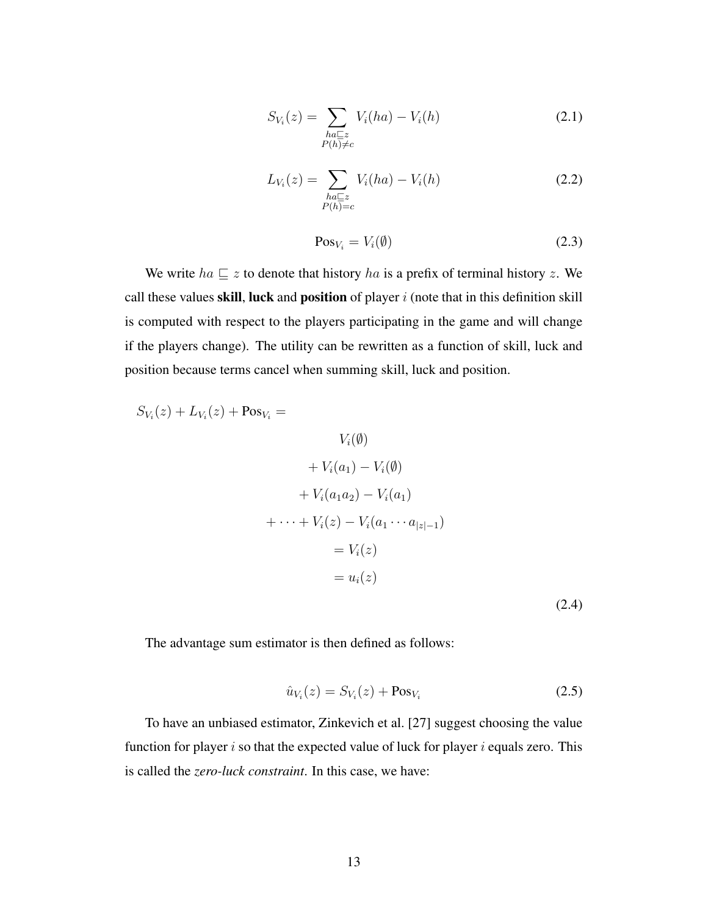$$
S_{V_i}(z) = \sum_{\substack{ha \sqsubseteq z \\ P(h) \neq c}} V_i(ha) - V_i(h) \tag{2.1}
$$

$$
L_{V_i}(z) = \sum_{\substack{ha \sqsubseteq z \\ P(h) = c}} V_i(ha) - V_i(h) \tag{2.2}
$$

$$
Pos_{V_i} = V_i(\emptyset)
$$
\n(2.3)

We write  $ha \sqsubseteq z$  to denote that history ha is a prefix of terminal history z. We call these values skill, luck and position of player  $i$  (note that in this definition skill is computed with respect to the players participating in the game and will change if the players change). The utility can be rewritten as a function of skill, luck and position because terms cancel when summing skill, luck and position.

$$
S_{V_i}(z) + L_{V_i}(z) + \text{Pos}_{V_i} =
$$
  
\n
$$
V_i(\emptyset)
$$
  
\n
$$
+ V_i(a_1) - V_i(\emptyset)
$$
  
\n
$$
+ V_i(a_1a_2) - V_i(a_1)
$$
  
\n
$$
+ \cdots + V_i(z) - V_i(a_1 \cdots a_{|z|-1})
$$
  
\n
$$
= V_i(z)
$$
  
\n
$$
= u_i(z)
$$
\n(2.4)

The advantage sum estimator is then defined as follows:

$$
\hat{u}_{V_i}(z) = S_{V_i}(z) + \text{Pos}_{V_i} \tag{2.5}
$$

To have an unbiased estimator, Zinkevich et al. [27] suggest choosing the value function for player  $i$  so that the expected value of luck for player  $i$  equals zero. This is called the *zero-luck constraint*. In this case, we have: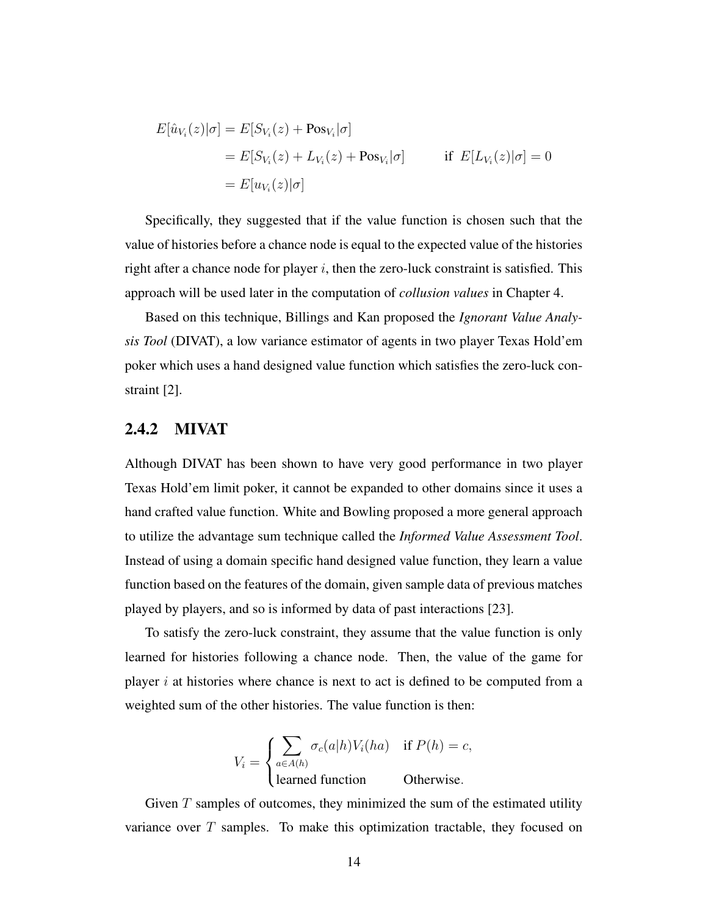$$
E[\hat{u}_{V_i}(z)|\sigma] = E[S_{V_i}(z) + \text{Pos}_{V_i}|\sigma]
$$
  
= 
$$
E[S_{V_i}(z) + L_{V_i}(z) + \text{Pos}_{V_i}|\sigma]
$$
 if 
$$
E[L_{V_i}(z)|\sigma] = 0
$$
  
= 
$$
E[u_{V_i}(z)|\sigma]
$$

Specifically, they suggested that if the value function is chosen such that the value of histories before a chance node is equal to the expected value of the histories right after a chance node for player  $i$ , then the zero-luck constraint is satisfied. This approach will be used later in the computation of *collusion values* in Chapter 4.

Based on this technique, Billings and Kan proposed the *Ignorant Value Analysis Tool* (DIVAT), a low variance estimator of agents in two player Texas Hold'em poker which uses a hand designed value function which satisfies the zero-luck constraint [2].

#### 2.4.2 MIVAT

Although DIVAT has been shown to have very good performance in two player Texas Hold'em limit poker, it cannot be expanded to other domains since it uses a hand crafted value function. White and Bowling proposed a more general approach to utilize the advantage sum technique called the *Informed Value Assessment Tool*. Instead of using a domain specific hand designed value function, they learn a value function based on the features of the domain, given sample data of previous matches played by players, and so is informed by data of past interactions [23].

To satisfy the zero-luck constraint, they assume that the value function is only learned for histories following a chance node. Then, the value of the game for player  $i$  at histories where chance is next to act is defined to be computed from a weighted sum of the other histories. The value function is then:

$$
V_i = \begin{cases} \sum_{a \in A(h)} \sigma_c(a|h) V_i(ha) & \text{if } P(h) = c, \\ \text{learned function} & \text{Otherwise.} \end{cases}
$$

Given  $T$  samples of outcomes, they minimized the sum of the estimated utility variance over  $T$  samples. To make this optimization tractable, they focused on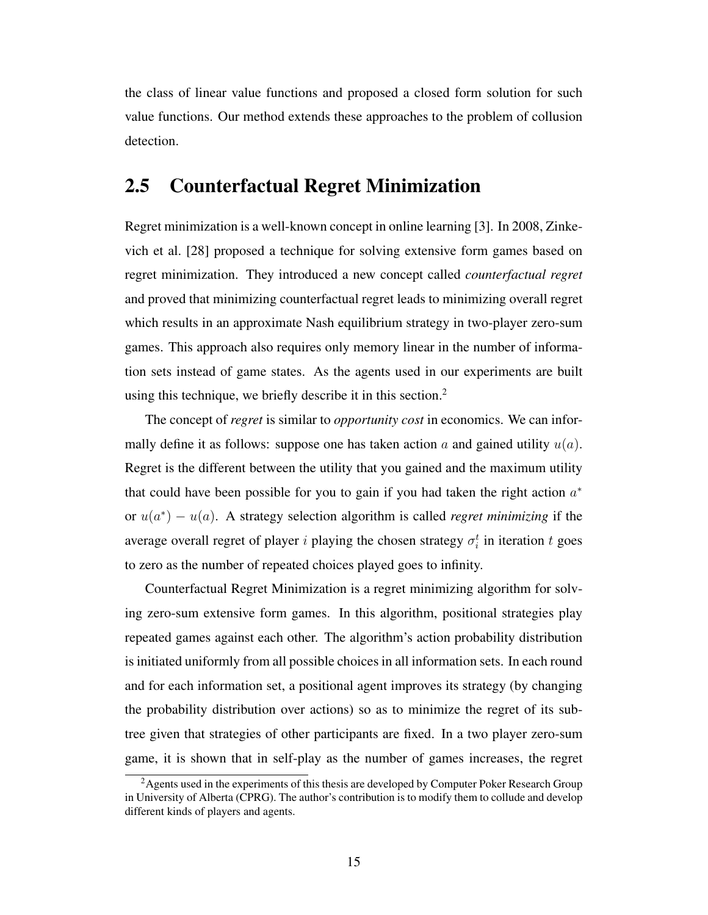the class of linear value functions and proposed a closed form solution for such value functions. Our method extends these approaches to the problem of collusion detection.

## 2.5 Counterfactual Regret Minimization

Regret minimization is a well-known concept in online learning [3]. In 2008, Zinkevich et al. [28] proposed a technique for solving extensive form games based on regret minimization. They introduced a new concept called *counterfactual regret* and proved that minimizing counterfactual regret leads to minimizing overall regret which results in an approximate Nash equilibrium strategy in two-player zero-sum games. This approach also requires only memory linear in the number of information sets instead of game states. As the agents used in our experiments are built using this technique, we briefly describe it in this section.<sup>2</sup>

The concept of *regret* is similar to *opportunity cost* in economics. We can informally define it as follows: suppose one has taken action  $a$  and gained utility  $u(a)$ . Regret is the different between the utility that you gained and the maximum utility that could have been possible for you to gain if you had taken the right action  $a^*$ or  $u(a^*) - u(a)$ . A strategy selection algorithm is called *regret minimizing* if the average overall regret of player *i* playing the chosen strategy  $\sigma_i^t$  in iteration *t* goes to zero as the number of repeated choices played goes to infinity.

Counterfactual Regret Minimization is a regret minimizing algorithm for solving zero-sum extensive form games. In this algorithm, positional strategies play repeated games against each other. The algorithm's action probability distribution is initiated uniformly from all possible choices in all information sets. In each round and for each information set, a positional agent improves its strategy (by changing the probability distribution over actions) so as to minimize the regret of its subtree given that strategies of other participants are fixed. In a two player zero-sum game, it is shown that in self-play as the number of games increases, the regret

<sup>&</sup>lt;sup>2</sup> Agents used in the experiments of this thesis are developed by Computer Poker Research Group in University of Alberta (CPRG). The author's contribution is to modify them to collude and develop different kinds of players and agents.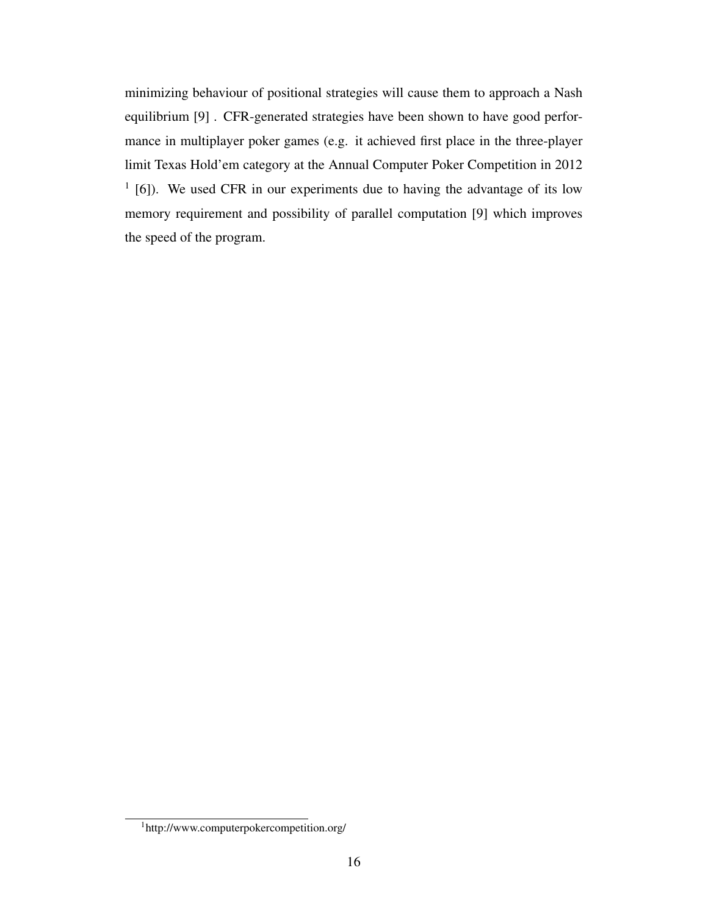minimizing behaviour of positional strategies will cause them to approach a Nash equilibrium [9] . CFR-generated strategies have been shown to have good performance in multiplayer poker games (e.g. it achieved first place in the three-player limit Texas Hold'em category at the Annual Computer Poker Competition in 2012 <sup>1</sup> [6]). We used CFR in our experiments due to having the advantage of its low memory requirement and possibility of parallel computation [9] which improves the speed of the program.

<sup>1</sup>http://www.computerpokercompetition.org/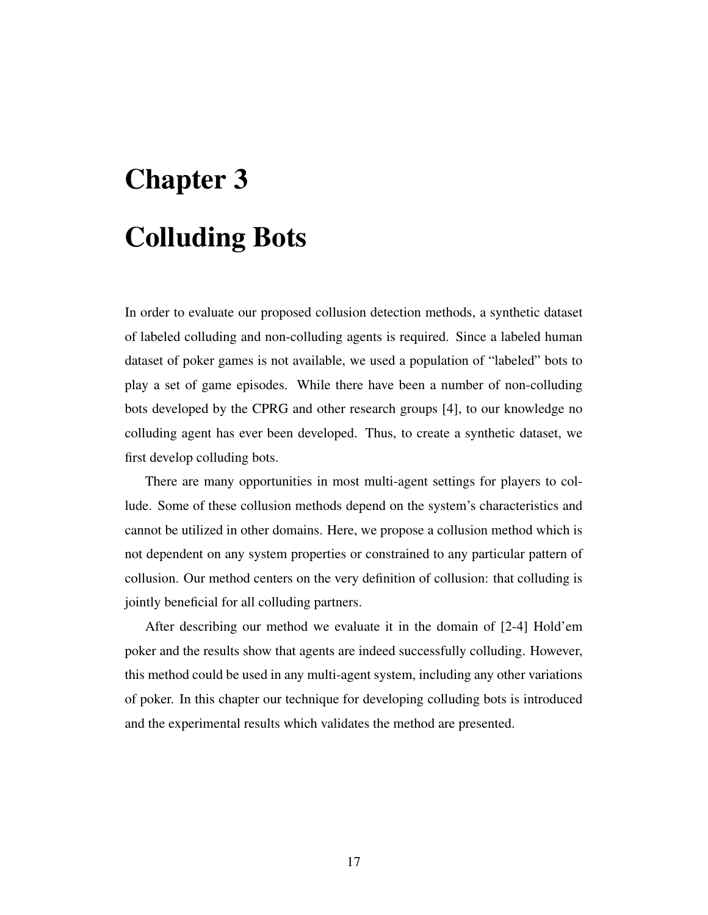# Chapter 3 Colluding Bots

In order to evaluate our proposed collusion detection methods, a synthetic dataset of labeled colluding and non-colluding agents is required. Since a labeled human dataset of poker games is not available, we used a population of "labeled" bots to play a set of game episodes. While there have been a number of non-colluding bots developed by the CPRG and other research groups [4], to our knowledge no colluding agent has ever been developed. Thus, to create a synthetic dataset, we first develop colluding bots.

There are many opportunities in most multi-agent settings for players to collude. Some of these collusion methods depend on the system's characteristics and cannot be utilized in other domains. Here, we propose a collusion method which is not dependent on any system properties or constrained to any particular pattern of collusion. Our method centers on the very definition of collusion: that colluding is jointly beneficial for all colluding partners.

After describing our method we evaluate it in the domain of [2-4] Hold'em poker and the results show that agents are indeed successfully colluding. However, this method could be used in any multi-agent system, including any other variations of poker. In this chapter our technique for developing colluding bots is introduced and the experimental results which validates the method are presented.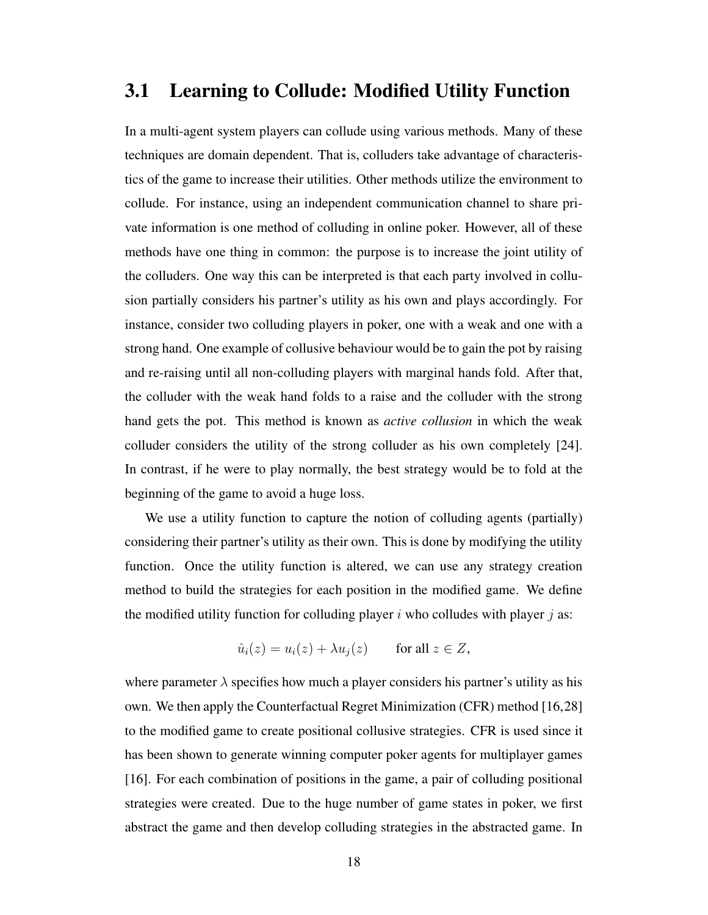## 3.1 Learning to Collude: Modified Utility Function

In a multi-agent system players can collude using various methods. Many of these techniques are domain dependent. That is, colluders take advantage of characteristics of the game to increase their utilities. Other methods utilize the environment to collude. For instance, using an independent communication channel to share private information is one method of colluding in online poker. However, all of these methods have one thing in common: the purpose is to increase the joint utility of the colluders. One way this can be interpreted is that each party involved in collusion partially considers his partner's utility as his own and plays accordingly. For instance, consider two colluding players in poker, one with a weak and one with a strong hand. One example of collusive behaviour would be to gain the pot by raising and re-raising until all non-colluding players with marginal hands fold. After that, the colluder with the weak hand folds to a raise and the colluder with the strong hand gets the pot. This method is known as *active collusion* in which the weak colluder considers the utility of the strong colluder as his own completely [24]. In contrast, if he were to play normally, the best strategy would be to fold at the beginning of the game to avoid a huge loss.

We use a utility function to capture the notion of colluding agents (partially) considering their partner's utility as their own. This is done by modifying the utility function. Once the utility function is altered, we can use any strategy creation method to build the strategies for each position in the modified game. We define the modified utility function for colluding player i who colludes with player j as:

$$
\hat{u}_i(z) = u_i(z) + \lambda u_j(z) \quad \text{for all } z \in Z,
$$

where parameter  $\lambda$  specifies how much a player considers his partner's utility as his own. We then apply the Counterfactual Regret Minimization (CFR) method [16,28] to the modified game to create positional collusive strategies. CFR is used since it has been shown to generate winning computer poker agents for multiplayer games [16]. For each combination of positions in the game, a pair of colluding positional strategies were created. Due to the huge number of game states in poker, we first abstract the game and then develop colluding strategies in the abstracted game. In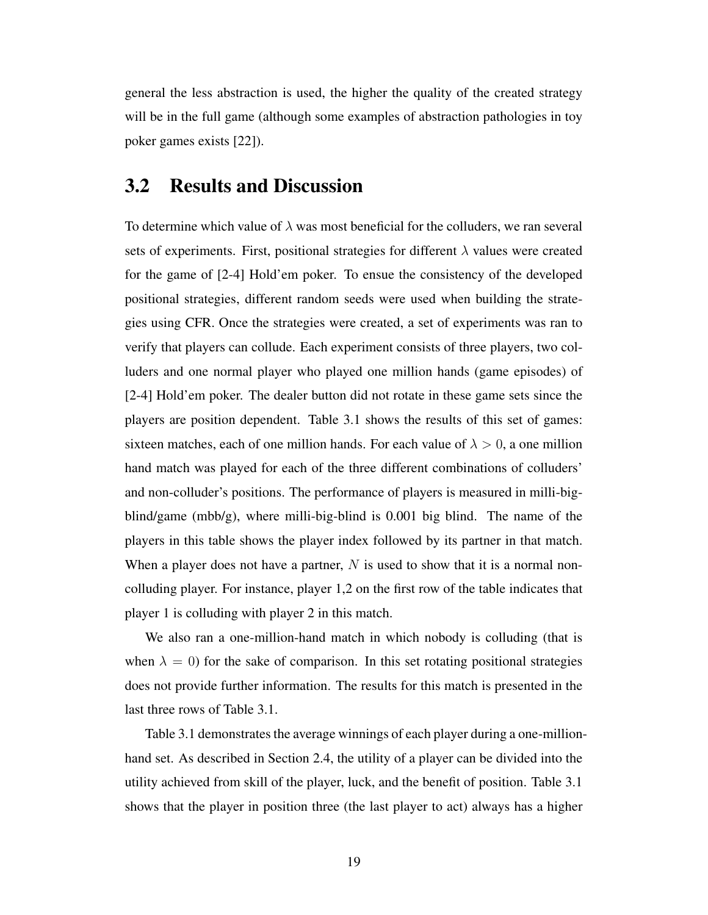general the less abstraction is used, the higher the quality of the created strategy will be in the full game (although some examples of abstraction pathologies in toy poker games exists [22]).

## 3.2 Results and Discussion

To determine which value of  $\lambda$  was most beneficial for the colluders, we ran several sets of experiments. First, positional strategies for different  $\lambda$  values were created for the game of [2-4] Hold'em poker. To ensue the consistency of the developed positional strategies, different random seeds were used when building the strategies using CFR. Once the strategies were created, a set of experiments was ran to verify that players can collude. Each experiment consists of three players, two colluders and one normal player who played one million hands (game episodes) of [2-4] Hold'em poker. The dealer button did not rotate in these game sets since the players are position dependent. Table 3.1 shows the results of this set of games: sixteen matches, each of one million hands. For each value of  $\lambda > 0$ , a one million hand match was played for each of the three different combinations of colluders' and non-colluder's positions. The performance of players is measured in milli-bigblind/game (mbb/g), where milli-big-blind is 0.001 big blind. The name of the players in this table shows the player index followed by its partner in that match. When a player does not have a partner,  $N$  is used to show that it is a normal noncolluding player. For instance, player 1,2 on the first row of the table indicates that player 1 is colluding with player 2 in this match.

We also ran a one-million-hand match in which nobody is colluding (that is when  $\lambda = 0$ ) for the sake of comparison. In this set rotating positional strategies does not provide further information. The results for this match is presented in the last three rows of Table 3.1.

Table 3.1 demonstrates the average winnings of each player during a one-millionhand set. As described in Section 2.4, the utility of a player can be divided into the utility achieved from skill of the player, luck, and the benefit of position. Table 3.1 shows that the player in position three (the last player to act) always has a higher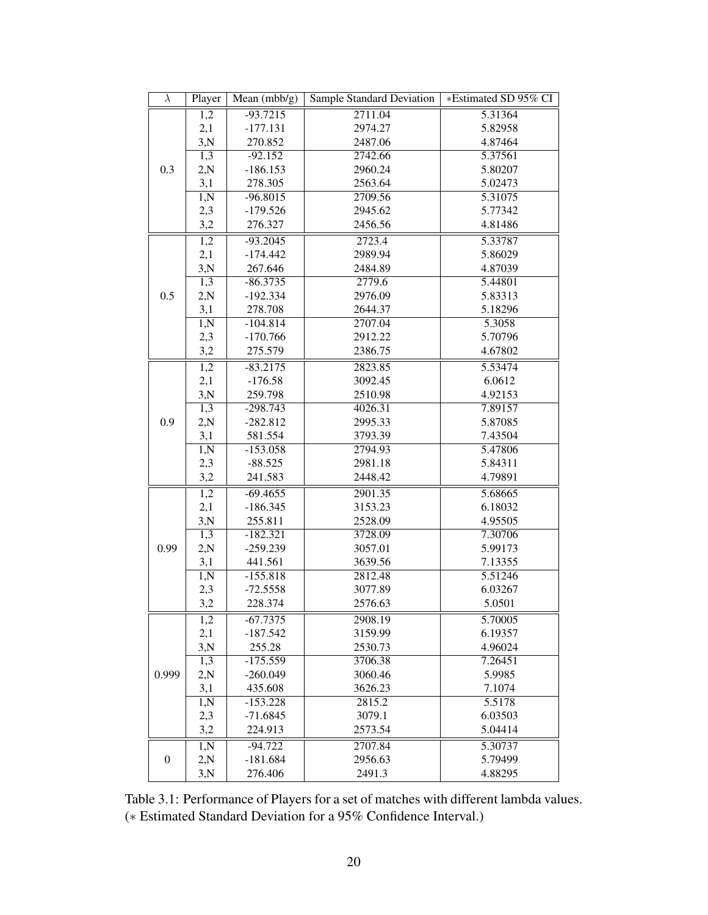| $\lambda$        | Player            | Sample Standard Deviation<br>Mean $(mbb/g)$ |         | *Estimated SD 95% CI |
|------------------|-------------------|---------------------------------------------|---------|----------------------|
|                  | $\overline{1,2}$  | $-93.7215$                                  | 2711.04 | 5.31364              |
|                  | 2,1               | $-177.131$                                  | 2974.27 | 5.82958              |
|                  | 3,N               | 270.852                                     | 2487.06 | 4.87464              |
|                  | $\overline{1,3}$  | $-92.152$                                   | 2742.66 | 5.37561              |
| 0.3              | 2,N               | $-186.153$                                  | 2960.24 | 5.80207              |
|                  | 3,1               | 278.305                                     | 2563.64 | 5.02473              |
|                  | 1, N              | $-96.8015$                                  | 2709.56 | 5.31075              |
|                  | 2,3               | $-179.526$                                  | 2945.62 | 5.77342              |
|                  | 3,2               | 276.327                                     | 2456.56 | 4.81486              |
|                  | $\overline{1,2}$  | $-93.2045$                                  | 2723.4  | 5.33787              |
|                  | 2,1               | $-174.442$                                  | 2989.94 | 5.86029              |
|                  | 3,N               | 267.646                                     | 2484.89 | 4.87039              |
|                  | 1,3               | $-86.3735$                                  | 2779.6  | 5.44801              |
| 0.5              | 2,N               | $-192.334$                                  | 2976.09 | 5.83313              |
|                  | 3,1               | 278.708                                     | 2644.37 | 5.18296              |
|                  | $\overline{1, N}$ | $-104.814$                                  | 2707.04 | 5.3058               |
|                  | 2,3               | $-170.766$                                  | 2912.22 | 5.70796              |
|                  | 3,2               | 275.579                                     | 2386.75 | 4.67802              |
|                  | $\overline{1,2}$  | $-83.2175$                                  | 2823.85 | 5.53474              |
|                  | 2,1               | $-176.58$                                   | 3092.45 | 6.0612               |
|                  | 3,N               | 259.798                                     | 2510.98 | 4.92153              |
|                  | 1,3               | $-298.743$                                  | 4026.31 | 7.89157              |
| 0.9              | 2,N               | $-282.812$                                  | 2995.33 | 5.87085              |
|                  | 3,1               | 581.554                                     | 3793.39 | 7.43504              |
|                  | $\overline{1, N}$ | $-153.058$                                  | 2794.93 | 5.47806              |
|                  | 2,3               | $-88.525$                                   | 2981.18 | 5.84311              |
|                  | 3,2               | 241.583                                     | 2448.42 | 4.79891              |
|                  | 1,2               | $-69.4655$                                  | 2901.35 | 5.68665              |
|                  | 2,1               | $-186.345$                                  | 3153.23 | 6.18032              |
|                  | 3,N               | 255.811                                     | 2528.09 | 4.95505              |
|                  | $\overline{1,3}$  | $-182.321$                                  | 3728.09 | 7.30706              |
| 0.99             | 2,N               | $-259.239$                                  | 3057.01 | 5.99173              |
|                  | 3,1               | 441.561                                     | 3639.56 | 7.13355              |
|                  | $\overline{1, N}$ | $-155.818$                                  | 2812.48 | 5.51246              |
|                  | 2,3               | $-72.5558$                                  | 3077.89 | 6.03267              |
|                  | 3,2               | 228.374                                     | 2576.63 | 5.0501               |
|                  | 1,2               | $-67.7375$                                  | 2908.19 | 5.70005              |
|                  | 2,1               | $-187.542$                                  | 3159.99 | 6.19357              |
|                  | 3,N               | 255.28                                      | 2530.73 | 4.96024              |
|                  | 1,3               | $-175.559$                                  | 3706.38 | 7.26451              |
| 0.999            | 2,N               | $-260.049$                                  | 3060.46 | 5.9985               |
|                  | 3,1               | 435.608                                     | 3626.23 | 7.1074               |
|                  | 1, N              | $-153.228$                                  | 2815.2  | 5.5178               |
|                  | 2,3               | $-71.6845$                                  | 3079.1  | 6.03503              |
|                  | 3,2               | 224.913                                     | 2573.54 | 5.04414              |
|                  | $\overline{1, N}$ | $-94.722$                                   | 2707.84 | 5.30737              |
| $\boldsymbol{0}$ | 2,N               | $-181.684$                                  | 2956.63 | 5.79499              |
|                  | 3,N               | 276.406                                     | 2491.3  | 4.88295              |

Table 3.1: Performance of Players for a set of matches with different lambda values. (∗ Estimated Standard Deviation for a 95% Confidence Interval.)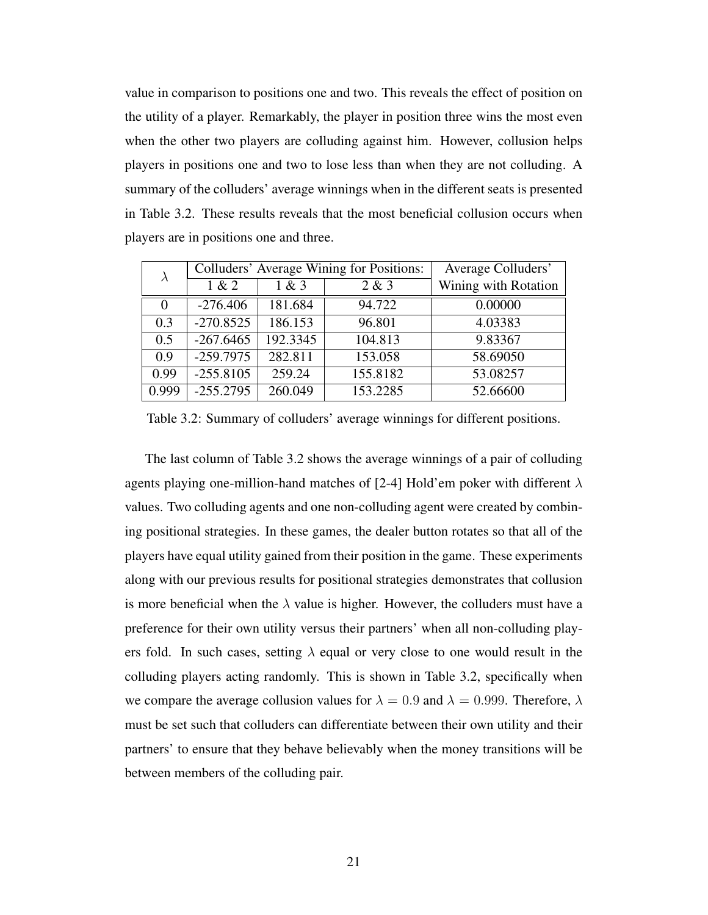value in comparison to positions one and two. This reveals the effect of position on the utility of a player. Remarkably, the player in position three wins the most even when the other two players are colluding against him. However, collusion helps players in positions one and two to lose less than when they are not colluding. A summary of the colluders' average winnings when in the different seats is presented in Table 3.2. These results reveals that the most beneficial collusion occurs when players are in positions one and three.

| $\lambda$ |             | Colluders' Average Wining for Positions: | Average Colluders' |                      |
|-----------|-------------|------------------------------------------|--------------------|----------------------|
|           | 1 & 2       | 1 & 3                                    | 2 & 3              | Wining with Rotation |
| $\Omega$  | $-276.406$  | 181.684                                  | 94.722             | 0.00000              |
| 0.3       | $-270.8525$ | 186.153                                  | 96.801             | 4.03383              |
| 0.5       | $-267.6465$ | 192.3345                                 | 104.813            | 9.83367              |
| 0.9       | $-259.7975$ | 282.811                                  | 153.058            | 58.69050             |
| 0.99      | $-255.8105$ | 259.24                                   | 155.8182           | 53.08257             |
| 0.999     | $-255.2795$ | 260.049                                  | 153.2285           | 52.66600             |

Table 3.2: Summary of colluders' average winnings for different positions.

The last column of Table 3.2 shows the average winnings of a pair of colluding agents playing one-million-hand matches of [2-4] Hold'em poker with different  $\lambda$ values. Two colluding agents and one non-colluding agent were created by combining positional strategies. In these games, the dealer button rotates so that all of the players have equal utility gained from their position in the game. These experiments along with our previous results for positional strategies demonstrates that collusion is more beneficial when the  $\lambda$  value is higher. However, the colluders must have a preference for their own utility versus their partners' when all non-colluding players fold. In such cases, setting  $\lambda$  equal or very close to one would result in the colluding players acting randomly. This is shown in Table 3.2, specifically when we compare the average collusion values for  $\lambda = 0.9$  and  $\lambda = 0.999$ . Therefore,  $\lambda$ must be set such that colluders can differentiate between their own utility and their partners' to ensure that they behave believably when the money transitions will be between members of the colluding pair.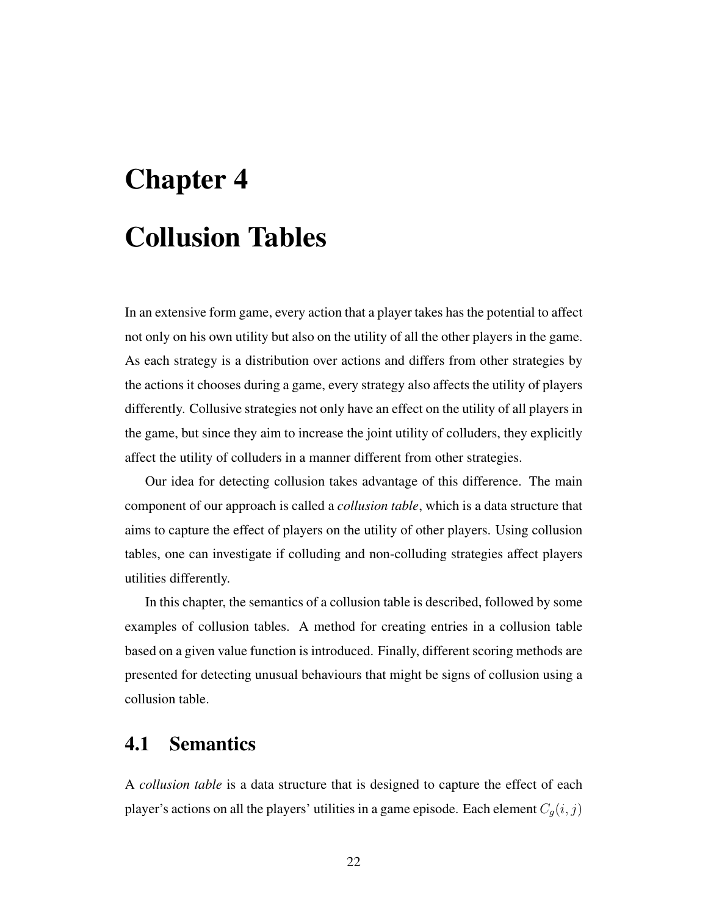# Chapter 4 Collusion Tables

In an extensive form game, every action that a player takes has the potential to affect not only on his own utility but also on the utility of all the other players in the game. As each strategy is a distribution over actions and differs from other strategies by the actions it chooses during a game, every strategy also affects the utility of players differently. Collusive strategies not only have an effect on the utility of all players in the game, but since they aim to increase the joint utility of colluders, they explicitly affect the utility of colluders in a manner different from other strategies.

Our idea for detecting collusion takes advantage of this difference. The main component of our approach is called a *collusion table*, which is a data structure that aims to capture the effect of players on the utility of other players. Using collusion tables, one can investigate if colluding and non-colluding strategies affect players utilities differently.

In this chapter, the semantics of a collusion table is described, followed by some examples of collusion tables. A method for creating entries in a collusion table based on a given value function is introduced. Finally, different scoring methods are presented for detecting unusual behaviours that might be signs of collusion using a collusion table.

### 4.1 Semantics

A *collusion table* is a data structure that is designed to capture the effect of each player's actions on all the players' utilities in a game episode. Each element  $C_q(i, j)$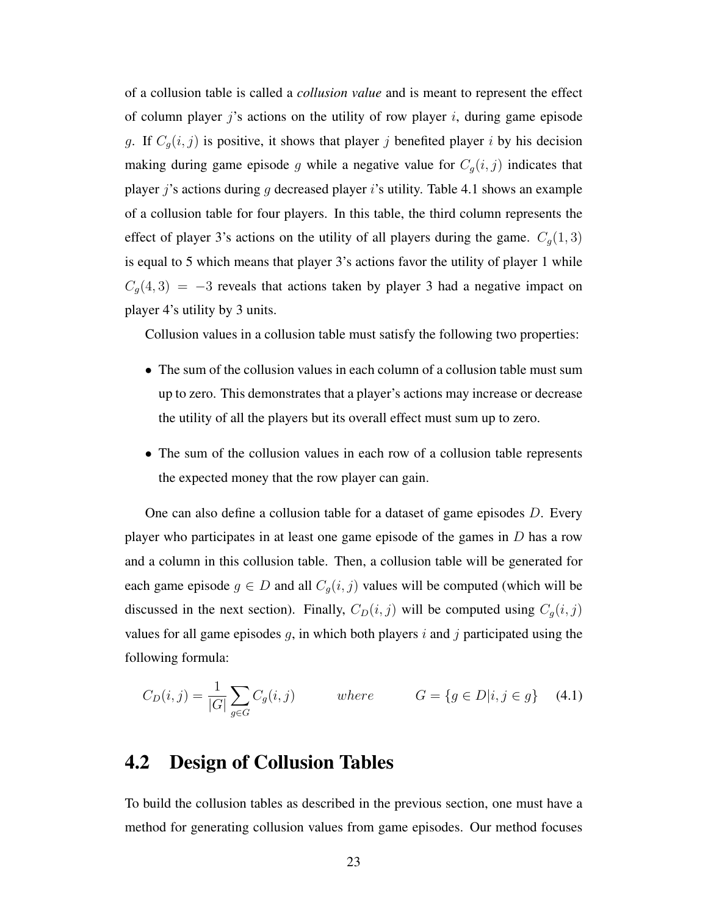of a collusion table is called a *collusion value* and is meant to represent the effect of column player j's actions on the utility of row player i, during game episode g. If  $C_g(i, j)$  is positive, it shows that player j benefited player i by his decision making during game episode g while a negative value for  $C_g(i, j)$  indicates that player j's actions during g decreased player i's utility. Table 4.1 shows an example of a collusion table for four players. In this table, the third column represents the effect of player 3's actions on the utility of all players during the game.  $C_g(1,3)$ is equal to 5 which means that player 3's actions favor the utility of player 1 while  $C<sub>g</sub>(4,3) = -3$  reveals that actions taken by player 3 had a negative impact on player 4's utility by 3 units.

Collusion values in a collusion table must satisfy the following two properties:

- The sum of the collusion values in each column of a collusion table must sum up to zero. This demonstrates that a player's actions may increase or decrease the utility of all the players but its overall effect must sum up to zero.
- The sum of the collusion values in each row of a collusion table represents the expected money that the row player can gain.

One can also define a collusion table for a dataset of game episodes D. Every player who participates in at least one game episode of the games in  $D$  has a row and a column in this collusion table. Then, a collusion table will be generated for each game episode  $g \in D$  and all  $C_g(i, j)$  values will be computed (which will be discussed in the next section). Finally,  $C_D(i, j)$  will be computed using  $C_g(i, j)$ values for all game episodes  $g$ , in which both players  $i$  and  $j$  participated using the following formula:

$$
C_D(i,j) = \frac{1}{|G|} \sum_{g \in G} C_g(i,j) \qquad \text{where} \qquad G = \{g \in D | i, j \in g\} \quad (4.1)
$$

## 4.2 Design of Collusion Tables

To build the collusion tables as described in the previous section, one must have a method for generating collusion values from game episodes. Our method focuses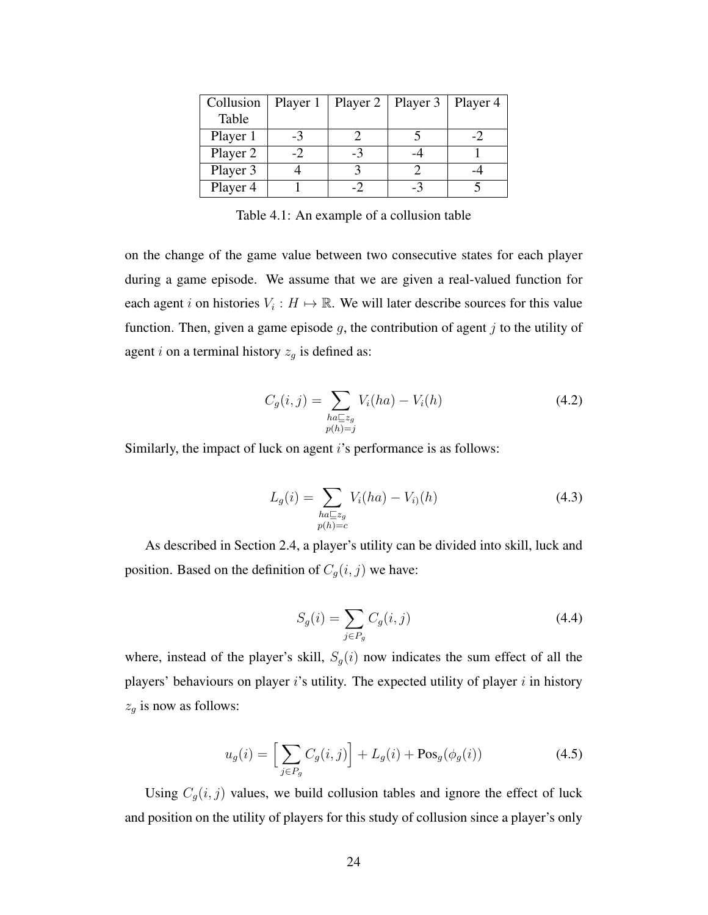| Collusion | Player 1 |    | Player $2 \mid$ Player 3 | Player 4 |
|-----------|----------|----|--------------------------|----------|
| Table     |          |    |                          |          |
| Player 1  | -3       |    |                          |          |
| Player 2  |          | -3 |                          |          |
| Player 3  |          |    |                          |          |
| Player 4  |          |    |                          |          |

Table 4.1: An example of a collusion table

on the change of the game value between two consecutive states for each player during a game episode. We assume that we are given a real-valued function for each agent i on histories  $V_i : H \mapsto \mathbb{R}$ . We will later describe sources for this value function. Then, given a game episode  $g$ , the contribution of agent  $j$  to the utility of agent i on a terminal history  $z_g$  is defined as:

$$
C_g(i,j) = \sum_{\substack{ha \sqsubseteq z_g \\ p(h)=j}} V_i(ha) - V_i(h)
$$
\n(4.2)

Similarly, the impact of luck on agent *i*'s performance is as follows:

$$
L_g(i) = \sum_{\substack{ha \sqsubseteq z_g \\ p(h) = c}} V_i(ha) - V_{i}(h)
$$
\n(4.3)

As described in Section 2.4, a player's utility can be divided into skill, luck and position. Based on the definition of  $C_g(i, j)$  we have:

$$
S_g(i) = \sum_{j \in P_g} C_g(i, j) \tag{4.4}
$$

where, instead of the player's skill,  $S_g(i)$  now indicates the sum effect of all the players' behaviours on player is utility. The expected utility of player  $i$  in history  $z_g$  is now as follows:

$$
u_g(i) = \left[\sum_{j \in P_g} C_g(i,j)\right] + L_g(i) + \text{Pos}_g(\phi_g(i))\tag{4.5}
$$

Using  $C_g(i, j)$  values, we build collusion tables and ignore the effect of luck and position on the utility of players for this study of collusion since a player's only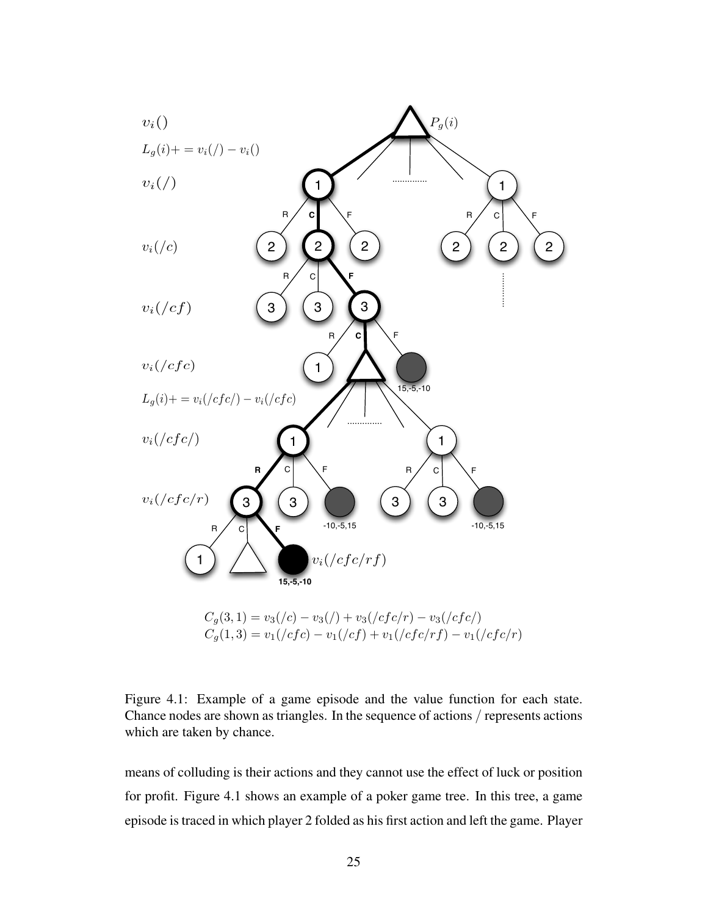

Figure 4.1: Example of a game episode and the value function for each state. Chance nodes are shown as triangles. In the sequence of actions / represents actions which are taken by chance.

means of colluding is their actions and they cannot use the effect of luck or position for profit. Figure 4.1 shows an example of a poker game tree. In this tree, a game episode is traced in which player 2 folded as his first action and left the game. Player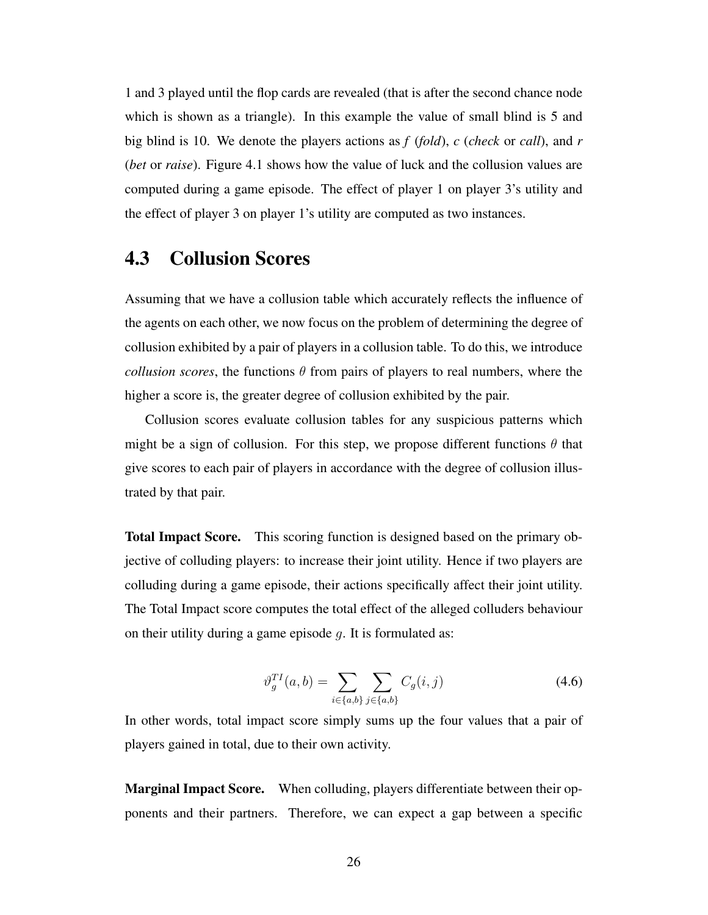1 and 3 played until the flop cards are revealed (that is after the second chance node which is shown as a triangle). In this example the value of small blind is 5 and big blind is 10. We denote the players actions as *f* (*fold*), *c* (*check* or *call*), and *r* (*bet* or *raise*). Figure 4.1 shows how the value of luck and the collusion values are computed during a game episode. The effect of player 1 on player 3's utility and the effect of player 3 on player 1's utility are computed as two instances.

### 4.3 Collusion Scores

Assuming that we have a collusion table which accurately reflects the influence of the agents on each other, we now focus on the problem of determining the degree of collusion exhibited by a pair of players in a collusion table. To do this, we introduce *collusion scores*, the functions  $\theta$  from pairs of players to real numbers, where the higher a score is, the greater degree of collusion exhibited by the pair.

Collusion scores evaluate collusion tables for any suspicious patterns which might be a sign of collusion. For this step, we propose different functions  $\theta$  that give scores to each pair of players in accordance with the degree of collusion illustrated by that pair.

Total Impact Score. This scoring function is designed based on the primary objective of colluding players: to increase their joint utility. Hence if two players are colluding during a game episode, their actions specifically affect their joint utility. The Total Impact score computes the total effect of the alleged colluders behaviour on their utility during a game episode  $q$ . It is formulated as:

$$
\vartheta_g^{TI}(a,b) = \sum_{i \in \{a,b\}} \sum_{j \in \{a,b\}} C_g(i,j) \tag{4.6}
$$

In other words, total impact score simply sums up the four values that a pair of players gained in total, due to their own activity.

Marginal Impact Score. When colluding, players differentiate between their opponents and their partners. Therefore, we can expect a gap between a specific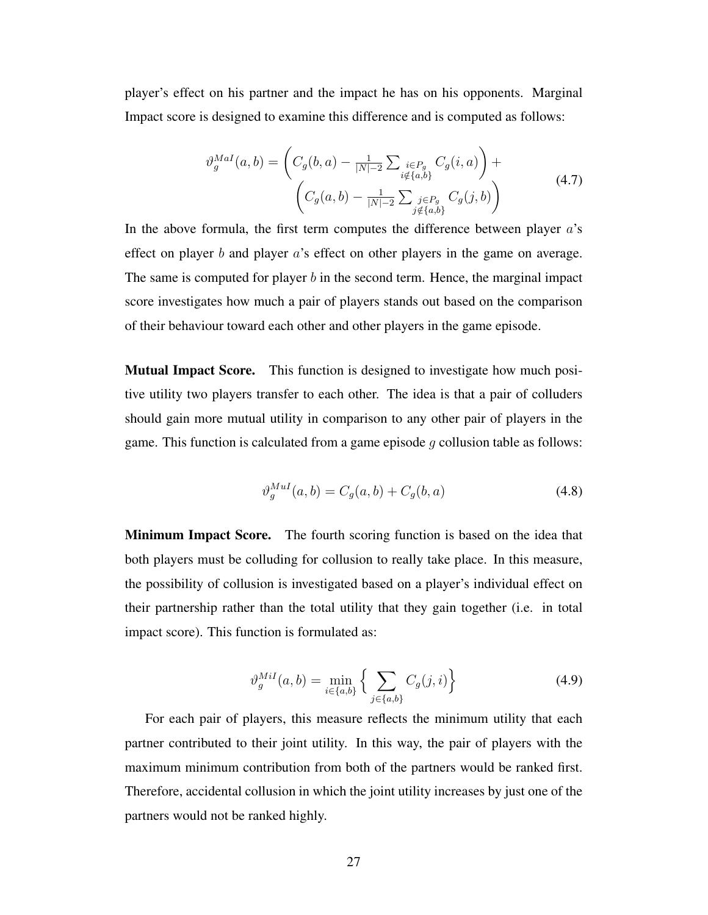player's effect on his partner and the impact he has on his opponents. Marginal Impact score is designed to examine this difference and is computed as follows:

$$
\vartheta_g^{Mal}(a, b) = \left( C_g(b, a) - \frac{1}{|N|-2} \sum_{\substack{i \in P_g \\ i \notin \{a, b\}}} C_g(i, a) \right) + \left( C_g(a, b) - \frac{1}{|N|-2} \sum_{\substack{j \in P_g \\ j \notin \{a, b\}}} C_g(j, b) \right)
$$
\n(4.7)

In the above formula, the first term computes the difference between player  $a$ 's effect on player  $b$  and player  $a$ 's effect on other players in the game on average. The same is computed for player  $b$  in the second term. Hence, the marginal impact score investigates how much a pair of players stands out based on the comparison of their behaviour toward each other and other players in the game episode.

Mutual Impact Score. This function is designed to investigate how much positive utility two players transfer to each other. The idea is that a pair of colluders should gain more mutual utility in comparison to any other pair of players in the game. This function is calculated from a game episode  $g$  collusion table as follows:

$$
\vartheta_g^{Mul}(a, b) = C_g(a, b) + C_g(b, a)
$$
\n(4.8)

Minimum Impact Score. The fourth scoring function is based on the idea that both players must be colluding for collusion to really take place. In this measure, the possibility of collusion is investigated based on a player's individual effect on their partnership rather than the total utility that they gain together (i.e. in total impact score). This function is formulated as:

$$
\vartheta_g^{Mil}(a,b) = \min_{i \in \{a,b\}} \left\{ \sum_{j \in \{a,b\}} C_g(j,i) \right\} \tag{4.9}
$$

For each pair of players, this measure reflects the minimum utility that each partner contributed to their joint utility. In this way, the pair of players with the maximum minimum contribution from both of the partners would be ranked first. Therefore, accidental collusion in which the joint utility increases by just one of the partners would not be ranked highly.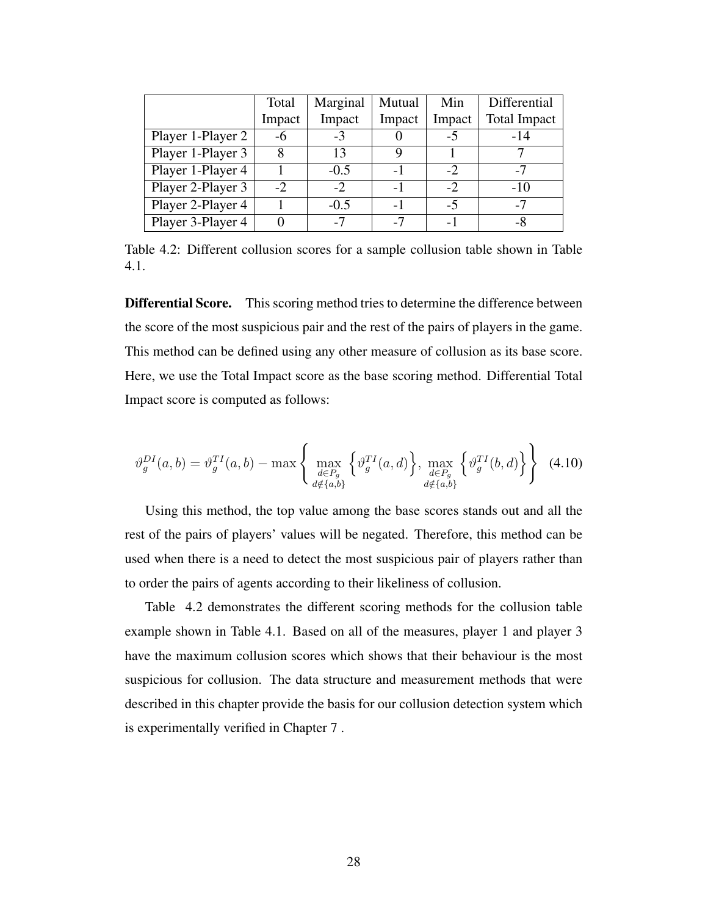|                   | Total  | Marginal | Mutual | Min    | Differential        |
|-------------------|--------|----------|--------|--------|---------------------|
|                   | Impact | Impact   | Impact | Impact | <b>Total Impact</b> |
| Player 1-Player 2 | -6     | $-3$     |        | $-5$   | $-14$               |
| Player 1-Player 3 | 8      | 13       |        |        |                     |
| Player 1-Player 4 |        | $-0.5$   |        | $-2$   | $-7$                |
| Player 2-Player 3 | $-2$   | $-2$     |        | $-2$   | $-10$               |
| Player 2-Player 4 |        | $-0.5$   |        | -5     | $-7$                |
| Player 3-Player 4 |        | $-7$     | $-7$   | -1     |                     |

Table 4.2: Different collusion scores for a sample collusion table shown in Table 4.1.

Differential Score. This scoring method tries to determine the difference between the score of the most suspicious pair and the rest of the pairs of players in the game. This method can be defined using any other measure of collusion as its base score. Here, we use the Total Impact score as the base scoring method. Differential Total Impact score is computed as follows:

$$
\vartheta_g^{DI}(a,b) = \vartheta_g^{TI}(a,b) - \max\left\{\max_{\substack{d \in P_g \\ d \notin \{a,b\}}}\left\{\vartheta_g^{TI}(a,d)\right\}, \max_{\substack{d \in P_g \\ d \notin \{a,b\}}}\left\{\vartheta_g^{TI}(b,d)\right\}\right\}
$$
(4.10)

Using this method, the top value among the base scores stands out and all the rest of the pairs of players' values will be negated. Therefore, this method can be used when there is a need to detect the most suspicious pair of players rather than to order the pairs of agents according to their likeliness of collusion.

Table 4.2 demonstrates the different scoring methods for the collusion table example shown in Table 4.1. Based on all of the measures, player 1 and player 3 have the maximum collusion scores which shows that their behaviour is the most suspicious for collusion. The data structure and measurement methods that were described in this chapter provide the basis for our collusion detection system which is experimentally verified in Chapter 7 .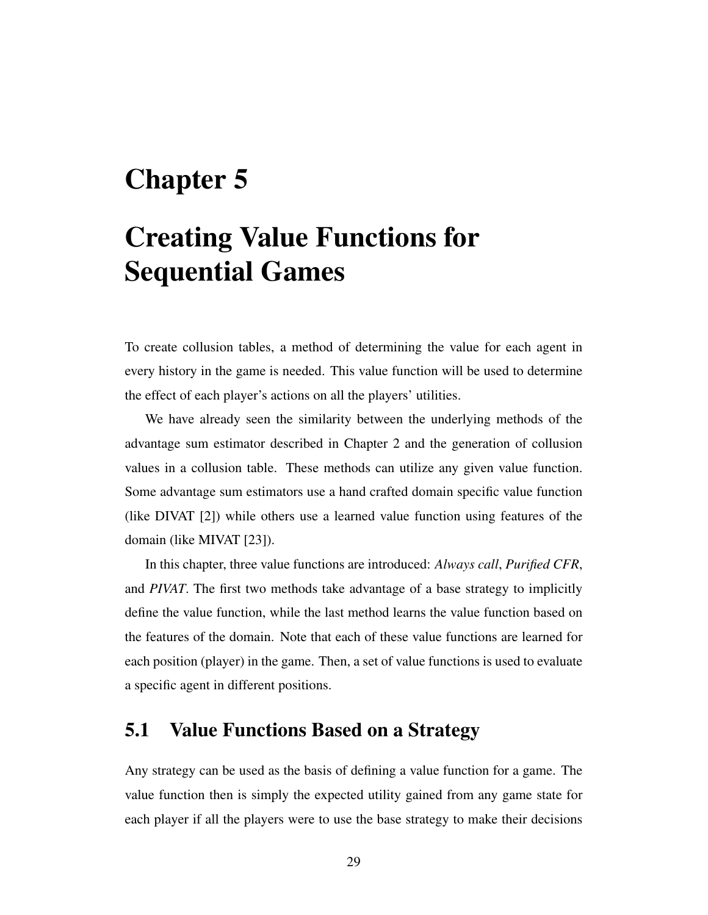## Chapter 5

## Creating Value Functions for Sequential Games

To create collusion tables, a method of determining the value for each agent in every history in the game is needed. This value function will be used to determine the effect of each player's actions on all the players' utilities.

We have already seen the similarity between the underlying methods of the advantage sum estimator described in Chapter 2 and the generation of collusion values in a collusion table. These methods can utilize any given value function. Some advantage sum estimators use a hand crafted domain specific value function (like DIVAT [2]) while others use a learned value function using features of the domain (like MIVAT [23]).

In this chapter, three value functions are introduced: *Always call*, *Purified CFR*, and *PIVAT*. The first two methods take advantage of a base strategy to implicitly define the value function, while the last method learns the value function based on the features of the domain. Note that each of these value functions are learned for each position (player) in the game. Then, a set of value functions is used to evaluate a specific agent in different positions.

## 5.1 Value Functions Based on a Strategy

Any strategy can be used as the basis of defining a value function for a game. The value function then is simply the expected utility gained from any game state for each player if all the players were to use the base strategy to make their decisions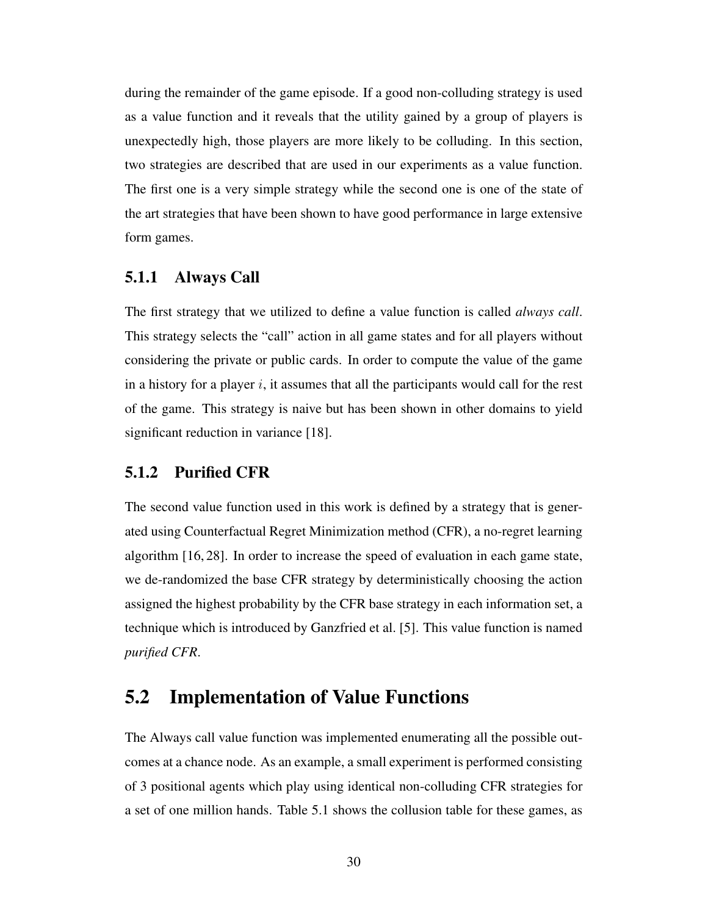during the remainder of the game episode. If a good non-colluding strategy is used as a value function and it reveals that the utility gained by a group of players is unexpectedly high, those players are more likely to be colluding. In this section, two strategies are described that are used in our experiments as a value function. The first one is a very simple strategy while the second one is one of the state of the art strategies that have been shown to have good performance in large extensive form games.

### 5.1.1 Always Call

The first strategy that we utilized to define a value function is called *always call*. This strategy selects the "call" action in all game states and for all players without considering the private or public cards. In order to compute the value of the game in a history for a player  $i$ , it assumes that all the participants would call for the rest of the game. This strategy is naive but has been shown in other domains to yield significant reduction in variance [18].

### 5.1.2 Purified CFR

The second value function used in this work is defined by a strategy that is generated using Counterfactual Regret Minimization method (CFR), a no-regret learning algorithm [16, 28]. In order to increase the speed of evaluation in each game state, we de-randomized the base CFR strategy by deterministically choosing the action assigned the highest probability by the CFR base strategy in each information set, a technique which is introduced by Ganzfried et al. [5]. This value function is named *purified CFR*.

## 5.2 Implementation of Value Functions

The Always call value function was implemented enumerating all the possible outcomes at a chance node. As an example, a small experiment is performed consisting of 3 positional agents which play using identical non-colluding CFR strategies for a set of one million hands. Table 5.1 shows the collusion table for these games, as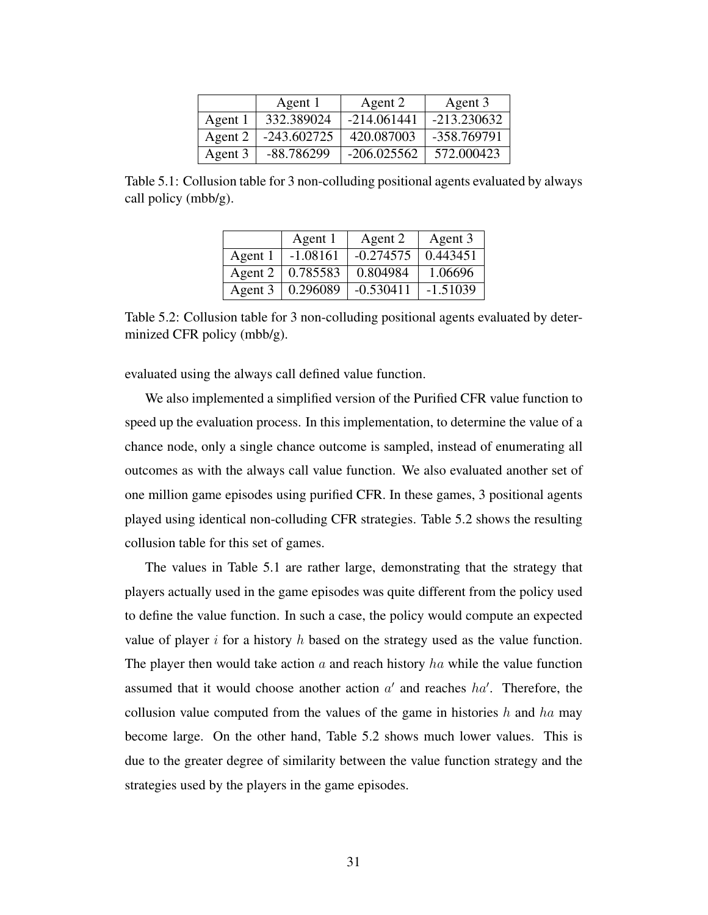|         | Agent 1       | Agent 2       | Agent 3     |
|---------|---------------|---------------|-------------|
| Agent 1 | 332.389024    | $-214.061441$ | -213.230632 |
| Agent 2 | $-243.602725$ | 420.087003    | -358.769791 |
| Agent 3 | -88.786299    | $-206.025562$ | 572,000423  |

Table 5.1: Collusion table for 3 non-colluding positional agents evaluated by always call policy (mbb/g).

|         | Agent 1    | Agent 2     | Agent 3    |
|---------|------------|-------------|------------|
| Agent 1 | $-1.08161$ | $-0.274575$ | 0.443451   |
| Agent 2 | 0.785583   | 0.804984    | 1.06696    |
| Agent 3 | 0.296089   | $-0.530411$ | $-1.51039$ |

Table 5.2: Collusion table for 3 non-colluding positional agents evaluated by determinized CFR policy (mbb/g).

evaluated using the always call defined value function.

We also implemented a simplified version of the Purified CFR value function to speed up the evaluation process. In this implementation, to determine the value of a chance node, only a single chance outcome is sampled, instead of enumerating all outcomes as with the always call value function. We also evaluated another set of one million game episodes using purified CFR. In these games, 3 positional agents played using identical non-colluding CFR strategies. Table 5.2 shows the resulting collusion table for this set of games.

The values in Table 5.1 are rather large, demonstrating that the strategy that players actually used in the game episodes was quite different from the policy used to define the value function. In such a case, the policy would compute an expected value of player i for a history h based on the strategy used as the value function. The player then would take action  $\alpha$  and reach history  $ha$  while the value function assumed that it would choose another action  $a'$  and reaches  $ha'$ . Therefore, the collusion value computed from the values of the game in histories h and ha may become large. On the other hand, Table 5.2 shows much lower values. This is due to the greater degree of similarity between the value function strategy and the strategies used by the players in the game episodes.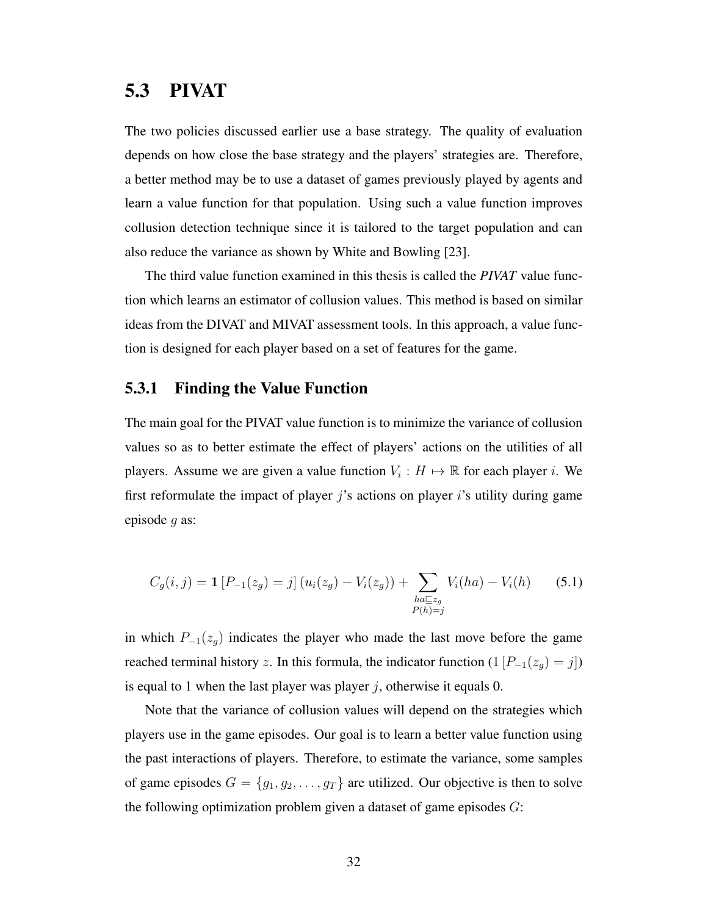### 5.3 PIVAT

The two policies discussed earlier use a base strategy. The quality of evaluation depends on how close the base strategy and the players' strategies are. Therefore, a better method may be to use a dataset of games previously played by agents and learn a value function for that population. Using such a value function improves collusion detection technique since it is tailored to the target population and can also reduce the variance as shown by White and Bowling [23].

The third value function examined in this thesis is called the *PIVAT* value function which learns an estimator of collusion values. This method is based on similar ideas from the DIVAT and MIVAT assessment tools. In this approach, a value function is designed for each player based on a set of features for the game.

#### 5.3.1 Finding the Value Function

The main goal for the PIVAT value function is to minimize the variance of collusion values so as to better estimate the effect of players' actions on the utilities of all players. Assume we are given a value function  $V_i : H \mapsto \mathbb{R}$  for each player i. We first reformulate the impact of player  $j$ 's actions on player  $i$ 's utility during game episode g as:

$$
C_g(i,j) = \mathbf{1} \left[ P_{-1}(z_g) = j \right] \left( u_i(z_g) - V_i(z_g) \right) + \sum_{\substack{ha \sqsubseteq z_g \\ P(h) = j}} V_i(ha) - V_i(h) \tag{5.1}
$$

in which  $P_{-1}(z_g)$  indicates the player who made the last move before the game reached terminal history z. In this formula, the indicator function  $(1 [P_{-1}(z_g) = j])$ is equal to 1 when the last player was player j, otherwise it equals 0.

Note that the variance of collusion values will depend on the strategies which players use in the game episodes. Our goal is to learn a better value function using the past interactions of players. Therefore, to estimate the variance, some samples of game episodes  $G = \{g_1, g_2, \dots, g_T\}$  are utilized. Our objective is then to solve the following optimization problem given a dataset of game episodes  $G$ :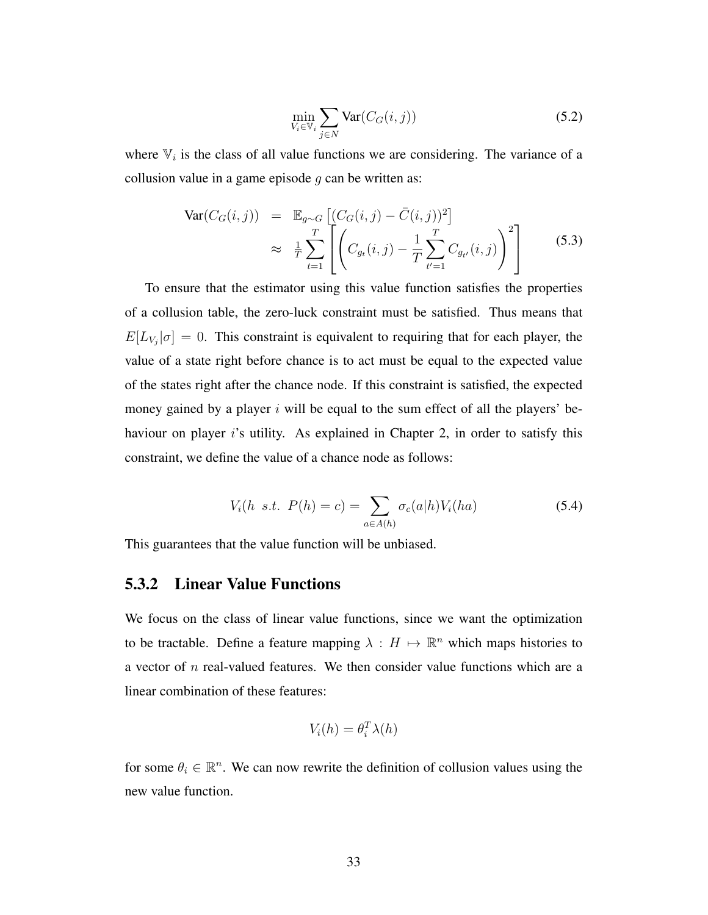$$
\min_{V_i \in \mathbb{V}_i} \sum_{j \in N} \text{Var}(C_G(i,j)) \tag{5.2}
$$

where  $\mathbb{V}_i$  is the class of all value functions we are considering. The variance of a collusion value in a game episode  $q$  can be written as:

$$
\text{Var}(C_G(i,j)) = \mathbb{E}_{g \sim G} \left[ (C_G(i,j) - \bar{C}(i,j))^2 \right] \n\approx \frac{1}{T} \sum_{t=1}^T \left[ \left( C_{g_t}(i,j) - \frac{1}{T} \sum_{t'=1}^T C_{g_{t'}}(i,j) \right)^2 \right]
$$
\n(5.3)

To ensure that the estimator using this value function satisfies the properties of a collusion table, the zero-luck constraint must be satisfied. Thus means that  $E[L_{V_j}|\sigma] = 0$ . This constraint is equivalent to requiring that for each player, the value of a state right before chance is to act must be equal to the expected value of the states right after the chance node. If this constraint is satisfied, the expected money gained by a player i will be equal to the sum effect of all the players' behaviour on player is utility. As explained in Chapter 2, in order to satisfy this constraint, we define the value of a chance node as follows:

$$
V_i(h \ s.t. \ P(h) = c) = \sum_{a \in A(h)} \sigma_c(a|h) V_i(ha) \tag{5.4}
$$

This guarantees that the value function will be unbiased.

#### 5.3.2 Linear Value Functions

We focus on the class of linear value functions, since we want the optimization to be tractable. Define a feature mapping  $\lambda : H \mapsto \mathbb{R}^n$  which maps histories to a vector of  $n$  real-valued features. We then consider value functions which are a linear combination of these features:

$$
V_i(h) = \theta_i^T \lambda(h)
$$

for some  $\theta_i \in \mathbb{R}^n$ . We can now rewrite the definition of collusion values using the new value function.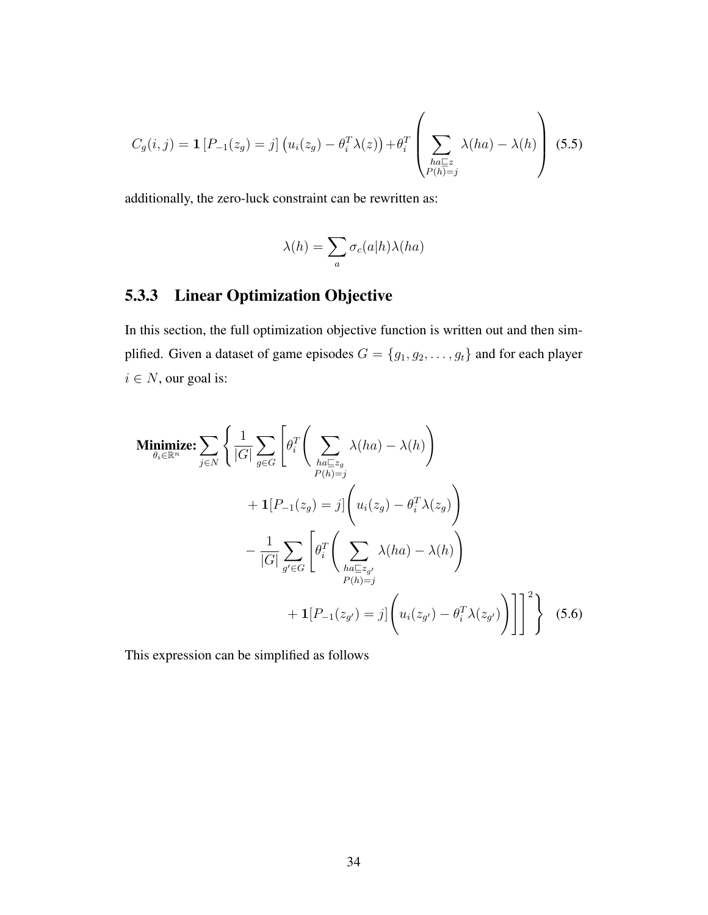$$
C_g(i,j) = \mathbf{1}\left[P_{-1}(z_g) = j\right]\left(u_i(z_g) - \theta_i^T \lambda(z)\right) + \theta_i^T \left(\sum_{\substack{ha \sqsubseteq z \\ P(h)=j}} \lambda(ha) - \lambda(h)\right)
$$
(5.5)

additionally, the zero-luck constraint can be rewritten as:

$$
\lambda(h) = \sum_{a} \sigma_c(a|h)\lambda(ha)
$$

### 5.3.3 Linear Optimization Objective

In this section, the full optimization objective function is written out and then simplified. Given a dataset of game episodes  $G = \{g_1, g_2, \dots, g_t\}$  and for each player  $i \in N$ , our goal is:

$$
\begin{split}\n\text{Minimize:} \sum_{\theta_i \in \mathbb{R}^n} \left\{ \frac{1}{|G|} \sum_{g \in G} \left[ \theta_i^T \left( \sum_{ha \subseteq z_g} \lambda(ha) - \lambda(h) \right) \right. \\
&+ \mathbf{1} [P_{-1}(z_g) = j] \left( u_i(z_g) - \theta_i^T \lambda(z_g) \right) \\
&- \frac{1}{|G|} \sum_{g' \in G} \left[ \theta_i^T \left( \sum_{ha \subseteq z_{g'}} \lambda(ha) - \lambda(h) \right) \right. \\
&+ \mathbf{1} [P_{-1}(z_{g'}) = j] \left( u_i(z_{g'}) - \theta_i^T \lambda(z_{g'}) \right) \right]^2 \right\} \quad (5.6)\n\end{split}
$$

This expression can be simplified as follows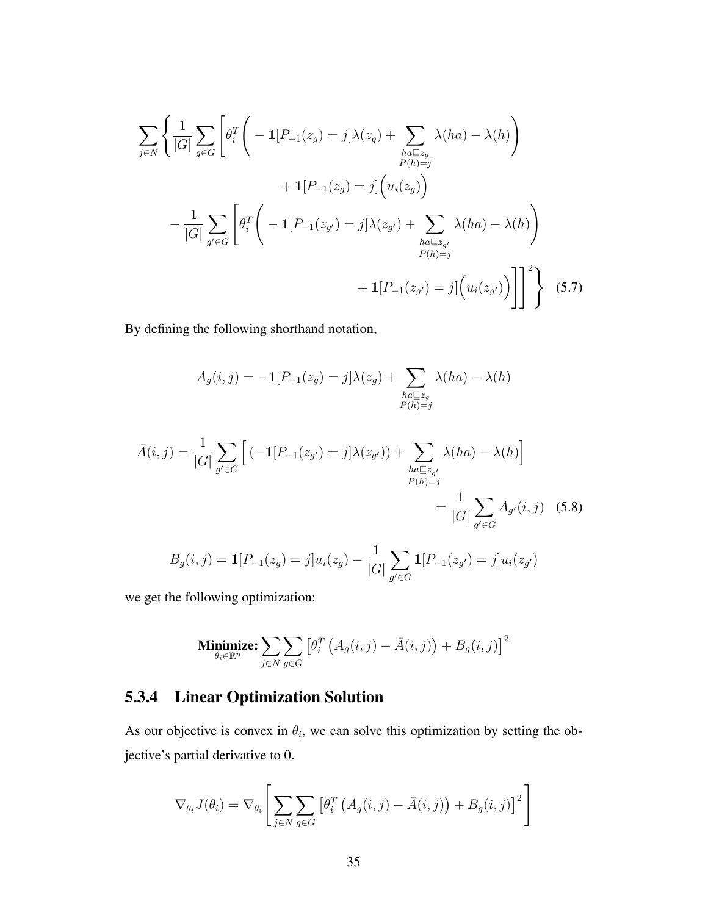$$
\sum_{j \in N} \left\{ \frac{1}{|G|} \sum_{g \in G} \left[ \theta_i^T \left( -\mathbf{1} [P_{-1}(z_g) = j] \lambda(z_g) + \sum_{\substack{ha \subseteq z_g \\ P(h) = j}} \lambda(ha) - \lambda(h) \right) \right. \\ \left. + \mathbf{1} [P_{-1}(z_g) = j] \left( u_i(z_g) \right) \right. \\ \left. - \frac{1}{|G|} \sum_{g' \in G} \left[ \theta_i^T \left( -\mathbf{1} [P_{-1}(z_{g'}) = j] \lambda(z_{g'}) + \sum_{\substack{ha \subseteq z_{g'} \\ P(h) = j}} \lambda(ha) - \lambda(h) \right) \right. \\ \left. + \mathbf{1} [P_{-1}(z_{g'}) = j] \left( u_i(z_{g'}) \right) \right] \right]^2 \right\} \tag{5.7}
$$

By defining the following shorthand notation,

$$
A_g(i,j) = -\mathbf{1}[P_{-1}(z_g) = j] \lambda(z_g) + \sum_{\substack{ha \sqsubseteq z_g \\ P(h) = j}} \lambda(ha) - \lambda(h)
$$

$$
\bar{A}(i,j) = \frac{1}{|G|} \sum_{g' \in G} \left[ (-1[P_{-1}(z_{g'}) = j] \lambda(z_{g'})) + \sum_{\substack{ha \sqsubseteq z_{g'} \\ P(h) = j}} \lambda(ha) - \lambda(h) \right]
$$

$$
= \frac{1}{|G|} \sum_{g' \in G} A_{g'}(i,j) \quad (5.8)
$$

$$
B_g(i,j) = \mathbf{1}[P_{-1}(z_g) = j]u_i(z_g) - \frac{1}{|G|} \sum_{g' \in G} \mathbf{1}[P_{-1}(z_{g'}) = j]u_i(z_{g'})
$$

we get the following optimization:

Minimize: 
$$
\sum_{\theta_i \in \mathbb{R}^n} \sum_{j \in N} \sum_{g \in G} \left[ \theta_i^T \left( A_g(i,j) - \bar{A}(i,j) \right) + B_g(i,j) \right]^2
$$

## 5.3.4 Linear Optimization Solution

As our objective is convex in  $\theta_i$ , we can solve this optimization by setting the objective's partial derivative to 0.

$$
\nabla_{\theta_i} J(\theta_i) = \nabla_{\theta_i} \left[ \sum_{j \in N} \sum_{g \in G} \left[ \theta_i^T \left( A_g(i,j) - \bar{A}(i,j) \right) + B_g(i,j) \right]^2 \right]
$$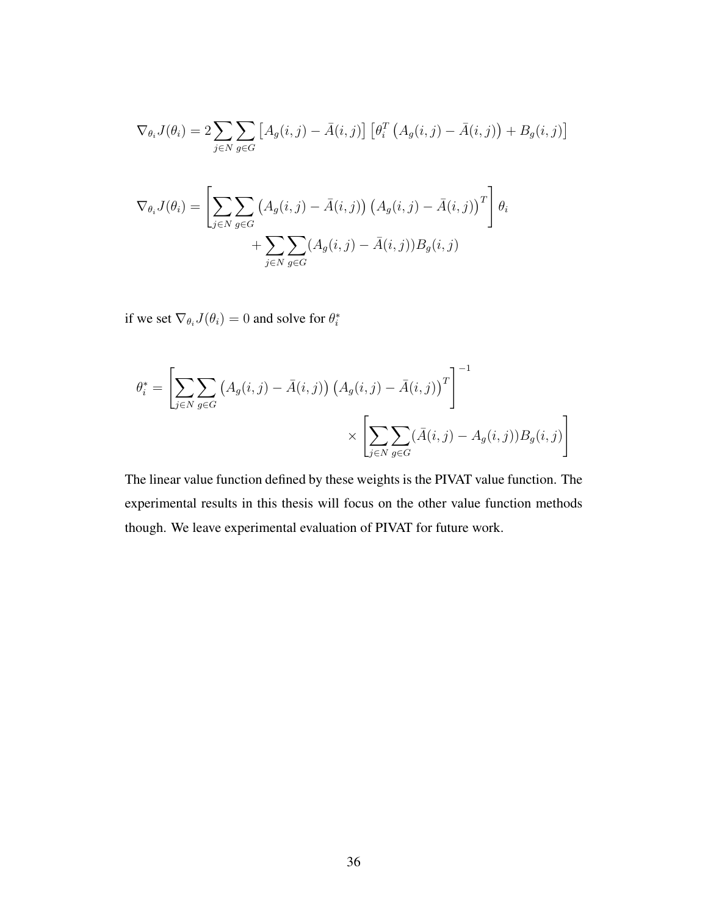$$
\nabla_{\theta_i} J(\theta_i) = 2 \sum_{j \in N} \sum_{g \in G} \left[ A_g(i,j) - \bar{A}(i,j) \right] \left[ \theta_i^T \left( A_g(i,j) - \bar{A}(i,j) \right) + B_g(i,j) \right]
$$

$$
\nabla_{\theta_i} J(\theta_i) = \left[ \sum_{j \in N} \sum_{g \in G} \left( A_g(i,j) - \bar{A}(i,j) \right) \left( A_g(i,j) - \bar{A}(i,j) \right)^T \right] \theta_i
$$

$$
+ \sum_{j \in N} \sum_{g \in G} (A_g(i,j) - \bar{A}(i,j)) B_g(i,j)
$$

if we set  $\nabla_{\theta_i} J(\theta_i) = 0$  and solve for  $\theta_i^*$ 

$$
\theta_i^* = \left[ \sum_{j \in N} \sum_{g \in G} \left( A_g(i,j) - \bar{A}(i,j) \right) \left( A_g(i,j) - \bar{A}(i,j) \right)^T \right]^{-1} \times \left[ \sum_{j \in N} \sum_{g \in G} (\bar{A}(i,j) - A_g(i,j)) B_g(i,j) \right]
$$

The linear value function defined by these weights is the PIVAT value function. The experimental results in this thesis will focus on the other value function methods though. We leave experimental evaluation of PIVAT for future work.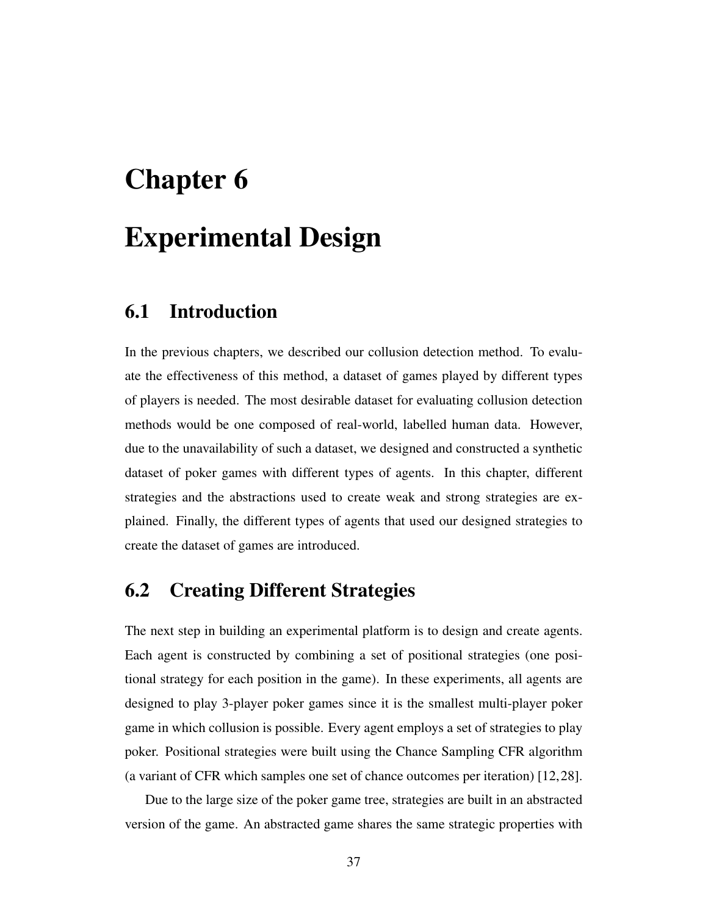# Chapter 6 Experimental Design

## 6.1 Introduction

In the previous chapters, we described our collusion detection method. To evaluate the effectiveness of this method, a dataset of games played by different types of players is needed. The most desirable dataset for evaluating collusion detection methods would be one composed of real-world, labelled human data. However, due to the unavailability of such a dataset, we designed and constructed a synthetic dataset of poker games with different types of agents. In this chapter, different strategies and the abstractions used to create weak and strong strategies are explained. Finally, the different types of agents that used our designed strategies to create the dataset of games are introduced.

### 6.2 Creating Different Strategies

The next step in building an experimental platform is to design and create agents. Each agent is constructed by combining a set of positional strategies (one positional strategy for each position in the game). In these experiments, all agents are designed to play 3-player poker games since it is the smallest multi-player poker game in which collusion is possible. Every agent employs a set of strategies to play poker. Positional strategies were built using the Chance Sampling CFR algorithm (a variant of CFR which samples one set of chance outcomes per iteration) [12,28].

Due to the large size of the poker game tree, strategies are built in an abstracted version of the game. An abstracted game shares the same strategic properties with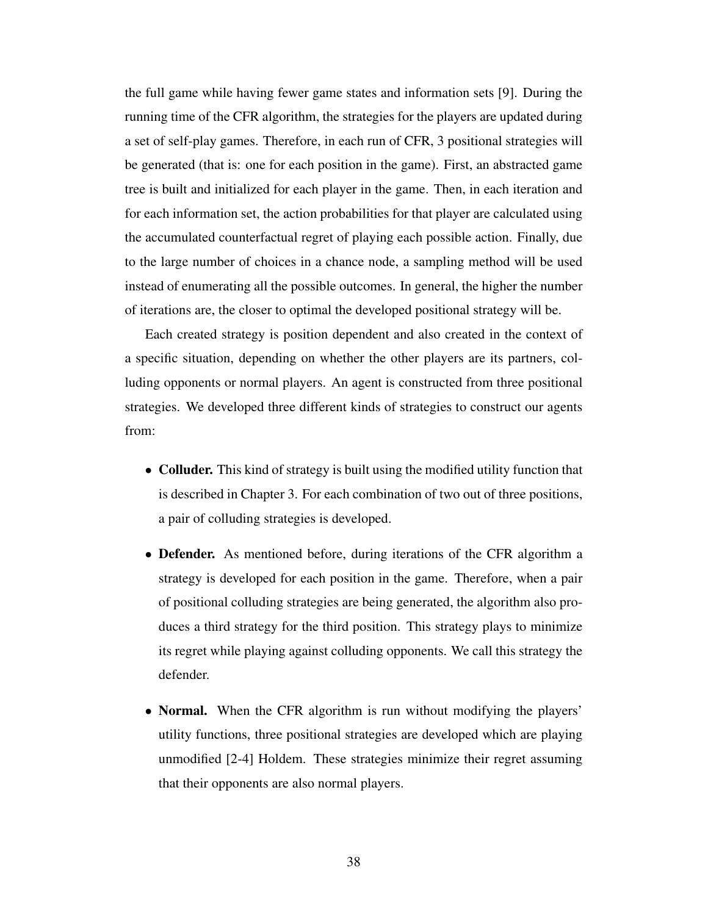the full game while having fewer game states and information sets [9]. During the running time of the CFR algorithm, the strategies for the players are updated during a set of self-play games. Therefore, in each run of CFR, 3 positional strategies will be generated (that is: one for each position in the game). First, an abstracted game tree is built and initialized for each player in the game. Then, in each iteration and for each information set, the action probabilities for that player are calculated using the accumulated counterfactual regret of playing each possible action. Finally, due to the large number of choices in a chance node, a sampling method will be used instead of enumerating all the possible outcomes. In general, the higher the number of iterations are, the closer to optimal the developed positional strategy will be.

Each created strategy is position dependent and also created in the context of a specific situation, depending on whether the other players are its partners, colluding opponents or normal players. An agent is constructed from three positional strategies. We developed three different kinds of strategies to construct our agents from:

- Colluder. This kind of strategy is built using the modified utility function that is described in Chapter 3. For each combination of two out of three positions, a pair of colluding strategies is developed.
- Defender. As mentioned before, during iterations of the CFR algorithm a strategy is developed for each position in the game. Therefore, when a pair of positional colluding strategies are being generated, the algorithm also produces a third strategy for the third position. This strategy plays to minimize its regret while playing against colluding opponents. We call this strategy the defender.
- **Normal.** When the CFR algorithm is run without modifying the players' utility functions, three positional strategies are developed which are playing unmodified [2-4] Holdem. These strategies minimize their regret assuming that their opponents are also normal players.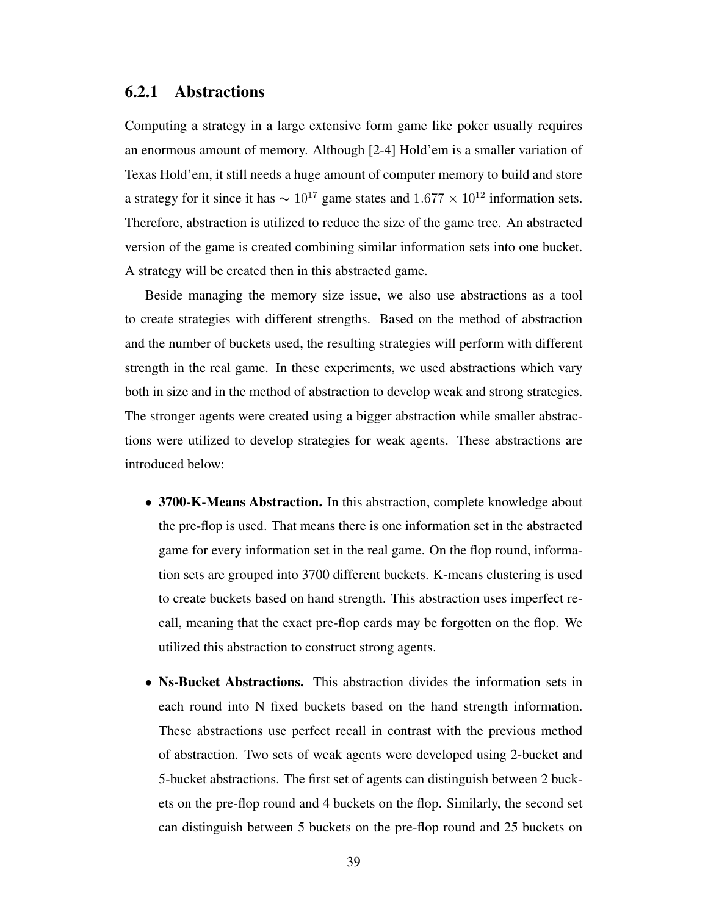#### 6.2.1 Abstractions

Computing a strategy in a large extensive form game like poker usually requires an enormous amount of memory. Although [2-4] Hold'em is a smaller variation of Texas Hold'em, it still needs a huge amount of computer memory to build and store a strategy for it since it has  $\sim 10^{17}$  game states and  $1.677 \times 10^{12}$  information sets. Therefore, abstraction is utilized to reduce the size of the game tree. An abstracted version of the game is created combining similar information sets into one bucket. A strategy will be created then in this abstracted game.

Beside managing the memory size issue, we also use abstractions as a tool to create strategies with different strengths. Based on the method of abstraction and the number of buckets used, the resulting strategies will perform with different strength in the real game. In these experiments, we used abstractions which vary both in size and in the method of abstraction to develop weak and strong strategies. The stronger agents were created using a bigger abstraction while smaller abstractions were utilized to develop strategies for weak agents. These abstractions are introduced below:

- 3700-K-Means Abstraction. In this abstraction, complete knowledge about the pre-flop is used. That means there is one information set in the abstracted game for every information set in the real game. On the flop round, information sets are grouped into 3700 different buckets. K-means clustering is used to create buckets based on hand strength. This abstraction uses imperfect recall, meaning that the exact pre-flop cards may be forgotten on the flop. We utilized this abstraction to construct strong agents.
- Ns-Bucket Abstractions. This abstraction divides the information sets in each round into N fixed buckets based on the hand strength information. These abstractions use perfect recall in contrast with the previous method of abstraction. Two sets of weak agents were developed using 2-bucket and 5-bucket abstractions. The first set of agents can distinguish between 2 buckets on the pre-flop round and 4 buckets on the flop. Similarly, the second set can distinguish between 5 buckets on the pre-flop round and 25 buckets on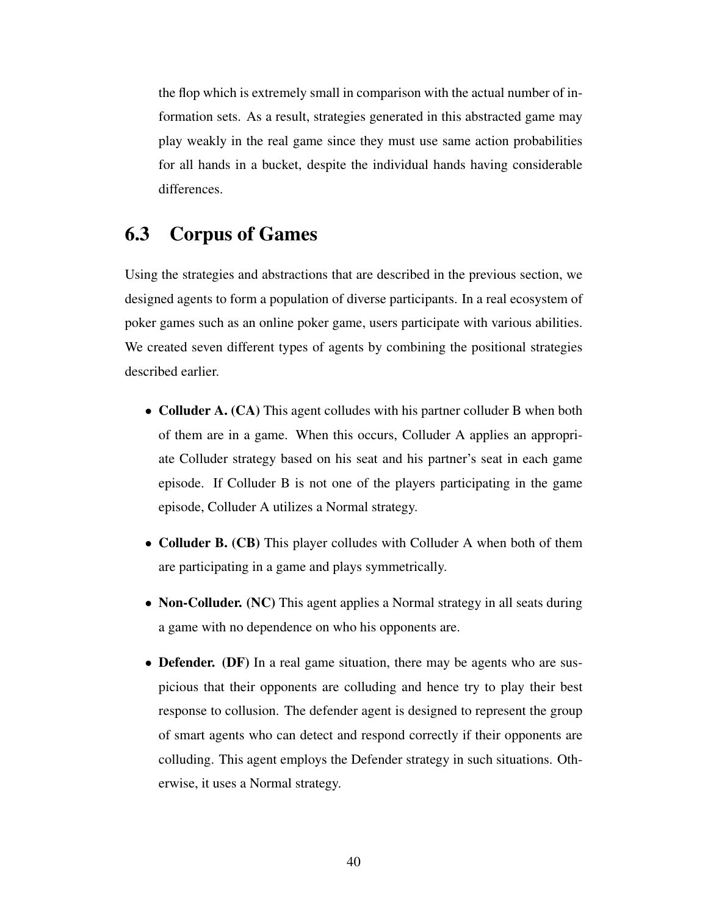the flop which is extremely small in comparison with the actual number of information sets. As a result, strategies generated in this abstracted game may play weakly in the real game since they must use same action probabilities for all hands in a bucket, despite the individual hands having considerable differences.

## 6.3 Corpus of Games

Using the strategies and abstractions that are described in the previous section, we designed agents to form a population of diverse participants. In a real ecosystem of poker games such as an online poker game, users participate with various abilities. We created seven different types of agents by combining the positional strategies described earlier.

- Colluder A. (CA) This agent colludes with his partner colluder B when both of them are in a game. When this occurs, Colluder A applies an appropriate Colluder strategy based on his seat and his partner's seat in each game episode. If Colluder B is not one of the players participating in the game episode, Colluder A utilizes a Normal strategy.
- Colluder B. (CB) This player colludes with Colluder A when both of them are participating in a game and plays symmetrically.
- Non-Colluder. (NC) This agent applies a Normal strategy in all seats during a game with no dependence on who his opponents are.
- Defender. (DF) In a real game situation, there may be agents who are suspicious that their opponents are colluding and hence try to play their best response to collusion. The defender agent is designed to represent the group of smart agents who can detect and respond correctly if their opponents are colluding. This agent employs the Defender strategy in such situations. Otherwise, it uses a Normal strategy.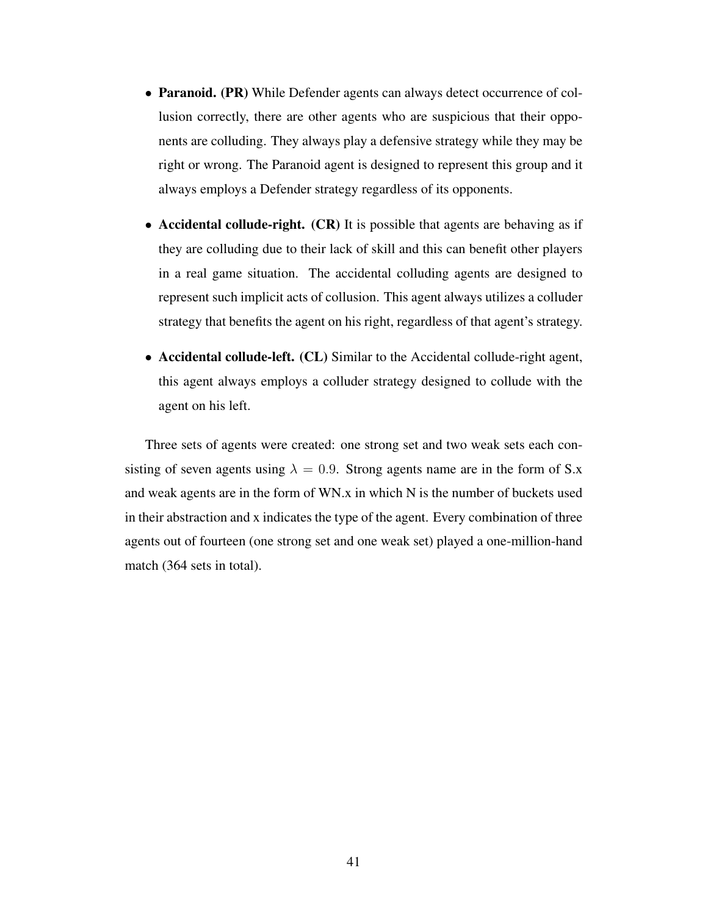- Paranoid. (PR) While Defender agents can always detect occurrence of collusion correctly, there are other agents who are suspicious that their opponents are colluding. They always play a defensive strategy while they may be right or wrong. The Paranoid agent is designed to represent this group and it always employs a Defender strategy regardless of its opponents.
- Accidental collude-right. (CR) It is possible that agents are behaving as if they are colluding due to their lack of skill and this can benefit other players in a real game situation. The accidental colluding agents are designed to represent such implicit acts of collusion. This agent always utilizes a colluder strategy that benefits the agent on his right, regardless of that agent's strategy.
- Accidental collude-left. (CL) Similar to the Accidental collude-right agent, this agent always employs a colluder strategy designed to collude with the agent on his left.

Three sets of agents were created: one strong set and two weak sets each consisting of seven agents using  $\lambda = 0.9$ . Strong agents name are in the form of S.x and weak agents are in the form of WN.x in which N is the number of buckets used in their abstraction and x indicates the type of the agent. Every combination of three agents out of fourteen (one strong set and one weak set) played a one-million-hand match (364 sets in total).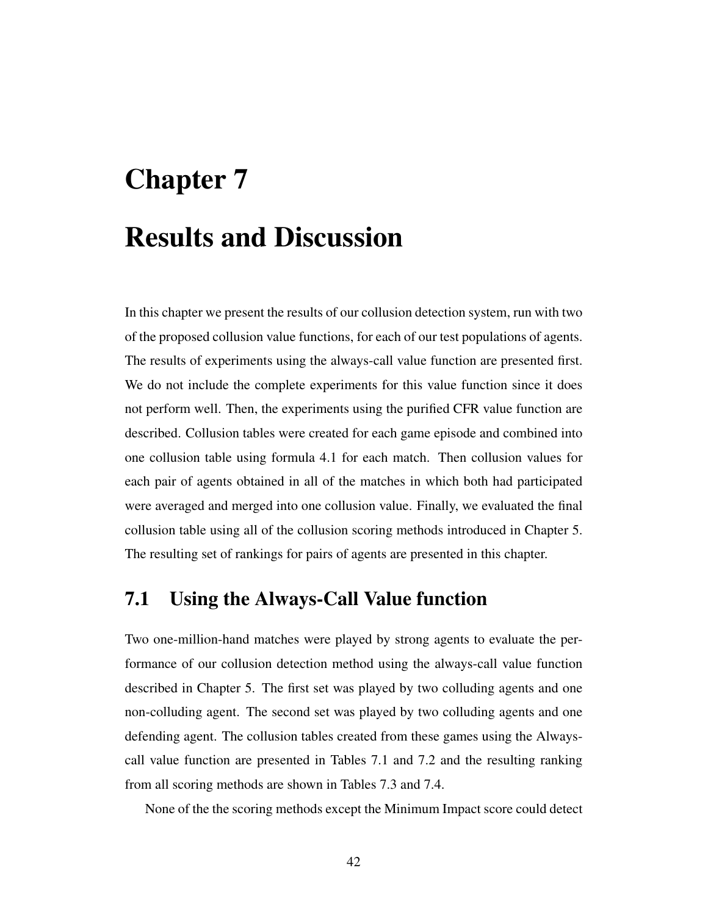# Chapter 7 Results and Discussion

In this chapter we present the results of our collusion detection system, run with two of the proposed collusion value functions, for each of our test populations of agents. The results of experiments using the always-call value function are presented first. We do not include the complete experiments for this value function since it does not perform well. Then, the experiments using the purified CFR value function are described. Collusion tables were created for each game episode and combined into one collusion table using formula 4.1 for each match. Then collusion values for each pair of agents obtained in all of the matches in which both had participated were averaged and merged into one collusion value. Finally, we evaluated the final collusion table using all of the collusion scoring methods introduced in Chapter 5. The resulting set of rankings for pairs of agents are presented in this chapter.

### 7.1 Using the Always-Call Value function

Two one-million-hand matches were played by strong agents to evaluate the performance of our collusion detection method using the always-call value function described in Chapter 5. The first set was played by two colluding agents and one non-colluding agent. The second set was played by two colluding agents and one defending agent. The collusion tables created from these games using the Alwayscall value function are presented in Tables 7.1 and 7.2 and the resulting ranking from all scoring methods are shown in Tables 7.3 and 7.4.

None of the the scoring methods except the Minimum Impact score could detect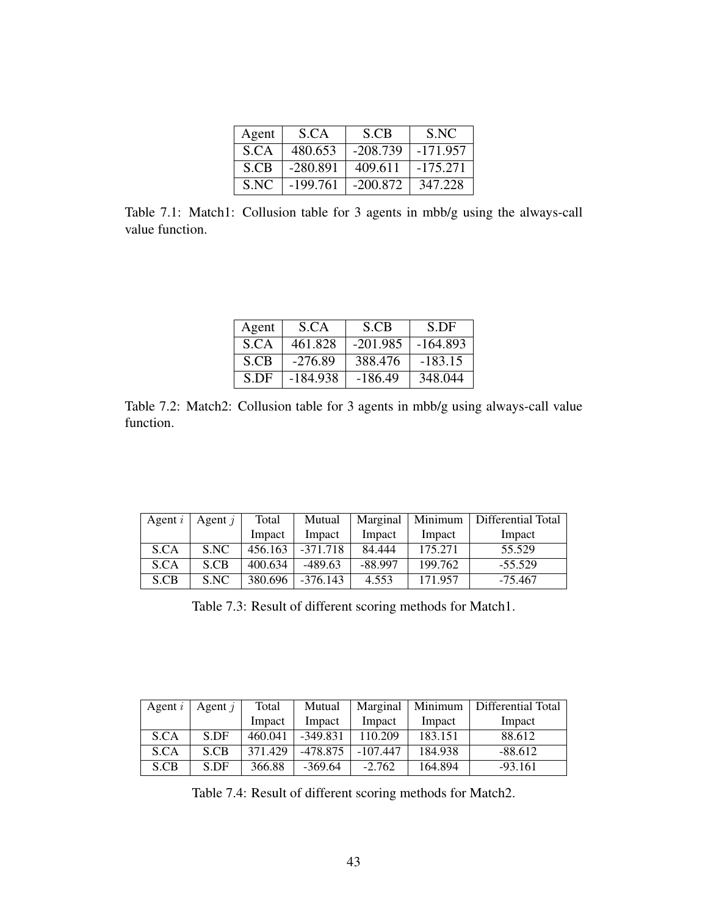| Agent | S.CA       | S.CB       | S.NC       |
|-------|------------|------------|------------|
| S.CA  | 480.653    | $-208.739$ | $-171.957$ |
| S.CB  | $-280.891$ | 409.611    | $-175.271$ |
| S.NC  | $-199.761$ | $-200.872$ | 347.228    |

Table 7.1: Match1: Collusion table for 3 agents in mbb/g using the always-call value function.

| Agent | S.CA       | S.CB       | S.DF       |
|-------|------------|------------|------------|
| S.CA  | 461.828    | $-201.985$ | $-164.893$ |
| S.CB  | $-276.89$  | 388.476    | $-183.15$  |
| S.DF  | $-184.938$ | $-186.49$  | 348.044    |

Table 7.2: Match2: Collusion table for 3 agents in mbb/g using always-call value function.

| Agent $i$ | Agent $i$ | Total   | Mutual     | Marginal  | Minimum | Differential Total |
|-----------|-----------|---------|------------|-----------|---------|--------------------|
|           |           | Impact  | Impact     | Impact    | Impact  | Impact             |
| S.CA      | S.NC      | 456.163 | $-371.718$ | 84.444    | 175.271 | 55.529             |
| S.CA      | S.CB      | 400.634 | $-489.63$  | $-88.997$ | 199.762 | $-55.529$          |
| S.CB      | S.NC      | 380.696 | $-376.143$ | 4.553     | 171.957 | $-75.467$          |

Table 7.3: Result of different scoring methods for Match1.

| Agent $i$ | Agent $i$ | Total   | Mutual     | Marginal   | Minimum | Differential Total |
|-----------|-----------|---------|------------|------------|---------|--------------------|
|           |           | Impact  | Impact     | Impact     | Impact  | Impact             |
| S.CA      | S.DF      | 460.041 | $-349.831$ | 110.209    | 183.151 | 88.612             |
| S.CA      | S.CB      | 371.429 | -478.875   | $-107.447$ | 184.938 | $-88.612$          |
| S.CB      | S.DF      | 366.88  | $-369.64$  | $-2.762$   | 164.894 | $-93.161$          |

Table 7.4: Result of different scoring methods for Match2.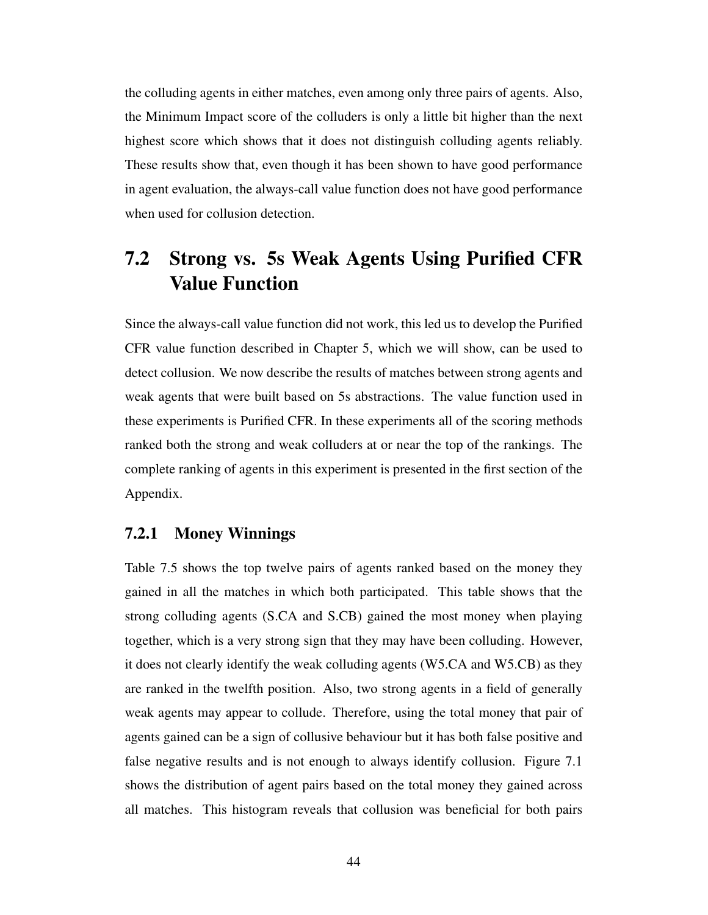the colluding agents in either matches, even among only three pairs of agents. Also, the Minimum Impact score of the colluders is only a little bit higher than the next highest score which shows that it does not distinguish colluding agents reliably. These results show that, even though it has been shown to have good performance in agent evaluation, the always-call value function does not have good performance when used for collusion detection.

## 7.2 Strong vs. 5s Weak Agents Using Purified CFR Value Function

Since the always-call value function did not work, this led us to develop the Purified CFR value function described in Chapter 5, which we will show, can be used to detect collusion. We now describe the results of matches between strong agents and weak agents that were built based on 5s abstractions. The value function used in these experiments is Purified CFR. In these experiments all of the scoring methods ranked both the strong and weak colluders at or near the top of the rankings. The complete ranking of agents in this experiment is presented in the first section of the Appendix.

### 7.2.1 Money Winnings

Table 7.5 shows the top twelve pairs of agents ranked based on the money they gained in all the matches in which both participated. This table shows that the strong colluding agents (S.CA and S.CB) gained the most money when playing together, which is a very strong sign that they may have been colluding. However, it does not clearly identify the weak colluding agents (W5.CA and W5.CB) as they are ranked in the twelfth position. Also, two strong agents in a field of generally weak agents may appear to collude. Therefore, using the total money that pair of agents gained can be a sign of collusive behaviour but it has both false positive and false negative results and is not enough to always identify collusion. Figure 7.1 shows the distribution of agent pairs based on the total money they gained across all matches. This histogram reveals that collusion was beneficial for both pairs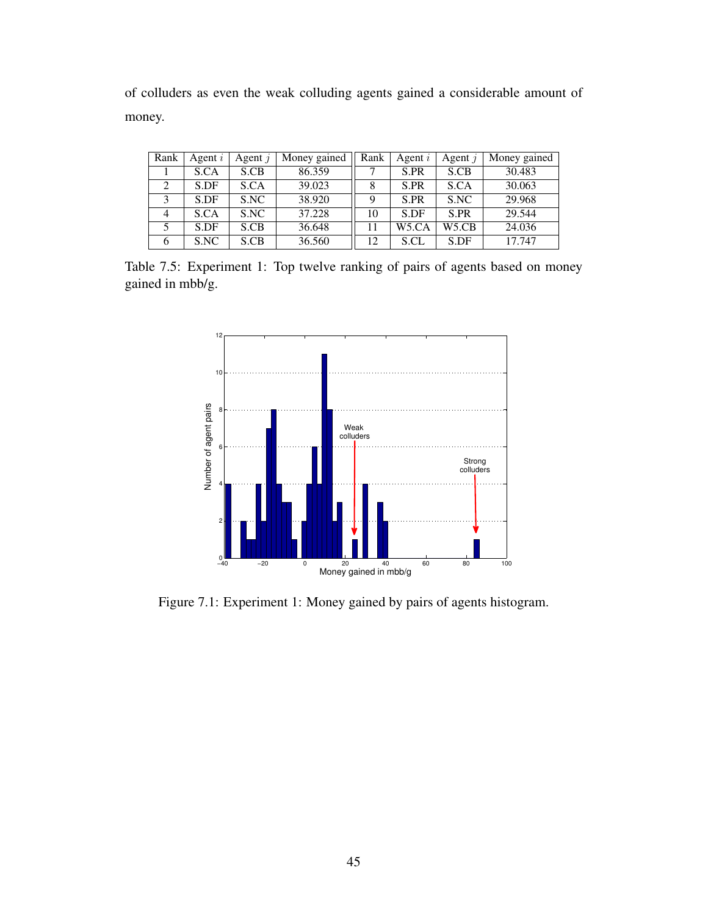of colluders as even the weak colluding agents gained a considerable amount of money.

| Rank          | Agent $i$ | Agent $i$ | Money gained | Rank | Agent $i$          | Agent $i$ | Money gained |
|---------------|-----------|-----------|--------------|------|--------------------|-----------|--------------|
|               | S.CA      | S.CB      | 86.359       |      | S.PR               | S.CB      | 30.483       |
| $\mathcal{D}$ | S.DF      | S.CA      | 39.023       |      | S.PR               | S.CA      | 30.063       |
| 3             | S.DF      | S.NC      | 38.920       | Q    | S.PR               | S.NC      | 29.968       |
| 4             | S.CA      | S.NC      | 37.228       | 10   | S.DF               | S.PR      | 29.544       |
|               | S.DF      | S.CB      | 36.648       | 11   | W <sub>5</sub> .CA | W5.CB     | 24.036       |
| 6             | S.NC      | S.CB      | 36.560       | 12   | S.CL               | S.DF      | 17.747       |

Table 7.5: Experiment 1: Top twelve ranking of pairs of agents based on money gained in mbb/g.



Figure 7.1: Experiment 1: Money gained by pairs of agents histogram.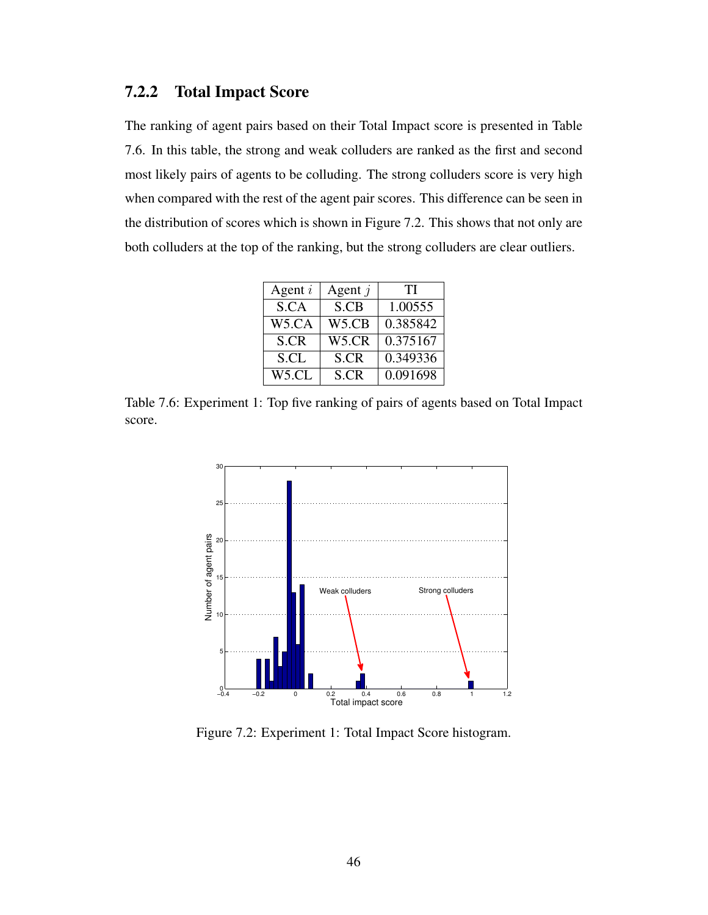### 7.2.2 Total Impact Score

The ranking of agent pairs based on their Total Impact score is presented in Table 7.6. In this table, the strong and weak colluders are ranked as the first and second most likely pairs of agents to be colluding. The strong colluders score is very high when compared with the rest of the agent pair scores. This difference can be seen in the distribution of scores which is shown in Figure 7.2. This shows that not only are both colluders at the top of the ranking, but the strong colluders are clear outliers.

| Agent $i$          | Agent $j$          | TI       |
|--------------------|--------------------|----------|
| S.CA               | S.CB               | 1.00555  |
| W <sub>5</sub> .CA | W5.CB              | 0.385842 |
| S.CR               | W <sub>5</sub> .CR | 0.375167 |
| S.CL               | S.CR               | 0.349336 |
| W <sub>5</sub> .CL | S.CR               | 0.091698 |

Table 7.6: Experiment 1: Top five ranking of pairs of agents based on Total Impact score.



Figure 7.2: Experiment 1: Total Impact Score histogram.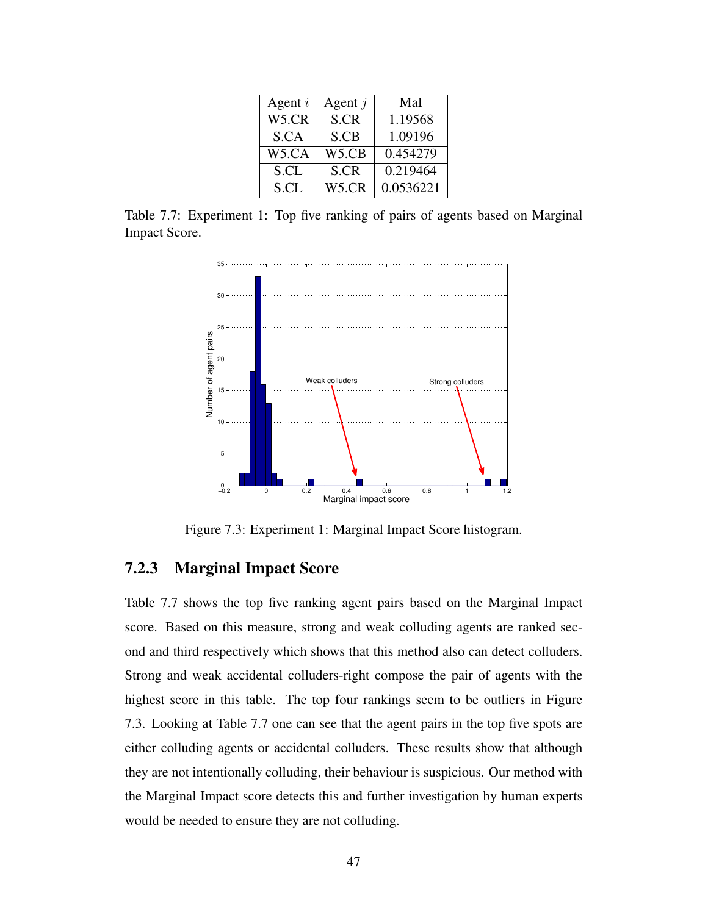| Agent $i$          | Agent $j$          | MaI       |
|--------------------|--------------------|-----------|
| W5.CR              | S.CR               | 1.19568   |
| S.CA               | S.CB               | 1.09196   |
| W <sub>5</sub> .CA | W5.CB              | 0.454279  |
| S.CL               | S.CR               | 0.219464  |
| S.CL               | W <sub>5</sub> .CR | 0.0536221 |

Table 7.7: Experiment 1: Top five ranking of pairs of agents based on Marginal Impact Score.



Figure 7.3: Experiment 1: Marginal Impact Score histogram.

### 7.2.3 Marginal Impact Score

Table 7.7 shows the top five ranking agent pairs based on the Marginal Impact score. Based on this measure, strong and weak colluding agents are ranked second and third respectively which shows that this method also can detect colluders. Strong and weak accidental colluders-right compose the pair of agents with the highest score in this table. The top four rankings seem to be outliers in Figure 7.3. Looking at Table 7.7 one can see that the agent pairs in the top five spots are either colluding agents or accidental colluders. These results show that although they are not intentionally colluding, their behaviour is suspicious. Our method with the Marginal Impact score detects this and further investigation by human experts would be needed to ensure they are not colluding.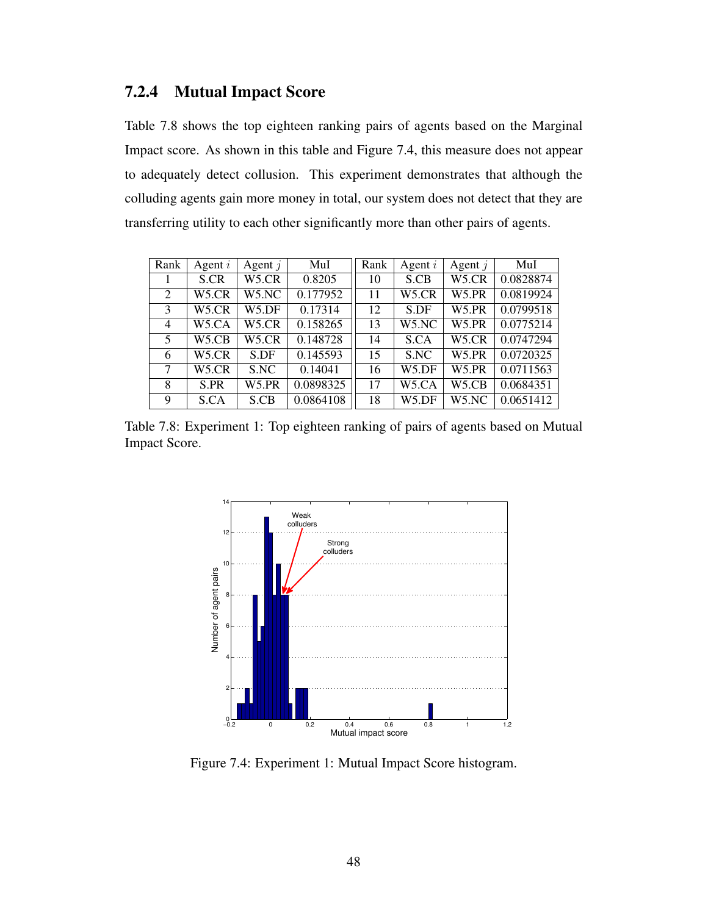### 7.2.4 Mutual Impact Score

Table 7.8 shows the top eighteen ranking pairs of agents based on the Marginal Impact score. As shown in this table and Figure 7.4, this measure does not appear to adequately detect collusion. This experiment demonstrates that although the colluding agents gain more money in total, our system does not detect that they are transferring utility to each other significantly more than other pairs of agents.

| Rank           | Agent $i$ | Agent $j$ | MuI       | Rank | Agent $i$          | Agent $j$          | MuI       |
|----------------|-----------|-----------|-----------|------|--------------------|--------------------|-----------|
|                | S.CR      | W5.CR     | 0.8205    | 10   | S.CB               | W5.CR              | 0.0828874 |
| $\overline{2}$ | W5.CR     | W5.NC     | 0.177952  | 11   | W5.CR              | W5.PR              | 0.0819924 |
| 3              | W5.CR     | W5.DF     | 0.17314   | 12   | S.DF               | W <sub>5</sub> .PR | 0.0799518 |
| 4              | W5.CA     | W5.CR     | 0.158265  | 13   | W5.NC              | W <sub>5</sub> .PR | 0.0775214 |
| 5              | W5.CB     | W5.CR     | 0.148728  | 14   | S.CA               | W <sub>5</sub> .CR | 0.0747294 |
| 6              | W5.CR     | S.DF      | 0.145593  | 15   | S.NC               | W <sub>5</sub> .PR | 0.0720325 |
| 7              | W5.CR     | S.NC      | 0.14041   | 16   | W5.DF              | W <sub>5</sub> .PR | 0.0711563 |
| 8              | S.PR      | W5.PR     | 0.0898325 | 17   | W <sub>5</sub> .CA | W <sub>5</sub> .CB | 0.0684351 |
| 9              | S.CA      | S.CB      | 0.0864108 | 18   | W5.DF              | W5.NC              | 0.0651412 |

Table 7.8: Experiment 1: Top eighteen ranking of pairs of agents based on Mutual Impact Score.



Figure 7.4: Experiment 1: Mutual Impact Score histogram.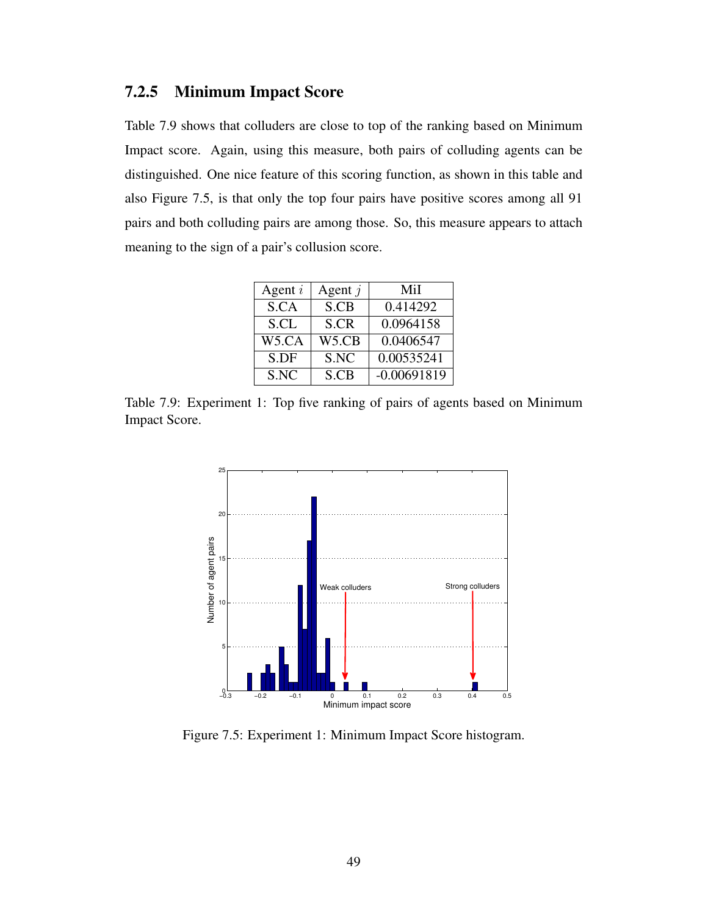### 7.2.5 Minimum Impact Score

Table 7.9 shows that colluders are close to top of the ranking based on Minimum Impact score. Again, using this measure, both pairs of colluding agents can be distinguished. One nice feature of this scoring function, as shown in this table and also Figure 7.5, is that only the top four pairs have positive scores among all 91 pairs and both colluding pairs are among those. So, this measure appears to attach meaning to the sign of a pair's collusion score.

| Agent $i$          | Agent $j$          | MiI           |
|--------------------|--------------------|---------------|
| S.CA               | S.CB               | 0.414292      |
| S.CL               | S.CR               | 0.0964158     |
| W <sub>5</sub> .CA | W <sub>5</sub> .CB | 0.0406547     |
| S.DF               | S.NC               | 0.00535241    |
| S.NC               | S.CB               | $-0.00691819$ |

Table 7.9: Experiment 1: Top five ranking of pairs of agents based on Minimum Impact Score.



Figure 7.5: Experiment 1: Minimum Impact Score histogram.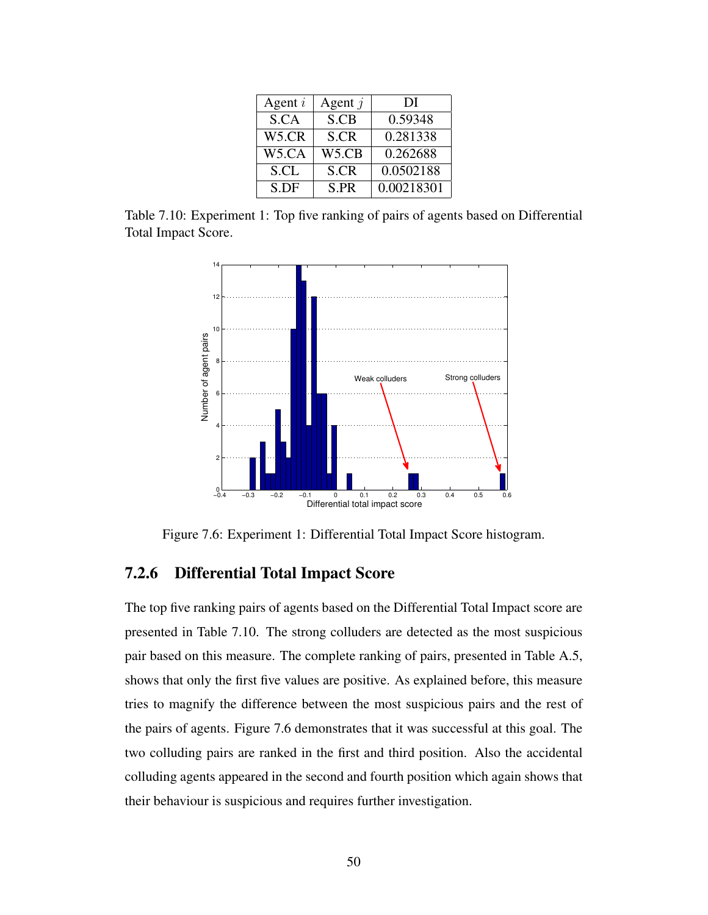| Agent $i$ | Agent $j$ | DI         |  |
|-----------|-----------|------------|--|
| S.CA      | S.CB      | 0.59348    |  |
| W5.CR     | S.CR      | 0.281338   |  |
| W5.CA     | W5.CB     | 0.262688   |  |
| S.CL      | S.CR      | 0.0502188  |  |
| S.DF      | S.PR      | 0.00218301 |  |

Table 7.10: Experiment 1: Top five ranking of pairs of agents based on Differential Total Impact Score.



Figure 7.6: Experiment 1: Differential Total Impact Score histogram.

### 7.2.6 Differential Total Impact Score

The top five ranking pairs of agents based on the Differential Total Impact score are presented in Table 7.10. The strong colluders are detected as the most suspicious pair based on this measure. The complete ranking of pairs, presented in Table A.5, shows that only the first five values are positive. As explained before, this measure tries to magnify the difference between the most suspicious pairs and the rest of the pairs of agents. Figure 7.6 demonstrates that it was successful at this goal. The two colluding pairs are ranked in the first and third position. Also the accidental colluding agents appeared in the second and fourth position which again shows that their behaviour is suspicious and requires further investigation.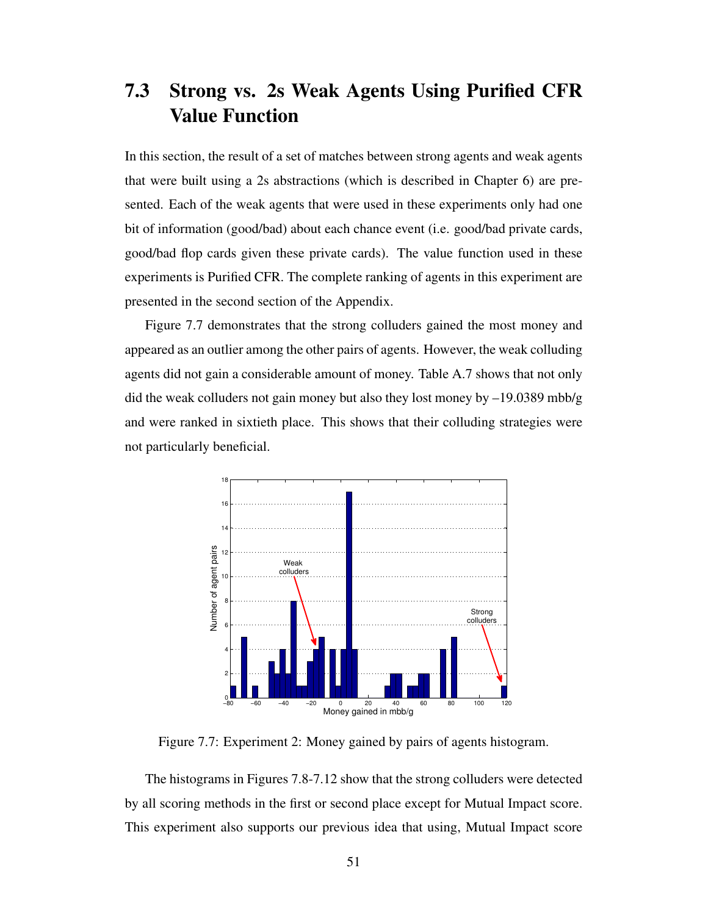## 7.3 Strong vs. 2s Weak Agents Using Purified CFR Value Function

In this section, the result of a set of matches between strong agents and weak agents that were built using a 2s abstractions (which is described in Chapter 6) are presented. Each of the weak agents that were used in these experiments only had one bit of information (good/bad) about each chance event (i.e. good/bad private cards, good/bad flop cards given these private cards). The value function used in these experiments is Purified CFR. The complete ranking of agents in this experiment are presented in the second section of the Appendix.

Figure 7.7 demonstrates that the strong colluders gained the most money and appeared as an outlier among the other pairs of agents. However, the weak colluding agents did not gain a considerable amount of money. Table A.7 shows that not only did the weak colluders not gain money but also they lost money by –19.0389 mbb/g and were ranked in sixtieth place. This shows that their colluding strategies were not particularly beneficial.



Figure 7.7: Experiment 2: Money gained by pairs of agents histogram.

The histograms in Figures 7.8-7.12 show that the strong colluders were detected by all scoring methods in the first or second place except for Mutual Impact score. This experiment also supports our previous idea that using, Mutual Impact score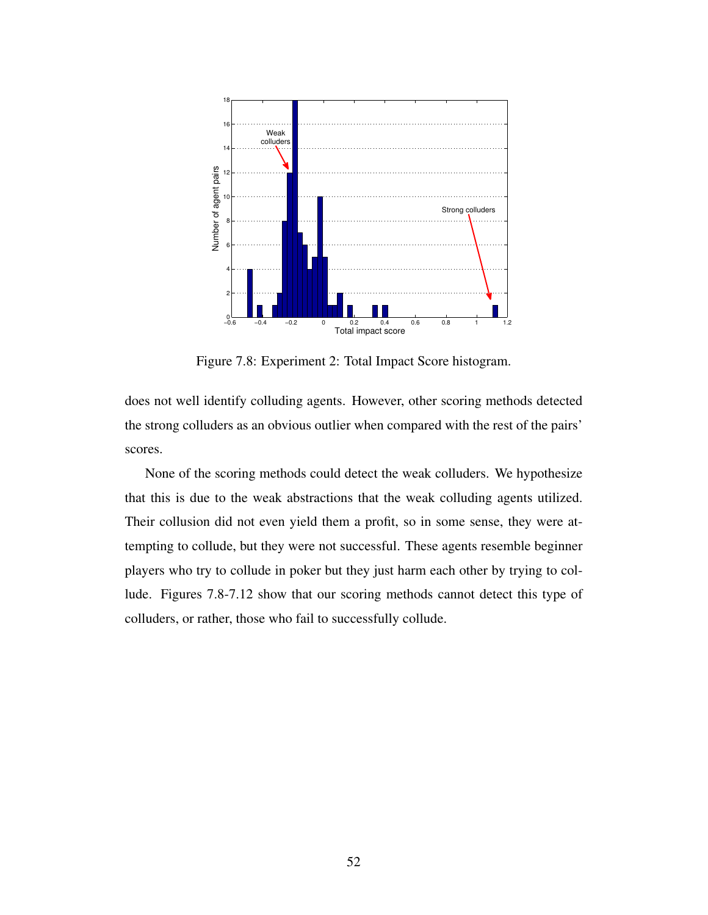

Figure 7.8: Experiment 2: Total Impact Score histogram.

does not well identify colluding agents. However, other scoring methods detected the strong colluders as an obvious outlier when compared with the rest of the pairs' scores.

None of the scoring methods could detect the weak colluders. We hypothesize that this is due to the weak abstractions that the weak colluding agents utilized. Their collusion did not even yield them a profit, so in some sense, they were attempting to collude, but they were not successful. These agents resemble beginner players who try to collude in poker but they just harm each other by trying to collude. Figures 7.8-7.12 show that our scoring methods cannot detect this type of colluders, or rather, those who fail to successfully collude.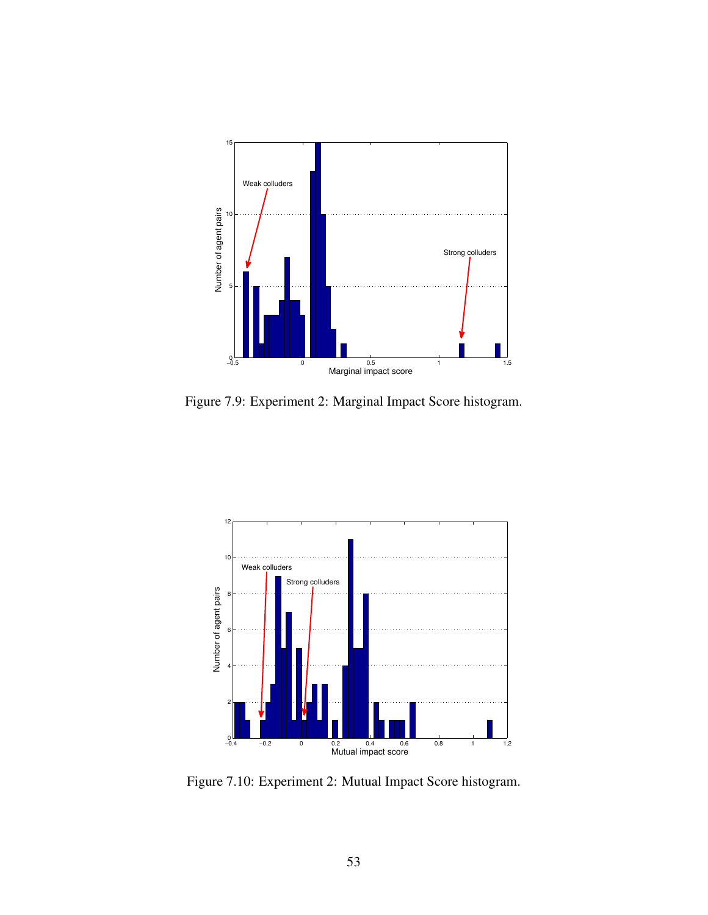

Figure 7.9: Experiment 2: Marginal Impact Score histogram.



Figure 7.10: Experiment 2: Mutual Impact Score histogram.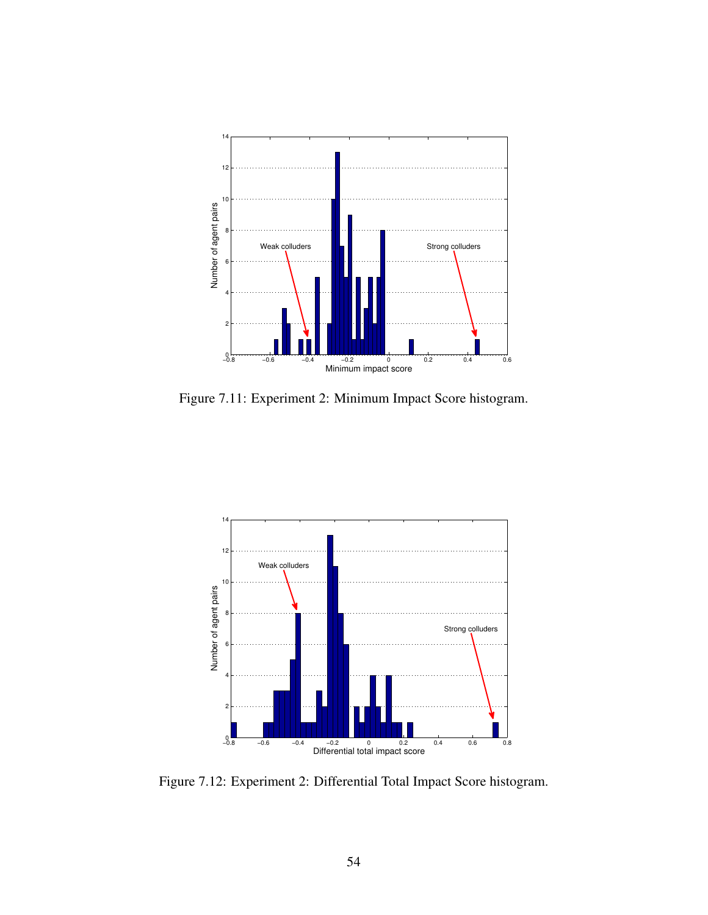

Figure 7.11: Experiment 2: Minimum Impact Score histogram.



Figure 7.12: Experiment 2: Differential Total Impact Score histogram.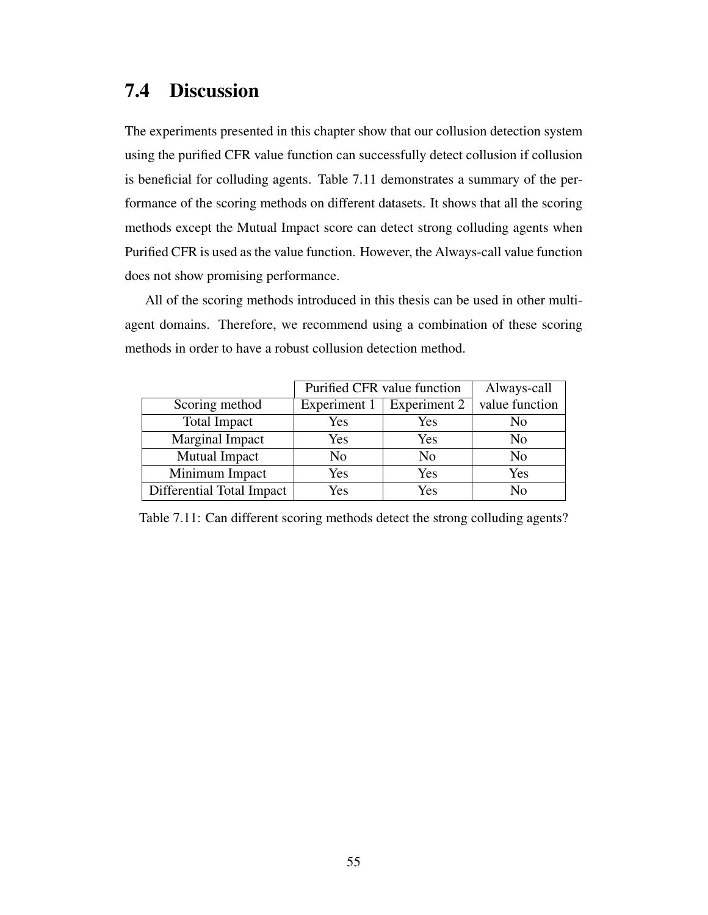### 7.4 Discussion

The experiments presented in this chapter show that our collusion detection system using the purified CFR value function can successfully detect collusion if collusion is beneficial for colluding agents. Table 7.11 demonstrates a summary of the performance of the scoring methods on different datasets. It shows that all the scoring methods except the Mutual Impact score can detect strong colluding agents when Purified CFR is used as the value function. However, the Always-call value function does not show promising performance.

All of the scoring methods introduced in this thesis can be used in other multiagent domains. Therefore, we recommend using a combination of these scoring methods in order to have a robust collusion detection method.

|                           | Purified CFR value function |              | Always-call    |
|---------------------------|-----------------------------|--------------|----------------|
| Scoring method            | Experiment 1                | Experiment 2 | value function |
| <b>Total Impact</b>       | Yes                         | Yes          | No             |
| Marginal Impact           | Yes                         | Yes          | No             |
| Mutual Impact             | No                          | No           | No             |
| Minimum Impact            | Yes                         | Yes          | Yes            |
| Differential Total Impact | Yes                         | Yes          | No             |

Table 7.11: Can different scoring methods detect the strong colluding agents?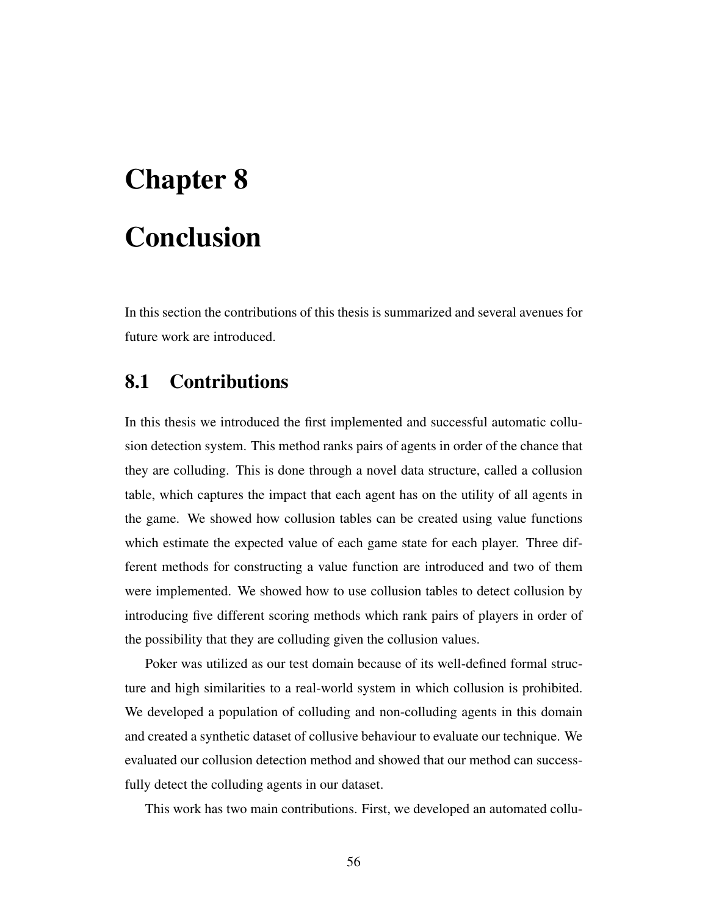# Chapter 8 Conclusion

In this section the contributions of this thesis is summarized and several avenues for future work are introduced.

## 8.1 Contributions

In this thesis we introduced the first implemented and successful automatic collusion detection system. This method ranks pairs of agents in order of the chance that they are colluding. This is done through a novel data structure, called a collusion table, which captures the impact that each agent has on the utility of all agents in the game. We showed how collusion tables can be created using value functions which estimate the expected value of each game state for each player. Three different methods for constructing a value function are introduced and two of them were implemented. We showed how to use collusion tables to detect collusion by introducing five different scoring methods which rank pairs of players in order of the possibility that they are colluding given the collusion values.

Poker was utilized as our test domain because of its well-defined formal structure and high similarities to a real-world system in which collusion is prohibited. We developed a population of colluding and non-colluding agents in this domain and created a synthetic dataset of collusive behaviour to evaluate our technique. We evaluated our collusion detection method and showed that our method can successfully detect the colluding agents in our dataset.

This work has two main contributions. First, we developed an automated collu-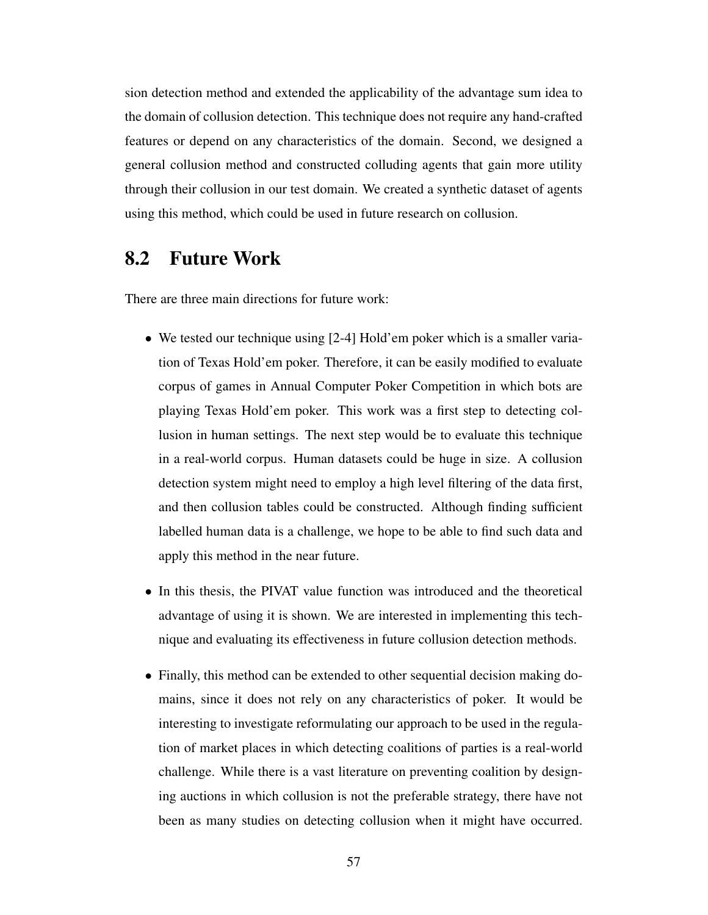sion detection method and extended the applicability of the advantage sum idea to the domain of collusion detection. This technique does not require any hand-crafted features or depend on any characteristics of the domain. Second, we designed a general collusion method and constructed colluding agents that gain more utility through their collusion in our test domain. We created a synthetic dataset of agents using this method, which could be used in future research on collusion.

## 8.2 Future Work

There are three main directions for future work:

- We tested our technique using [2-4] Hold'em poker which is a smaller variation of Texas Hold'em poker. Therefore, it can be easily modified to evaluate corpus of games in Annual Computer Poker Competition in which bots are playing Texas Hold'em poker. This work was a first step to detecting collusion in human settings. The next step would be to evaluate this technique in a real-world corpus. Human datasets could be huge in size. A collusion detection system might need to employ a high level filtering of the data first, and then collusion tables could be constructed. Although finding sufficient labelled human data is a challenge, we hope to be able to find such data and apply this method in the near future.
- In this thesis, the PIVAT value function was introduced and the theoretical advantage of using it is shown. We are interested in implementing this technique and evaluating its effectiveness in future collusion detection methods.
- Finally, this method can be extended to other sequential decision making domains, since it does not rely on any characteristics of poker. It would be interesting to investigate reformulating our approach to be used in the regulation of market places in which detecting coalitions of parties is a real-world challenge. While there is a vast literature on preventing coalition by designing auctions in which collusion is not the preferable strategy, there have not been as many studies on detecting collusion when it might have occurred.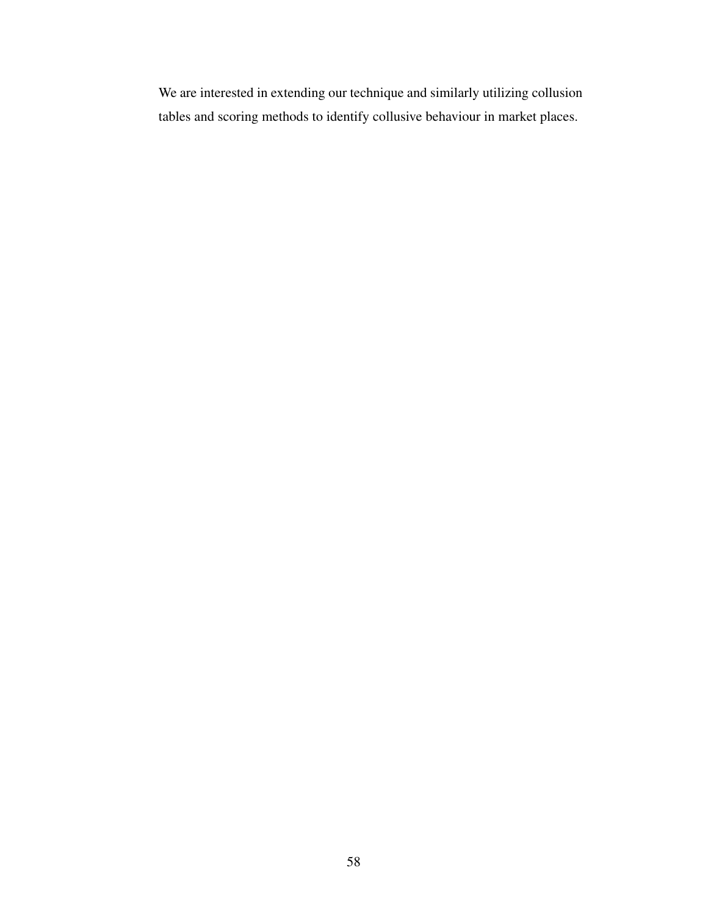We are interested in extending our technique and similarly utilizing collusion tables and scoring methods to identify collusive behaviour in market places.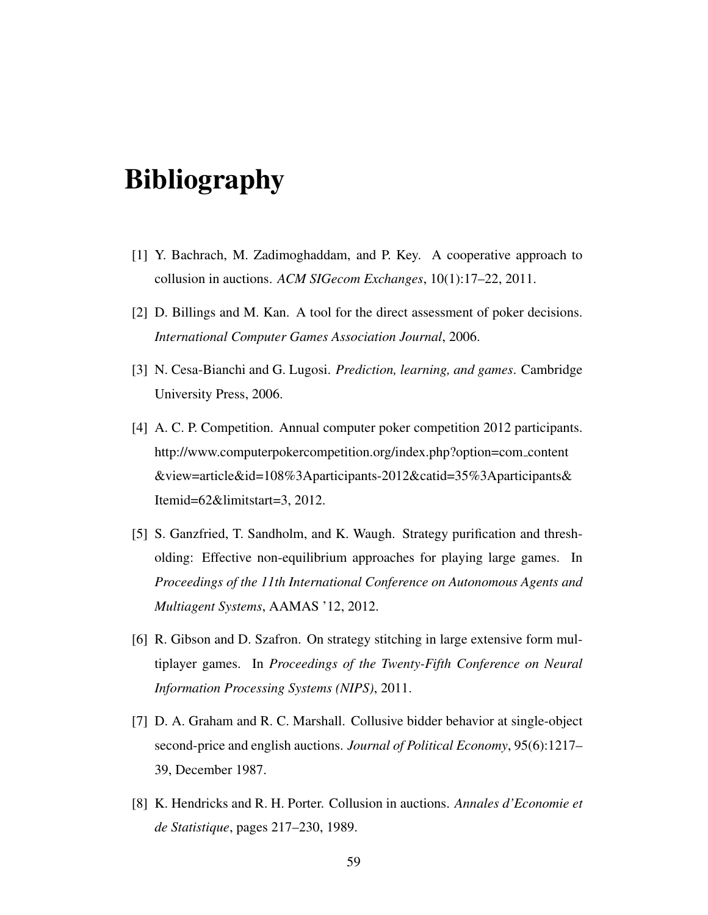## Bibliography

- [1] Y. Bachrach, M. Zadimoghaddam, and P. Key. A cooperative approach to collusion in auctions. *ACM SIGecom Exchanges*, 10(1):17–22, 2011.
- [2] D. Billings and M. Kan. A tool for the direct assessment of poker decisions. *International Computer Games Association Journal*, 2006.
- [3] N. Cesa-Bianchi and G. Lugosi. *Prediction, learning, and games*. Cambridge University Press, 2006.
- [4] A. C. P. Competition. Annual computer poker competition 2012 participants. http://www.computerpokercompetition.org/index.php?option=com content &view=article&id=108%3Aparticipants-2012&catid=35%3Aparticipants& Itemid=62&limitstart=3, 2012.
- [5] S. Ganzfried, T. Sandholm, and K. Waugh. Strategy purification and thresholding: Effective non-equilibrium approaches for playing large games. In *Proceedings of the 11th International Conference on Autonomous Agents and Multiagent Systems*, AAMAS '12, 2012.
- [6] R. Gibson and D. Szafron. On strategy stitching in large extensive form multiplayer games. In *Proceedings of the Twenty-Fifth Conference on Neural Information Processing Systems (NIPS)*, 2011.
- [7] D. A. Graham and R. C. Marshall. Collusive bidder behavior at single-object second-price and english auctions. *Journal of Political Economy*, 95(6):1217– 39, December 1987.
- [8] K. Hendricks and R. H. Porter. Collusion in auctions. *Annales d'Economie et de Statistique*, pages 217–230, 1989.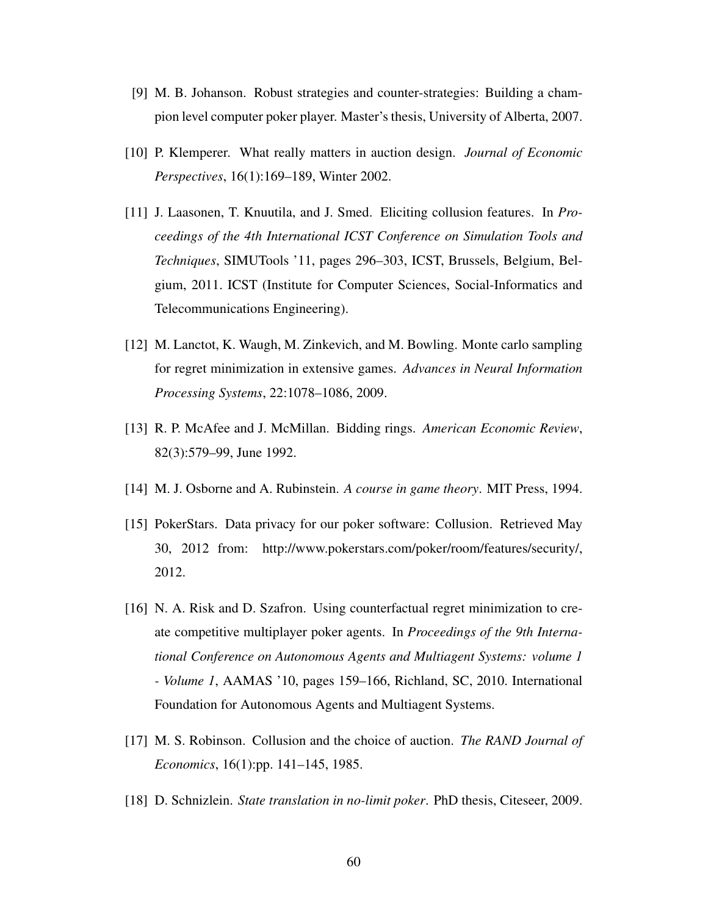- [9] M. B. Johanson. Robust strategies and counter-strategies: Building a champion level computer poker player. Master's thesis, University of Alberta, 2007.
- [10] P. Klemperer. What really matters in auction design. *Journal of Economic Perspectives*, 16(1):169–189, Winter 2002.
- [11] J. Laasonen, T. Knuutila, and J. Smed. Eliciting collusion features. In *Proceedings of the 4th International ICST Conference on Simulation Tools and Techniques*, SIMUTools '11, pages 296–303, ICST, Brussels, Belgium, Belgium, 2011. ICST (Institute for Computer Sciences, Social-Informatics and Telecommunications Engineering).
- [12] M. Lanctot, K. Waugh, M. Zinkevich, and M. Bowling. Monte carlo sampling for regret minimization in extensive games. *Advances in Neural Information Processing Systems*, 22:1078–1086, 2009.
- [13] R. P. McAfee and J. McMillan. Bidding rings. *American Economic Review*, 82(3):579–99, June 1992.
- [14] M. J. Osborne and A. Rubinstein. *A course in game theory*. MIT Press, 1994.
- [15] PokerStars. Data privacy for our poker software: Collusion. Retrieved May 30, 2012 from: http://www.pokerstars.com/poker/room/features/security/, 2012.
- [16] N. A. Risk and D. Szafron. Using counterfactual regret minimization to create competitive multiplayer poker agents. In *Proceedings of the 9th International Conference on Autonomous Agents and Multiagent Systems: volume 1 - Volume 1*, AAMAS '10, pages 159–166, Richland, SC, 2010. International Foundation for Autonomous Agents and Multiagent Systems.
- [17] M. S. Robinson. Collusion and the choice of auction. *The RAND Journal of Economics*, 16(1):pp. 141–145, 1985.
- [18] D. Schnizlein. *State translation in no-limit poker*. PhD thesis, Citeseer, 2009.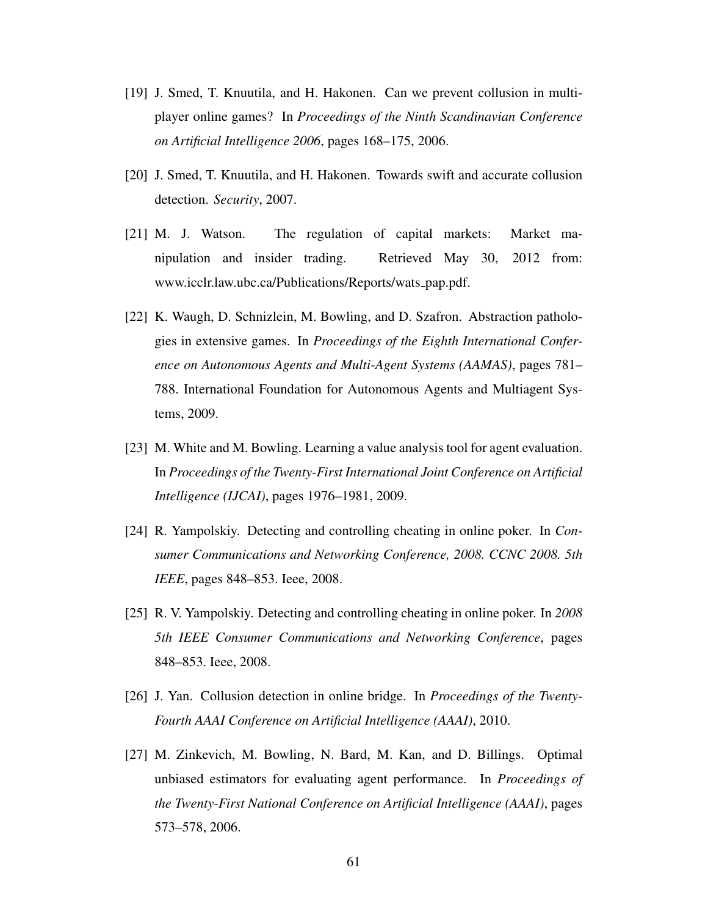- [19] J. Smed, T. Knuutila, and H. Hakonen. Can we prevent collusion in multiplayer online games? In *Proceedings of the Ninth Scandinavian Conference on Artificial Intelligence 2006*, pages 168–175, 2006.
- [20] J. Smed, T. Knuutila, and H. Hakonen. Towards swift and accurate collusion detection. *Security*, 2007.
- [21] M. J. Watson. The regulation of capital markets: Market manipulation and insider trading. Retrieved May 30, 2012 from: www.icclr.law.ubc.ca/Publications/Reports/wats pap.pdf.
- [22] K. Waugh, D. Schnizlein, M. Bowling, and D. Szafron. Abstraction pathologies in extensive games. In *Proceedings of the Eighth International Conference on Autonomous Agents and Multi-Agent Systems (AAMAS)*, pages 781– 788. International Foundation for Autonomous Agents and Multiagent Systems, 2009.
- [23] M. White and M. Bowling. Learning a value analysis tool for agent evaluation. In *Proceedings of the Twenty-First International Joint Conference on Artificial Intelligence (IJCAI)*, pages 1976–1981, 2009.
- [24] R. Yampolskiy. Detecting and controlling cheating in online poker. In *Consumer Communications and Networking Conference, 2008. CCNC 2008. 5th IEEE*, pages 848–853. Ieee, 2008.
- [25] R. V. Yampolskiy. Detecting and controlling cheating in online poker. In *2008 5th IEEE Consumer Communications and Networking Conference*, pages 848–853. Ieee, 2008.
- [26] J. Yan. Collusion detection in online bridge. In *Proceedings of the Twenty-Fourth AAAI Conference on Artificial Intelligence (AAAI)*, 2010.
- [27] M. Zinkevich, M. Bowling, N. Bard, M. Kan, and D. Billings. Optimal unbiased estimators for evaluating agent performance. In *Proceedings of the Twenty-First National Conference on Artificial Intelligence (AAAI)*, pages 573–578, 2006.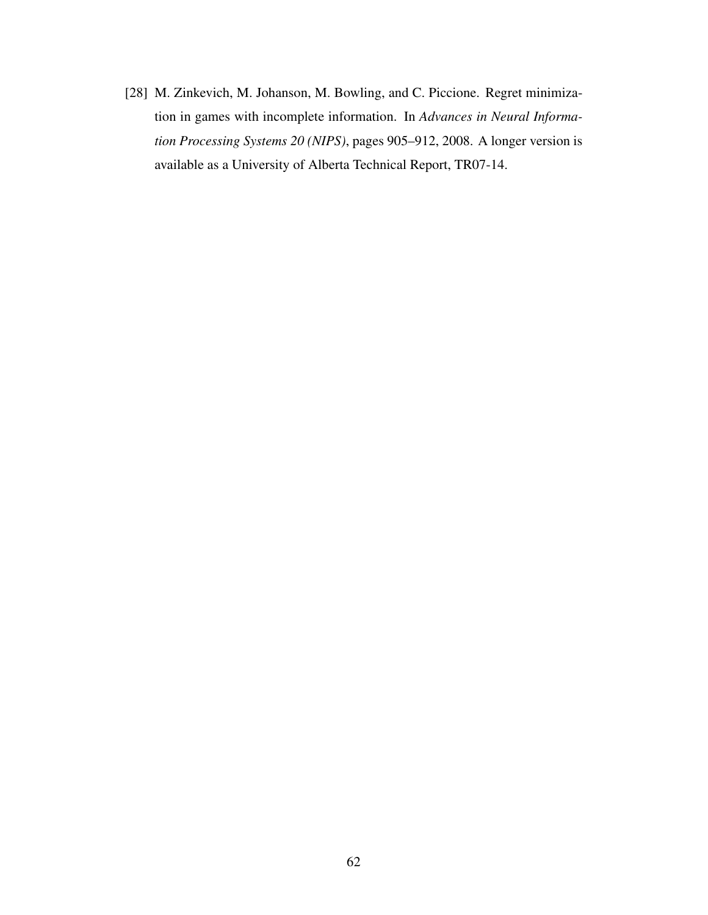[28] M. Zinkevich, M. Johanson, M. Bowling, and C. Piccione. Regret minimization in games with incomplete information. In *Advances in Neural Information Processing Systems 20 (NIPS)*, pages 905–912, 2008. A longer version is available as a University of Alberta Technical Report, TR07-14.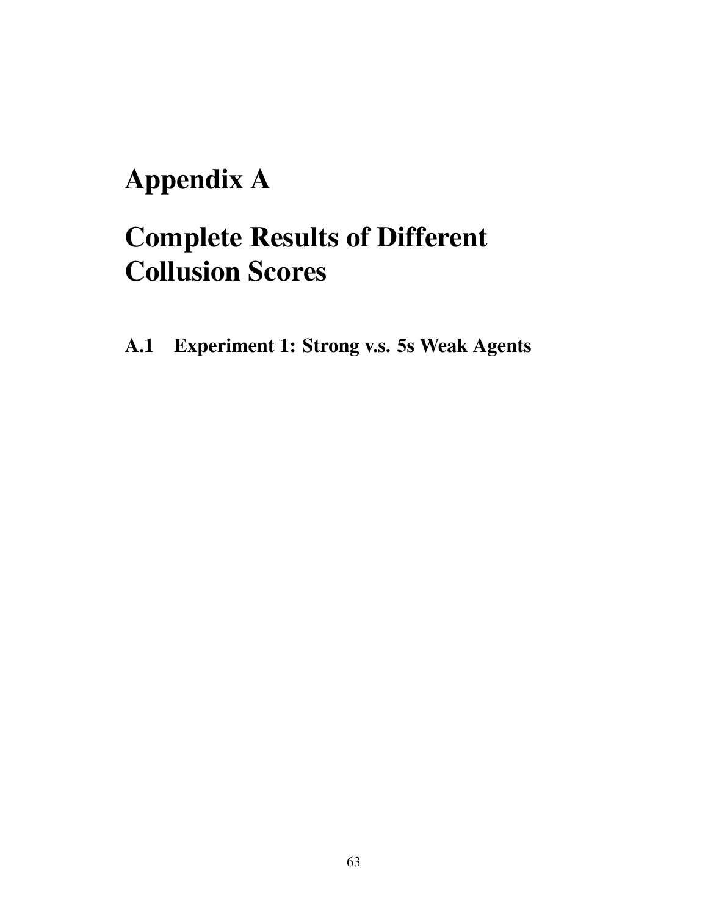## Appendix A

## Complete Results of Different Collusion Scores

A.1 Experiment 1: Strong v.s. 5s Weak Agents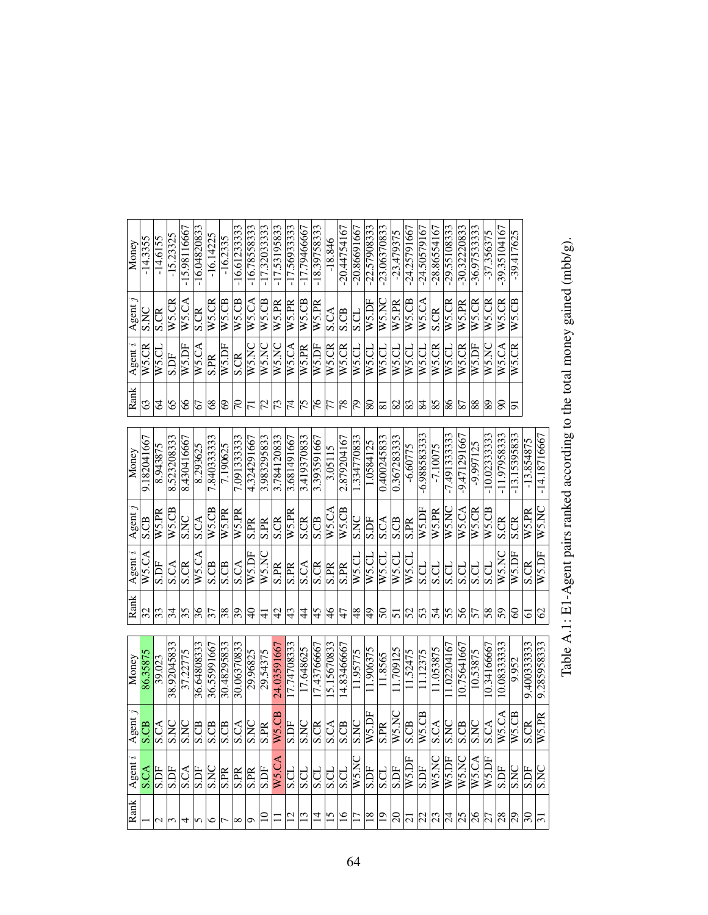| Money      | $-14.3355$               | $-14.6155$         | $-15.23325$                      | $-15.98116667$                            | $-16.04820833$ | $-16.14225$              | $-16.2335$     | $-16.61233333$           | $-16.78558333$                  | -17.32033333   | $-17.53195833$            | -17.56933333        | -17.79466667  | $-18.3975833$ | $-18.\overline{846}$ | $-20.44754167$       | $-20.86691667$          | $-22.5790833$             | $-23.06370833$           | $-23.479375$                  | -24.25791667 | $-24.50579167$           | $-28.86554167$ | $-29.55108333$            | $-30.32220833$ | $-36.97533333$      | $-37.356375$             | -39.35104167   | $-39.417625$       |              |                |
|------------|--------------------------|--------------------|----------------------------------|-------------------------------------------|----------------|--------------------------|----------------|--------------------------|---------------------------------|----------------|---------------------------|---------------------|---------------|---------------|----------------------|----------------------|-------------------------|---------------------------|--------------------------|-------------------------------|--------------|--------------------------|----------------|---------------------------|----------------|---------------------|--------------------------|----------------|--------------------|--------------|----------------|
| Agent      | SNC                      | S.CR               | W5.CR                            | W5.CA                                     | S.CR           | W5.CR                    | W5.CB          | W5.CB                    | $\overline{W}$ 5.CA             | W5.CB          | W5.PR                     | W5.PR               | W5.CB         | W5.PR         | <b>S.CA</b>          | S.CB                 | S.CL                    | W5.DF                     | W5.NC                    | W5.PR                         | W5.CB        | $\overline{WS}$ .CA      | S.CR           | W5.CR                     | W5.PR          | W5.CR               | W5.CR                    | W5.CR          | W5.CB              |              |                |
| Agent i    | W5.CR                    | W5.CL              | S.DF                             | W5.DF                                     | W5.CA          | S.PR                     | W5.DF          | <b>S.CR</b>              | W5.NC                           | W5.NC          | <b>WS.NC</b>              | W5.CA               | W5.PR         | W5.DF         | $W5$ .CR             | W5.CR                | W5.CL                   | $\overline{\text{WS.CL}}$ | W5.CL                    | WS.CL                         | W5.CL        | WS.CL                    | W5.CR          | W5.CL                     | W5.CR          | W5.DF               | W5.NC                    | W5.CA          | W <sub>5</sub> .CR |              |                |
| Rank       | $\mathcal{C}$            | 2                  | 65                               | 8                                         | 67             | $8^{\circ}$              | $\odot$        | $\overline{C}$           | $\overline{5}$                  | $\overline{z}$ | $\mathcal{L}$             | $ \vec{z} $         | $\frac{5}{2}$ | 97            | $\overline{7}$       | 78                   | $\overline{\mathbb{S}}$ | $\overline{\circ}$        | ವ                        | 82                            | 83           | 24                       | 85             | $\frac{8}{8}$             | 87             | 88                  | $\overline{\text{8}}$    | န္တ            | 15                 |              |                |
| Money      | 9.182041667              | 8.943875           | 8.523208333                      | 8.430416667                               | 8.293625       | 7.84033333               | 7.190625       | 7.091333333              | 4.324291667                     | 3.983295833    | 3.784120833               | 3.681491667         | 3.419370833   | 3.393591667   | 3.05115              | 2.879204167          | 1.334770833             | 1.0584125                 | 0.400245833              | 0.367283333                   | $-6.60775$   | $-6.988583333$           | $-7.10075$     | $-7.49133333$             | $-9.471291667$ | -9.997125           | $-10.0233333$            | $-11.9795833$  | $-13.15395833$     | $-13.854875$ | $-14.18716667$ |
| Agent      | S.CB                     | W5.PR              | W5.CB                            | <b>S.NC</b>                               | <b>S.CA</b>    | W5.CB                    | W5.PR          | W5.PR                    | <b>S.PR</b>                     | <b>S.PR</b>    | <b>S.CR</b>               | W5.PR               | S.CR          | S.CB          | W5.CA                | W <sub>5</sub> .CB   | <b>S.NC</b>             | <b>S.DF</b>               | <b>S.CA</b>              | S.CB                          | <b>S.PR</b>  | W5.DF                    | W5.PR          | W5.NC                     | W5.CA          | W5.CR               | $\overline{W}$ 5.CB      | <b>S.CR</b>    | <b>S.CR</b>        | W5.PR        | W5.NC          |
| Agent i    | W5.CA                    | S.DF               | S.CA                             | S.CR                                      | W5.CA          | S.CB                     | <b>S.CB</b>    | $\overline{\text{S.CA}}$ | W5.DF                           | WS.NC          | <b>S.PR</b>               | <b>S.PR</b>         | S.CA          | <b>S.CR</b>   | <b>S.PR</b>          | <b>S.PR</b>          | W5.CL                   | W5.CL                     | $W5$ .CL                 | $W$ 5.CL                      | $W5$ .CL     | S.CL                     | S.CL           | S.CL                      | <b>S.CL</b>    | <b>S.CL</b>         | <b>S.CL</b>              | W5.NC          | W5.DF              | S.CR         | W5.DF          |
| Rank       | $\overline{\mathcal{E}}$ | $ \mathfrak{F} $   | $\overline{34}$                  | $\overline{35}$                           | $\frac{96}{5}$ | $\overline{\mathcal{E}}$ | $\sqrt[3]{8}$  | $\overline{\mathcal{E}}$ | $\Theta$                        | $\pm$          | 42                        | $\frac{43}{5}$      | $\ddot{4}$    | 45            | $\frac{4}{6}$        | 47                   | $\frac{8}{3}$           | $\overline{5}$            | 50                       | $\overline{5}$                | 52           | $\overline{5}$           | 54             | $\overline{55}$           | $\frac{8}{5}$  | 57                  | $\overline{\mathcal{S}}$ | $\overline{5}$ | 8                  | <u>ଟ</u>     | $\infty$       |
| Money      | 86.35875                 | 39.023             | 38.92045833                      | 37.22775                                  | 36.64808333    | 36.55991667              | 30.48295833    | 30.06370833              | 29.96825                        | 29.54375       | 24.03591667               | 17.74708333         | 17.648625     | 17.43766667   | 15.15670833          | 14.83466667          | 11.95775                | 11.906375                 | 11.8565                  | 11.709125                     | 11.52475     | 11.12375                 | 11.053875      | 1.02204167                | 10.75641667    | 10.53875            | 10.34166667              | 10.0833333     | 9.952              | 9.400333333  | 9.285958333    |
| gent.<br>⋖ | $\Theta$                 | $\mathcal{L}$<br>n | $\overline{S}$<br>$\overline{a}$ | $\overline{z}$<br>$ \boldsymbol{\omega} $ | පි             | පි<br>n                  | පි<br>Ιn       | $ \mathcal{E} $          | $\overline{z}$<br>$\sim$ $\sim$ | Æ              | 75.CB<br>$\triangleright$ | E<br>$\dot{\bm{v}}$ |               |               |                      | $\frac{8888665}{88}$ | $\overline{S}$          | 75.DF<br> ≽               | 匠<br>$\overline{\omega}$ | $\overline{5\text{NC}}$<br> ≽ | CB<br>si     | $\overline{75}$ CB<br> ≽ | $\Im$<br>s     | k<br>Ιn                   | $\Theta$<br>vi | $\overline{z}$<br>n | రే<br>Ιn                 | S.CA<br> ≽     | 5.CB<br> ≽         | ජි<br>s      | 75.PR<br> ≽    |
| Agent      | <b>S.CA</b>              | <b>S.DF</b>        | <b>S.DF</b>                      | $rac{\overline{S.S}}{\overline{S.F}}$     |                | <b>DN'S</b>              | S.PR           | S.PR                     |                                 | <b>S.DF</b>    | W5.CA                     | <b>S.CL</b>         | <b>USS</b>    | 이다<br>이       |                      | <b>S.CL</b>          | W5.NC                   | S.DF                      | S.CL                     | <b>S.DF</b>                   | W5D          | S.DF                     | W5.NC          | $\overline{\text{W5.DF}}$ | W5.NC          | W5.CA               | W5.DF                    | S.DF           | <b>SKS</b>         | S.DF         | S.NC           |
| Rank       |                          | $\sim$             | $\overline{\mathfrak{c}}$        | 4                                         | 5              | ७                        | $\overline{ }$ | $^{\circ}$               | G                               | $\Xi$          |                           | $\overline{12}$     | $\sqrt{3}$    | $\vec{a}$     | $\overline{15}$      |                      | $\frac{5}{2}$           | $\overline{\mathbb{18}}$  | $\overline{0}$           | $\mathbb{R}$                  |              |                          | ដ្ឋាងនៅវ       |                           | 38/2           |                     |                          | $\frac{8}{20}$ |                    | ႙            | $\overline{5}$ |

Table A.1: E1-Agent pairs ranked according to the total money gained (mbb/g). Table A.1: E1-Agent pairs ranked according to the total money gained (mbb/g).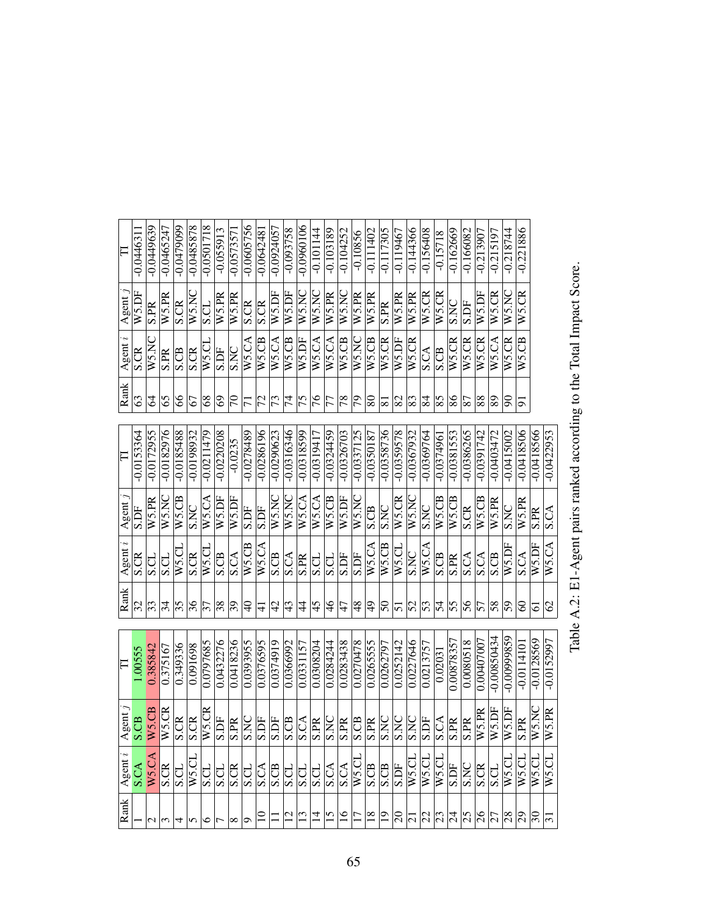| F<br>Agent<br>Agent<br>Rank<br>F<br>$\text{gent } j$<br>Agent $i$                           |  |  |              | Rank                    | $\ddot{\phantom{0}}$<br>Agent | Agent                    | $\Box$       |
|---------------------------------------------------------------------------------------------|--|--|--------------|-------------------------|-------------------------------|--------------------------|--------------|
| S.DF<br>S.CR<br>32<br>1.00555<br>පී<br>S.CA                                                 |  |  | $-0.0153364$ | 63                      | <b>S.CR</b>                   | W5.DF                    | $-0.044631$  |
| W5.PR<br><b>S.CL</b><br>$ \mathfrak{F} $<br>0.385842<br>W5.CB<br>W5.CA                      |  |  | $-0.0172955$ | Z                       | W5.N                          | $\overline{\text{S.PR}}$ | $-0.0449639$ |
| WS.NC<br>S.CL<br>34<br>0.375167<br>W5.CR<br>S.CR                                            |  |  | $-0.0182976$ | 65                      | S.PR                          | W5.PR                    | $-0.0465247$ |
| $W5$ . $CB$<br>W5.CI<br>$\overline{35}$<br>0.349336<br>S.CR<br><u>ro s</u>                  |  |  | $-0.0185488$ | 8                       | S.CB                          | S.CR                     | $-0.0479099$ |
| S.NC<br>S.CR<br>$\frac{8}{3}$<br>0.091698<br>E<br>∽<br>$W5$ .CI                             |  |  | $-0.0198932$ | 67                      | <b>S.CR</b>                   | W5.N                     | $-0.0485878$ |
| W5.CA<br>W5.CI<br>37<br>0.0797685<br>$\overline{\text{W5}}$ .CR<br>S.CI                     |  |  | $-0.0211479$ | 8 <sup>o</sup>          | W5.CL                         | S.CL                     | $-0.0501718$ |
| W5.DF<br>S.CB<br>$\overline{\mathcal{S}}$<br>0.0432276<br>S.DF<br>$\overline{\text{S}}$ .CI |  |  | $-0.0220208$ | 69                      | S.DF                          | W5.PR                    | $-0.055913$  |
| W5.DF<br>S.CA<br>$\overline{65}$<br>0.0418236<br>$rac{1}{\sqrt{2}}$                         |  |  | $-0.0235$    | $\overline{7}$          | <b>S.NC</b>                   | W5.PR                    | $-0.057357$  |
| S.DF<br>$\overline{W}$ 5.CB<br>$\Theta$<br>0.0393955                                        |  |  | $-0.0278489$ | $\overline{7}$          | W5.CA                         | S.CR                     | $-0.0605756$ |
| S.DF<br>W5.CA<br>$\frac{1}{4}$<br>0.0376595                                                 |  |  | $-0.0286196$ | $\overline{5}$          | W5.CB                         | S.CR                     | $-0.064248$  |
| W5.NC<br>S.CB<br>42<br>0.0374919                                                            |  |  | $-0.0290623$ | 73                      | W5.CA                         | W5.DF                    | $-0.0924057$ |
| W5.NC<br><b>S.CA</b><br>43<br>0.0366992<br>$\frac{2}{\frac{1}{2}}$                          |  |  | $-0.0316346$ | $\overline{7}$          | W5.CB                         | W5.DF                    | $-0.093758$  |
| W5.CA<br>S.PR<br>4<br>0.0331157<br>$\frac{1}{2}$                                            |  |  | $-0.0318599$ | $\overline{5}$          | W5.DF                         | W5.NC                    | $-0.0960106$ |
| W5.CA<br>ದ್ರ<br>45<br>0.0308204                                                             |  |  | $-0.0319417$ | $\frac{9}{16}$          | W5.CA                         | W5.NC                    | $-0.101144$  |
| $W5$ .CB<br>$\overline{\text{S.CL}}$<br>$\frac{4}{6}$<br>0.0284244<br>$rac{1}{\sqrt{2}}$    |  |  | $-0.0324459$ | $\overline{7}$          | W5.CA                         | W5.PR                    | $-0.103189$  |
| W5.DF<br><b>S.DF</b><br>47<br>0.0283438                                                     |  |  | $-0.0326703$ | 78                      | W5.CB                         | W5.NC                    | $-0.104252$  |
| W5.NC<br>S.DF<br>48<br>0.0270478<br>W5.CI                                                   |  |  | $-0.0337125$ | $\overline{\mathbb{S}}$ | W5.NC                         | W5.PR                    | $-0.10856$   |
| S.CB<br>$W$ 5.CA<br>$\overline{6}$<br>0.026555<br>S.CB                                      |  |  | $-0.0350187$ | $80\,$                  | W5.CB                         | W5.PR                    | $-0.111402$  |
| <b>S.NC</b><br>$W5$ .CB<br>$\overline{5}$<br>0.0262797                                      |  |  | -0.0358736   | $\overline{8}$          | W5.CR                         | <b>S.PR</b>              | $-0.117305$  |
| W5.CR<br>W5.CL<br>51<br>0.0252142<br>S.DF                                                   |  |  | $-0.0359578$ | 82                      | W5.DF                         | W5.PR                    | $-0.119467$  |
| W5.NC<br><b>S.NC</b><br>52<br>0.0227646<br>$W$ 5.CI                                         |  |  | $-0.0367932$ | $\sqrt{83}$             | $W$ 5.CR                      | W5.PR                    | $-0.144366$  |
| S.NC<br>W5.CA<br>$\overline{53}$<br>0.0213757<br>$W$ 5.CI                                   |  |  | $-0.0369764$ | $\overline{8}$          | S.CA                          | W5.CR                    | $-0.156408$  |
| $W5$ .CB<br>S.CB<br>$\overline{5}$<br>0.02031<br>W5.CI                                      |  |  | $-0.037496$  | $\frac{85}{5}$          | S.CB                          | W5.CR                    | $-0.15718$   |
| $W5$ .CB<br>S.PR<br>55<br>0.00878357<br><b>S.DF</b>                                         |  |  | $-0.0381553$ | 86                      | W5.CR                         | S.NC                     | $-0.162669$  |
| S.CR<br>S.CA<br>56<br>0.0080518<br>Æ<br>∣∽<br>$\frac{S}{S}$ CR                              |  |  | $-0.0386265$ | $\overline{87}$         | W5.CR                         | <b>S.DF</b>              | $-0.166082$  |
| $W5$ .CB<br>S.CA<br>57<br>0.00407007<br>V5.PR                                               |  |  | $-0.0391742$ | 88                      | W5.CR                         | W5.DF                    | $-0.213907$  |
| W5.PR<br>S.CB<br>58<br>$-0.00850434$<br>V5.DF<br>S.CL                                       |  |  | $-0.0403472$ | 89                      | W5.CA                         | W5.CR                    | $-0.215197$  |
| <b>S.NC</b><br>W5.DF<br>$\overline{5}$<br>$-0.00999859$<br>W5.DF<br>$W$ 5.CI                |  |  | $-0.0415002$ | $\boxtimes$             | W5.CR                         | WS.NC                    | $-0.218744$  |
| W5.PR<br>S.CA<br>8<br>$-0.011410$<br>Æ<br>n<br>W5.CI                                        |  |  | $-0.0418506$ | 51                      | W5.CB                         | W5.CR                    | $-0.221886$  |
| S.PR<br>W5.DF<br>5<br>$-0.0128569$<br>$\overline{\text{WS.NC}}$<br>WS.CI                    |  |  | $-0.0418566$ |                         |                               |                          |              |
| <b>S.CA</b><br>W5.CA<br>$\mathcal{O}$<br>$-0.0152997$<br>V5.PR<br>W5.CI                     |  |  | $-0.0422953$ |                         |                               |                          |              |
|                                                                                             |  |  |              |                         |                               |                          |              |

Table A.2: E1-Agent pairs ranked according to the Total Impact Score. Table A.2: E1-Agent pairs ranked according to the Total Impact Score.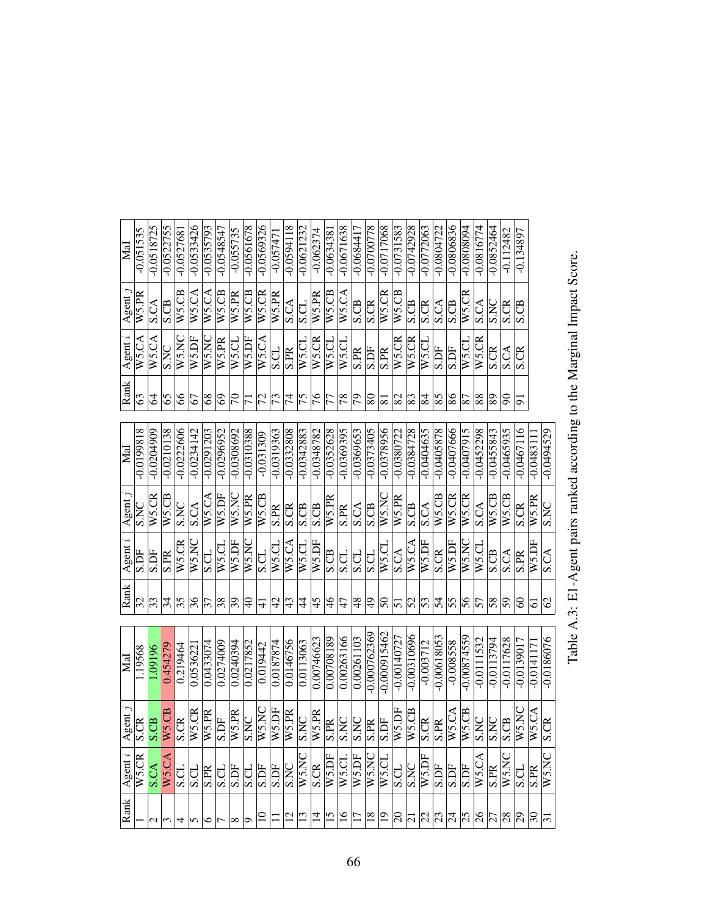| MaI                                 | $-0.051535$        | $-0.0518725$            | $-0.0522755$   | $-0.052768$        | $-0.0533426$             | $-0.0535793$                         | $-0.0548547$ | $-0.055735$               | $-0.0561678$   | -0.0569326  | $-0.05747$             | $-0.0594118$                    | $-0.0621232$ | $-0.062374$  | $-0.063438$             | $-0.0671638$    | $-0.0684417$      | -0.0700778      | $-0.0717068$   | $-0.0731583$  | $-0.0742928$    | $-0.0772063$ | $-0.0804722$  | $-0.0806836$ | F608080.0-   | $-0.0816774$        | $-0.0852464$   | $-0.112482$      | $-0.134897$  |                                                             |                |
|-------------------------------------|--------------------|-------------------------|----------------|--------------------|--------------------------|--------------------------------------|--------------|---------------------------|----------------|-------------|------------------------|---------------------------------|--------------|--------------|-------------------------|-----------------|-------------------|-----------------|----------------|---------------|-----------------|--------------|---------------|--------------|--------------|---------------------|----------------|------------------|--------------|-------------------------------------------------------------|----------------|
| Agent                               | W <sub>5.</sub> PR | S.CA                    | S.CB           | $W5$ .CB           | W5.CA                    | W5.CA                                | W5.CB        | W5.PR                     | $W5$ .CB       | W5.CR       | $\overline{W5}$ .PR    | <b>S.CA</b>                     | S.CL         | W5.PR        | $W5$ .CB                | W5.CA           | S.CB              | <b>S.CR</b>     | W5.CR          | $W5$ .CB      | S.CB            | <b>S.CR</b>  | S.CA          | S.CB         | W5.CR        | <b>S.CA</b>         | S.NC           | <b>S.CR</b>      | S.CB         |                                                             |                |
| $A$ gent $i$                        | W5.CA              | W5.CA                   | S.NC           | W5.NC              | W5.DF                    | WS.NC                                | W5.PR        | W5.CL                     | W5.DF          | W5.CA       | S.CL                   | <b>S.PR</b>                     | W5.CL        | W5.CR        | W5.CL                   | W5.CL           | <b>S.PR</b>       | <b>S.DF</b>     | S.PR           | W5.CR         | W5.CR           | W5.CL        | S.DF          | S.DF         | W5.CL        | $\overline{W5}$ .CR | <b>S.CR</b>    | S.CA             | <b>S.CR</b>  |                                                             |                |
| Rank                                | 63                 | 2                       | 65             | 89                 | 67                       | 68                                   | 69           | $\overline{5}$            | $\overline{7}$ | 72          | $ \tilde{\mathcal{L}}$ | 74                              | 75           | 76           | 77                      | 78              | $\overline{5}$    | 80              | $\overline{8}$ | 82            | $\overline{83}$ | 84           | 85            | 86           | 78           | 88                  | 89             | ន                | 51           |                                                             |                |
| MaI                                 | $-0.0199818$       | $-0.0204909$            | $-0.0210138$   | $-0.0222606$       | $-0.0234142$             | $-0.0291203$                         | $-0.0296952$ | $-0.0308692$              | $-0.0310388$   | $-0.031309$ | $-0.0319363$           | $-0.0332808$                    | $-0.0342883$ | $-0.0348782$ | $-0.0352628$            | $-0.0369395$    | $-0.0369653$      | $-0.0373405$    | $-0.0378956$   | $-0.0380722$  | $-0.0384728$    | $-0.0404635$ | $-0.0405878$  | $-0.0407666$ | $-0.0407915$ | $-0.0452298$        | $-0.0455843$   | $-0.0465935$     | $-0.0467116$ | $-0.048311$                                                 | $-0.0494529$   |
| Agent                               | S.NC               | W5.CR                   | $W_2$ .CB      | <b>S.NC</b>        | $\overline{\text{S.CA}}$ | W5.CA                                | W5.DF        | W5.NC                     | W5.PR          | $W5$ .CB    | S.PR                   | $\overline{\text{S}.\text{CR}}$ | S.CB         | S.CB         | W5.PR                   | S.PR            | S.CA              | S.CB            | W5.NC          | W5.PR         | S.CB            | S.CA         | W5.CB         | W5.CR        | W5.CR        | S.CA                | W5.CB          | W5.CB            | S.CR         | W5.PR                                                       | S.NC           |
| $\boldsymbol{\mathcal{E}}$<br>Agent | <b>S.DF</b>        | <b>FCS</b>              | <b>S.PR</b>    | W <sub>5</sub> .CR | W5.NC                    | <b>CCS</b>                           | W5.CL        | $\overline{\text{W5.DF}}$ | W5.NC          | S.CL        | $\overline{W}$ 5.CL    | W5.CA                           | W5.CL        | W5.DF        | <b>S.CB</b>             | <b>S.CL</b>     | <b>CCC</b>        | S.CL            | W5.CL          | S.CA          | W5.CA           | W5.DF        | S.CR          | W5.DF        | W5.NC        | W5.CL               | S.CB           | S.CA             | S.PR         | W3.DF                                                       | <b>S.CA</b>    |
| Rank                                | 32                 | $ \mathfrak{F} $        | $\overline{3}$ | 35                 | $\frac{96}{5}$           | $\overline{\overline{\overline{z}}}$ | 38           | $\sqrt{6}$                | ੩              | $\exists$   | $\overline{4}$         | 43                              | 4            | 45           | $\frac{6}{5}$           | $\overline{4}$  | 48                | $\overline{6}$  | 50             | 51            | 52              | 53           | 54            | 55           | 99           | 57                  | $\overline{8}$ | 59               | 3            | 5                                                           | $\overline{c}$ |
| MaI                                 | 1.19568            | 1.09196                 | 0.454279       | 0.219464           | 0.053622                 | 0.0433074                            | 0.0274009    | 0.0240394                 | 0.0217852      | 0.019442    | 0.0187874              | 0.0146756                       | 0.0113063    | 0.00746623   | 0.00708189              | 0.00263166      | 0.00261103        | $-0.000762369$  | $-0.000915462$ | $-0.00140727$ | $-0.00310696$   | $-0.003712$  | $-0.00618053$ | $-0.008558$  | 65574800.0   | $-0.0111532$        | $-0.0113794$   | $-0.0117628$     | $-0.0139017$ | $-0.0141171$                                                | $-0.0186076$   |
| $\lambda$ gent                      | S.CR               | S.CB                    | $N5$ .CB       | S.CR               | W5.CR                    | W5.PR                                | S.DF         | W5.PR                     | <b>S.NC</b>    | W5.NC       | W5.DF                  | W5.PR                           | <b>S.NC</b>  | W5.PR        | $\overline{\text{SPR}}$ | <b>S.NC</b>     | <b>S.NC</b>       | <b>S.PR</b>     | S.DF           | N5.DF         | $N5$ .CB        | <b>S.CR</b>  | S.PR          | N5.CA        | W5.CB        | S.NC                | S.NC           | $S\overline{CB}$ | $W5$ .NC     | W5.CA                                                       | S.CR           |
| Agent $i$                           |                    | WS.CR                   | W5.CA          |                    |                          | $\frac{1}{2}$                        |              | S.DF                      | S.CL           | S.DF        | S.DF                   | <b>SIVS</b>                     | W5.NO        | S.CR         | W5.DF                   | W5.CI           | W5.DF             | W5.NC           | $W$ 5.CI       | <b>S.CL</b>   | S.NC            | W5.DF        | S.DF          | <b>S.DF</b>  | S.DF         | W5.CA               | <b>S.PR</b>    | W.S.N            | <b>S.CL</b>  | <b>S.PR</b>                                                 | W5.NO          |
| Rank                                |                    | $\overline{\mathsf{c}}$ | $\sim$         |                    | ln                       | $\frac{1}{2}$                        |              | $\infty$                  |                |             |                        | $\overline{c}$                  | 13           | $\vec{a}$    | 15                      | $\overline{16}$ | $\overline{\Box}$ | $\overline{18}$ | $\overline{0}$ |               |                 |              |               |              |              |                     |                |                  |              | $ S $ ភ $ S $ $ S $ ភ $ S $ $ S $ ភ $ S $ ភ $ S $ ភ $ S $ ភ |                |

Table A.3: E1-Agent pairs ranked according to the Marginal Impact Score. Table A.3: E1-Agent pairs ranked according to the Marginal Impact Score.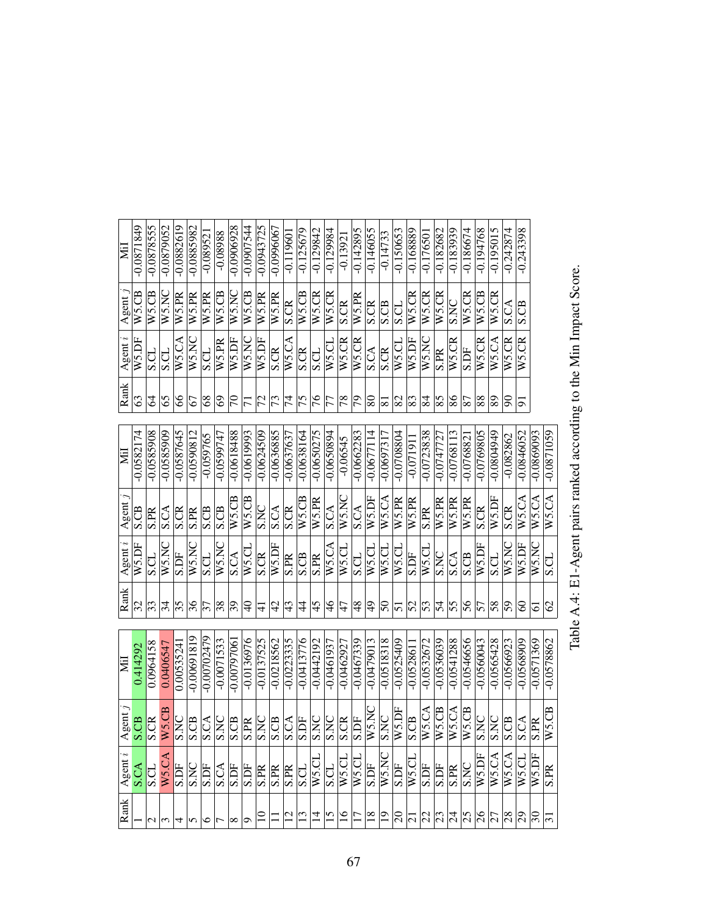| $-0.0871849$<br>$-0.0878555$<br>$-0.0879052$<br>$-0.0906928$<br>$-0.0882619$<br>$-0.0885982$<br>$-0.0943725$<br>$-0.0907544$<br>$-0.0996067$<br>$-0.243398$<br>$-0.142895$<br>$-0.146055$<br>$-0.182682$<br>$-0.194768$<br>$-0.195015$<br>$-0.242874$<br>$-0.125679$<br>$-0.129842$<br>$-0.129984$<br>$-0.150653$<br>$-0.168889$<br>$-0.183939$<br>$-0.186674$<br>$-0.08988$<br>$-0.119601$<br>$-0.17650$<br>$-0.14733$<br>$-0.08952$<br>$-0.1392$<br>WS.NC<br>W5.CB<br>W5.NC<br>W5.CR<br>W5.CB<br>W5.CB<br>W5.CB<br>W5.CB<br>W5.CR<br>W5.CR<br>W5.CR<br>W5.CR<br>W5.CR<br>W5.CB<br>W5.CR<br>W5.PR<br>W5.PR<br>W5.PR<br>W5.PR<br>W5.PR<br>W5.PR<br><b>S.NC</b><br>S.CR<br>S.CR<br>S.CR<br>S.CB<br>S.CB<br>S.CL<br>S.CA<br>W5.NC<br>W5.CR<br>W5.CA<br>W5.CR<br>W5.CR<br>W5.CA<br>W5.DF<br>W5.CA<br>W5.NC<br>W5.DF<br>W5.DF<br>W5.NC<br>W <sub>5</sub> .CR<br>W5.CR<br>W5.CR<br>W5.DF<br>W5.CL<br>$\overline{\text{W5}}$ .CL<br>W5.PR<br>S.CR<br><b>S.CR</b><br>S.CR<br>S.DF<br><b>S.CL</b><br>S.CA<br>S.CL<br><b>S.CL</b><br>S.PR<br><b>S.CL</b><br>65<br>63<br>Z<br>8<br>8 <sup>o</sup><br>$\overline{7}$<br>73<br>$\overline{7}$<br>$\overline{75}$<br>$\frac{9}{10}$<br>$\overline{78}$<br>$\overline{5}$<br> 82 <br>$\sqrt{83}$<br>$\overline{85}$<br>98<br>88<br>89<br>67<br>$\odot$<br>$\overline{5}$<br>77<br>$80\,$<br>$\overline{\mathbb{8}}$<br>န<br>$\overline{7}$<br>$\sqrt{8}$<br>$\overline{\mathrm{s}}$<br>5<br>$-0.0587645$<br>$-0.0636885$<br>$-0.0582174$<br>$-0.0585908$<br>$-0.0585909$<br>$-0.0590812$<br>$-0.0618488$<br>$-0.0619993$<br>$-0.0650275$<br>$-0.0662283$<br>$-0.0708804$<br>$-0.0723838$<br>$-0.0768113$<br>$-0.0769805$<br>6767080.0-<br>$-0.0846052$<br>$-0.0869093$<br>$-0.0871059$<br>$-0.0624509$<br>$-0.0638164$<br>$-0.0650894$<br>$-0.0677114$<br>$-0.0637637$<br>$-0.0697317$<br>$-0.0747727$<br>$-0.0599747$<br>$-0.059765$<br>$-0.082862$<br>$-0.076882$<br>$-0.06545$<br>$-0.071911$<br>W5.CA<br>W5.NC<br>W5.CA<br>W5.CA<br>$W$ 5.CB<br>W5.CA<br>$W5$ .CB<br>$W5$ .CB<br>W5.DF<br>W5.DF<br>W <sub>5</sub> .PR<br>W5.PR<br>W5.PR<br>W5.PR<br>W5.PR<br>W5.PR<br>SNC<br><b>S.CB</b><br><b>S.CA</b><br><b>S.CR</b><br>S.CA<br><b>S.CR</b><br><b>S.CR</b><br>S.CB<br>$\overline{S.CA}$<br>S.CB<br>S.CA<br>S.CR<br><b>S.PR</b><br><b>S.PR</b><br>S.PR<br>W5.NC<br>WS.NC<br>WS.NC<br>W5.NC<br>W5.DF<br>W5.DF<br>W5.DF<br>W5.DF<br>W5.CA<br>W5.CL<br>W5.CL<br>W5.CL<br>W5.CL<br>W5.CL<br>W5.CL<br>W5.N<br>S.DF<br>S.CR<br>S.DF<br><b>S.NC</b><br>S.CB<br><b>S.CA</b><br>S.CB<br>S.CA<br>S.CL<br>S.CL<br>S.CL<br><b>S.CL</b><br>S.PR<br><b>S.PR</b><br>S.CL<br>45<br>$\frac{8}{5}$<br>32<br>$ \mathfrak{F} $<br>35<br>36<br>$\sqrt{8}$<br>$\Theta$<br>$\overline{4}$<br>$\frac{4}{3}$<br>$ \frac{8}{5}\rangle$<br>$\overline{4}$<br>$\overline{5}$<br>52<br>$\overline{5}$<br>55<br>$\frac{95}{5}$<br>58<br>$\overline{5}$<br>$\mathcal{O}$<br>34<br>37<br>$\overline{39}$<br>4<br>47<br>$\overline{5}$<br>57<br>8<br>$\Xi$<br>$\overline{5}$<br>5<br>$-0.00691819$<br>$-0.00702479$<br>$-0.0136976$<br>$-0.0223335$<br>$-0.0546656$<br>$-0.0071533$<br>$-0.0137525$<br>$-0.0413776$<br>$-0.0541288$<br>$-0.0565428$<br>$-0.0571369$<br>$-0.0578862$<br>$-0.0218562$<br>$-0.0442192$<br>$-0.0467339$<br>$-0.0479013$<br>$-0.0518318$<br>$-0.0525409$<br>$-0.0532672$<br>$-0.0536039$<br>$-0.0560043$<br>$-0.0566923$<br>$-0.0568909$<br>$-0.0079706$<br>$-0.0461937$<br>$-0.0462927$<br>0.0964158<br>0.0053524<br>0.0406547<br>0.414292<br>$-0.052861$<br>75.NC<br>$\sqrt{5.DF}$<br>75.CA<br>75.CB<br>5.CB<br>5.CB<br>5.0A<br>$75$ .CB<br><b>SK</b><br>ž<br>P.<br><b>S.NC</b><br>E<br>$rac{SNC}{SCR}$<br><b>DN</b><br>$\mathcal{L}$<br>Ę<br>Ę<br>$ \mathcal{E} $<br>E<br>පී<br>පි<br>උි<br>E<br><b>CB</b><br>E<br>$\Theta$<br>$\Im$<br>Æ<br>PR<br>ທ່ ≯<br>∣⋨<br> ≯<br>vi<br>⋝<br>∣⋨<br>⋝<br>⋝<br>∣⋨<br>∣∽<br>S<br>n<br>S<br>n<br>∣∽<br>S<br>W5.NC<br>W5.DF<br>W5.CA<br>W5.CA<br>W5.DF<br>W5.CL<br>W5.CA<br>W5.CL<br>W5.CI<br>$W$ 5.C<br>S.NC<br>S.DF<br><b>S.DF</b><br>S.DF<br>S.DF<br><b>S.DF</b><br>$\overline{\text{SNC}}$<br><b>S.DF</b><br>S.CA<br>S.DF<br>S.CA<br><b>S.CL</b><br>S.DF<br>S.PR<br>$W$ 5.C<br>S.PR<br>S.PR<br>S.PR<br><b>S.PR</b><br>$\overline{\text{S.CL}}$<br>S.CI<br>$\overline{15}$<br>$\frac{8}{1}$<br>$\frac{26}{27}$<br>$\Xi$<br>$\overline{c}$<br>ゴ<br>$\overline{17}$<br>$\overline{1}$<br><u>ន្ត្រ</u><br>$\sqrt{2}$<br>$\frac{2}{3}$<br>$\frac{5}{2}$<br>$\sqrt{8}$<br>$\overline{5}$<br>$\Im$<br>$\sim$<br>$\mathbf{C}$<br>७<br>ç<br>$\omega$<br>4<br>5<br>$\overline{ }$<br>$\infty$ | Rank | Agent $i$ | gent<br>⋖ | Nil | Rank | Agent $i$ | Agent | Ξ | Rank | Agent i | Agent | Йİ |
|-------------------------------------------------------------------------------------------------------------------------------------------------------------------------------------------------------------------------------------------------------------------------------------------------------------------------------------------------------------------------------------------------------------------------------------------------------------------------------------------------------------------------------------------------------------------------------------------------------------------------------------------------------------------------------------------------------------------------------------------------------------------------------------------------------------------------------------------------------------------------------------------------------------------------------------------------------------------------------------------------------------------------------------------------------------------------------------------------------------------------------------------------------------------------------------------------------------------------------------------------------------------------------------------------------------------------------------------------------------------------------------------------------------------------------------------------------------------------------------------------------------------------------------------------------------------------------------------------------------------------------------------------------------------------------------------------------------------------------------------------------------------------------------------------------------------------------------------------------------------------------------------------------------------------------------------------------------------------------------------------------------------------------------------------------------------------------------------------------------------------------------------------------------------------------------------------------------------------------------------------------------------------------------------------------------------------------------------------------------------------------------------------------------------------------------------------------------------------------------------------------------------------------------------------------------------------------------------------------------------------------------------------------------------------------------------------------------------------------------------------------------------------------------------------------------------------------------------------------------------------------------------------------------------------------------------------------------------------------------------------------------------------------------------------------------------------------------------------------------------------------------------------------------------------------------------------------------------------------------------------------------------------------------------------------------------------------------------------------------------------------------------------------------------------------------------------------------------------------------------------------------------------------------------------------------------------------------------------------------------------------------------------------------------------------------------------------------------------------------------------------------------------------------------------------------------------------------------------------------------------------------------------------------------------------------------------------------------------------------------------------------------------------------------------------------------------------------------------------------------------------------------------------------------------------------------------------------------------------------------------------------------------------------------------------------------------------------------------------------------------------------------------------------------------------------------------------------------------------------------------------------------------------------------------------------|------|-----------|-----------|-----|------|-----------|-------|---|------|---------|-------|----|
|                                                                                                                                                                                                                                                                                                                                                                                                                                                                                                                                                                                                                                                                                                                                                                                                                                                                                                                                                                                                                                                                                                                                                                                                                                                                                                                                                                                                                                                                                                                                                                                                                                                                                                                                                                                                                                                                                                                                                                                                                                                                                                                                                                                                                                                                                                                                                                                                                                                                                                                                                                                                                                                                                                                                                                                                                                                                                                                                                                                                                                                                                                                                                                                                                                                                                                                                                                                                                                                                                                                                                                                                                                                                                                                                                                                                                                                                                                                                                                                                                                                                                                                                                                                                                                                                                                                                                                                                                                                                                                                                                             |      |           |           |     |      |           |       |   |      |         |       |    |
|                                                                                                                                                                                                                                                                                                                                                                                                                                                                                                                                                                                                                                                                                                                                                                                                                                                                                                                                                                                                                                                                                                                                                                                                                                                                                                                                                                                                                                                                                                                                                                                                                                                                                                                                                                                                                                                                                                                                                                                                                                                                                                                                                                                                                                                                                                                                                                                                                                                                                                                                                                                                                                                                                                                                                                                                                                                                                                                                                                                                                                                                                                                                                                                                                                                                                                                                                                                                                                                                                                                                                                                                                                                                                                                                                                                                                                                                                                                                                                                                                                                                                                                                                                                                                                                                                                                                                                                                                                                                                                                                                             |      |           |           |     |      |           |       |   |      |         |       |    |
|                                                                                                                                                                                                                                                                                                                                                                                                                                                                                                                                                                                                                                                                                                                                                                                                                                                                                                                                                                                                                                                                                                                                                                                                                                                                                                                                                                                                                                                                                                                                                                                                                                                                                                                                                                                                                                                                                                                                                                                                                                                                                                                                                                                                                                                                                                                                                                                                                                                                                                                                                                                                                                                                                                                                                                                                                                                                                                                                                                                                                                                                                                                                                                                                                                                                                                                                                                                                                                                                                                                                                                                                                                                                                                                                                                                                                                                                                                                                                                                                                                                                                                                                                                                                                                                                                                                                                                                                                                                                                                                                                             |      |           |           |     |      |           |       |   |      |         |       |    |
|                                                                                                                                                                                                                                                                                                                                                                                                                                                                                                                                                                                                                                                                                                                                                                                                                                                                                                                                                                                                                                                                                                                                                                                                                                                                                                                                                                                                                                                                                                                                                                                                                                                                                                                                                                                                                                                                                                                                                                                                                                                                                                                                                                                                                                                                                                                                                                                                                                                                                                                                                                                                                                                                                                                                                                                                                                                                                                                                                                                                                                                                                                                                                                                                                                                                                                                                                                                                                                                                                                                                                                                                                                                                                                                                                                                                                                                                                                                                                                                                                                                                                                                                                                                                                                                                                                                                                                                                                                                                                                                                                             |      |           |           |     |      |           |       |   |      |         |       |    |
|                                                                                                                                                                                                                                                                                                                                                                                                                                                                                                                                                                                                                                                                                                                                                                                                                                                                                                                                                                                                                                                                                                                                                                                                                                                                                                                                                                                                                                                                                                                                                                                                                                                                                                                                                                                                                                                                                                                                                                                                                                                                                                                                                                                                                                                                                                                                                                                                                                                                                                                                                                                                                                                                                                                                                                                                                                                                                                                                                                                                                                                                                                                                                                                                                                                                                                                                                                                                                                                                                                                                                                                                                                                                                                                                                                                                                                                                                                                                                                                                                                                                                                                                                                                                                                                                                                                                                                                                                                                                                                                                                             |      |           |           |     |      |           |       |   |      |         |       |    |
|                                                                                                                                                                                                                                                                                                                                                                                                                                                                                                                                                                                                                                                                                                                                                                                                                                                                                                                                                                                                                                                                                                                                                                                                                                                                                                                                                                                                                                                                                                                                                                                                                                                                                                                                                                                                                                                                                                                                                                                                                                                                                                                                                                                                                                                                                                                                                                                                                                                                                                                                                                                                                                                                                                                                                                                                                                                                                                                                                                                                                                                                                                                                                                                                                                                                                                                                                                                                                                                                                                                                                                                                                                                                                                                                                                                                                                                                                                                                                                                                                                                                                                                                                                                                                                                                                                                                                                                                                                                                                                                                                             |      |           |           |     |      |           |       |   |      |         |       |    |
|                                                                                                                                                                                                                                                                                                                                                                                                                                                                                                                                                                                                                                                                                                                                                                                                                                                                                                                                                                                                                                                                                                                                                                                                                                                                                                                                                                                                                                                                                                                                                                                                                                                                                                                                                                                                                                                                                                                                                                                                                                                                                                                                                                                                                                                                                                                                                                                                                                                                                                                                                                                                                                                                                                                                                                                                                                                                                                                                                                                                                                                                                                                                                                                                                                                                                                                                                                                                                                                                                                                                                                                                                                                                                                                                                                                                                                                                                                                                                                                                                                                                                                                                                                                                                                                                                                                                                                                                                                                                                                                                                             |      |           |           |     |      |           |       |   |      |         |       |    |
|                                                                                                                                                                                                                                                                                                                                                                                                                                                                                                                                                                                                                                                                                                                                                                                                                                                                                                                                                                                                                                                                                                                                                                                                                                                                                                                                                                                                                                                                                                                                                                                                                                                                                                                                                                                                                                                                                                                                                                                                                                                                                                                                                                                                                                                                                                                                                                                                                                                                                                                                                                                                                                                                                                                                                                                                                                                                                                                                                                                                                                                                                                                                                                                                                                                                                                                                                                                                                                                                                                                                                                                                                                                                                                                                                                                                                                                                                                                                                                                                                                                                                                                                                                                                                                                                                                                                                                                                                                                                                                                                                             |      |           |           |     |      |           |       |   |      |         |       |    |
|                                                                                                                                                                                                                                                                                                                                                                                                                                                                                                                                                                                                                                                                                                                                                                                                                                                                                                                                                                                                                                                                                                                                                                                                                                                                                                                                                                                                                                                                                                                                                                                                                                                                                                                                                                                                                                                                                                                                                                                                                                                                                                                                                                                                                                                                                                                                                                                                                                                                                                                                                                                                                                                                                                                                                                                                                                                                                                                                                                                                                                                                                                                                                                                                                                                                                                                                                                                                                                                                                                                                                                                                                                                                                                                                                                                                                                                                                                                                                                                                                                                                                                                                                                                                                                                                                                                                                                                                                                                                                                                                                             |      |           |           |     |      |           |       |   |      |         |       |    |
|                                                                                                                                                                                                                                                                                                                                                                                                                                                                                                                                                                                                                                                                                                                                                                                                                                                                                                                                                                                                                                                                                                                                                                                                                                                                                                                                                                                                                                                                                                                                                                                                                                                                                                                                                                                                                                                                                                                                                                                                                                                                                                                                                                                                                                                                                                                                                                                                                                                                                                                                                                                                                                                                                                                                                                                                                                                                                                                                                                                                                                                                                                                                                                                                                                                                                                                                                                                                                                                                                                                                                                                                                                                                                                                                                                                                                                                                                                                                                                                                                                                                                                                                                                                                                                                                                                                                                                                                                                                                                                                                                             |      |           |           |     |      |           |       |   |      |         |       |    |
|                                                                                                                                                                                                                                                                                                                                                                                                                                                                                                                                                                                                                                                                                                                                                                                                                                                                                                                                                                                                                                                                                                                                                                                                                                                                                                                                                                                                                                                                                                                                                                                                                                                                                                                                                                                                                                                                                                                                                                                                                                                                                                                                                                                                                                                                                                                                                                                                                                                                                                                                                                                                                                                                                                                                                                                                                                                                                                                                                                                                                                                                                                                                                                                                                                                                                                                                                                                                                                                                                                                                                                                                                                                                                                                                                                                                                                                                                                                                                                                                                                                                                                                                                                                                                                                                                                                                                                                                                                                                                                                                                             |      |           |           |     |      |           |       |   |      |         |       |    |
|                                                                                                                                                                                                                                                                                                                                                                                                                                                                                                                                                                                                                                                                                                                                                                                                                                                                                                                                                                                                                                                                                                                                                                                                                                                                                                                                                                                                                                                                                                                                                                                                                                                                                                                                                                                                                                                                                                                                                                                                                                                                                                                                                                                                                                                                                                                                                                                                                                                                                                                                                                                                                                                                                                                                                                                                                                                                                                                                                                                                                                                                                                                                                                                                                                                                                                                                                                                                                                                                                                                                                                                                                                                                                                                                                                                                                                                                                                                                                                                                                                                                                                                                                                                                                                                                                                                                                                                                                                                                                                                                                             |      |           |           |     |      |           |       |   |      |         |       |    |
|                                                                                                                                                                                                                                                                                                                                                                                                                                                                                                                                                                                                                                                                                                                                                                                                                                                                                                                                                                                                                                                                                                                                                                                                                                                                                                                                                                                                                                                                                                                                                                                                                                                                                                                                                                                                                                                                                                                                                                                                                                                                                                                                                                                                                                                                                                                                                                                                                                                                                                                                                                                                                                                                                                                                                                                                                                                                                                                                                                                                                                                                                                                                                                                                                                                                                                                                                                                                                                                                                                                                                                                                                                                                                                                                                                                                                                                                                                                                                                                                                                                                                                                                                                                                                                                                                                                                                                                                                                                                                                                                                             |      |           |           |     |      |           |       |   |      |         |       |    |
|                                                                                                                                                                                                                                                                                                                                                                                                                                                                                                                                                                                                                                                                                                                                                                                                                                                                                                                                                                                                                                                                                                                                                                                                                                                                                                                                                                                                                                                                                                                                                                                                                                                                                                                                                                                                                                                                                                                                                                                                                                                                                                                                                                                                                                                                                                                                                                                                                                                                                                                                                                                                                                                                                                                                                                                                                                                                                                                                                                                                                                                                                                                                                                                                                                                                                                                                                                                                                                                                                                                                                                                                                                                                                                                                                                                                                                                                                                                                                                                                                                                                                                                                                                                                                                                                                                                                                                                                                                                                                                                                                             |      |           |           |     |      |           |       |   |      |         |       |    |
|                                                                                                                                                                                                                                                                                                                                                                                                                                                                                                                                                                                                                                                                                                                                                                                                                                                                                                                                                                                                                                                                                                                                                                                                                                                                                                                                                                                                                                                                                                                                                                                                                                                                                                                                                                                                                                                                                                                                                                                                                                                                                                                                                                                                                                                                                                                                                                                                                                                                                                                                                                                                                                                                                                                                                                                                                                                                                                                                                                                                                                                                                                                                                                                                                                                                                                                                                                                                                                                                                                                                                                                                                                                                                                                                                                                                                                                                                                                                                                                                                                                                                                                                                                                                                                                                                                                                                                                                                                                                                                                                                             |      |           |           |     |      |           |       |   |      |         |       |    |
|                                                                                                                                                                                                                                                                                                                                                                                                                                                                                                                                                                                                                                                                                                                                                                                                                                                                                                                                                                                                                                                                                                                                                                                                                                                                                                                                                                                                                                                                                                                                                                                                                                                                                                                                                                                                                                                                                                                                                                                                                                                                                                                                                                                                                                                                                                                                                                                                                                                                                                                                                                                                                                                                                                                                                                                                                                                                                                                                                                                                                                                                                                                                                                                                                                                                                                                                                                                                                                                                                                                                                                                                                                                                                                                                                                                                                                                                                                                                                                                                                                                                                                                                                                                                                                                                                                                                                                                                                                                                                                                                                             |      |           |           |     |      |           |       |   |      |         |       |    |
|                                                                                                                                                                                                                                                                                                                                                                                                                                                                                                                                                                                                                                                                                                                                                                                                                                                                                                                                                                                                                                                                                                                                                                                                                                                                                                                                                                                                                                                                                                                                                                                                                                                                                                                                                                                                                                                                                                                                                                                                                                                                                                                                                                                                                                                                                                                                                                                                                                                                                                                                                                                                                                                                                                                                                                                                                                                                                                                                                                                                                                                                                                                                                                                                                                                                                                                                                                                                                                                                                                                                                                                                                                                                                                                                                                                                                                                                                                                                                                                                                                                                                                                                                                                                                                                                                                                                                                                                                                                                                                                                                             |      |           |           |     |      |           |       |   |      |         |       |    |
|                                                                                                                                                                                                                                                                                                                                                                                                                                                                                                                                                                                                                                                                                                                                                                                                                                                                                                                                                                                                                                                                                                                                                                                                                                                                                                                                                                                                                                                                                                                                                                                                                                                                                                                                                                                                                                                                                                                                                                                                                                                                                                                                                                                                                                                                                                                                                                                                                                                                                                                                                                                                                                                                                                                                                                                                                                                                                                                                                                                                                                                                                                                                                                                                                                                                                                                                                                                                                                                                                                                                                                                                                                                                                                                                                                                                                                                                                                                                                                                                                                                                                                                                                                                                                                                                                                                                                                                                                                                                                                                                                             |      |           |           |     |      |           |       |   |      |         |       |    |
|                                                                                                                                                                                                                                                                                                                                                                                                                                                                                                                                                                                                                                                                                                                                                                                                                                                                                                                                                                                                                                                                                                                                                                                                                                                                                                                                                                                                                                                                                                                                                                                                                                                                                                                                                                                                                                                                                                                                                                                                                                                                                                                                                                                                                                                                                                                                                                                                                                                                                                                                                                                                                                                                                                                                                                                                                                                                                                                                                                                                                                                                                                                                                                                                                                                                                                                                                                                                                                                                                                                                                                                                                                                                                                                                                                                                                                                                                                                                                                                                                                                                                                                                                                                                                                                                                                                                                                                                                                                                                                                                                             |      |           |           |     |      |           |       |   |      |         |       |    |
|                                                                                                                                                                                                                                                                                                                                                                                                                                                                                                                                                                                                                                                                                                                                                                                                                                                                                                                                                                                                                                                                                                                                                                                                                                                                                                                                                                                                                                                                                                                                                                                                                                                                                                                                                                                                                                                                                                                                                                                                                                                                                                                                                                                                                                                                                                                                                                                                                                                                                                                                                                                                                                                                                                                                                                                                                                                                                                                                                                                                                                                                                                                                                                                                                                                                                                                                                                                                                                                                                                                                                                                                                                                                                                                                                                                                                                                                                                                                                                                                                                                                                                                                                                                                                                                                                                                                                                                                                                                                                                                                                             |      |           |           |     |      |           |       |   |      |         |       |    |
|                                                                                                                                                                                                                                                                                                                                                                                                                                                                                                                                                                                                                                                                                                                                                                                                                                                                                                                                                                                                                                                                                                                                                                                                                                                                                                                                                                                                                                                                                                                                                                                                                                                                                                                                                                                                                                                                                                                                                                                                                                                                                                                                                                                                                                                                                                                                                                                                                                                                                                                                                                                                                                                                                                                                                                                                                                                                                                                                                                                                                                                                                                                                                                                                                                                                                                                                                                                                                                                                                                                                                                                                                                                                                                                                                                                                                                                                                                                                                                                                                                                                                                                                                                                                                                                                                                                                                                                                                                                                                                                                                             |      |           |           |     |      |           |       |   |      |         |       |    |
|                                                                                                                                                                                                                                                                                                                                                                                                                                                                                                                                                                                                                                                                                                                                                                                                                                                                                                                                                                                                                                                                                                                                                                                                                                                                                                                                                                                                                                                                                                                                                                                                                                                                                                                                                                                                                                                                                                                                                                                                                                                                                                                                                                                                                                                                                                                                                                                                                                                                                                                                                                                                                                                                                                                                                                                                                                                                                                                                                                                                                                                                                                                                                                                                                                                                                                                                                                                                                                                                                                                                                                                                                                                                                                                                                                                                                                                                                                                                                                                                                                                                                                                                                                                                                                                                                                                                                                                                                                                                                                                                                             |      |           |           |     |      |           |       |   |      |         |       |    |
|                                                                                                                                                                                                                                                                                                                                                                                                                                                                                                                                                                                                                                                                                                                                                                                                                                                                                                                                                                                                                                                                                                                                                                                                                                                                                                                                                                                                                                                                                                                                                                                                                                                                                                                                                                                                                                                                                                                                                                                                                                                                                                                                                                                                                                                                                                                                                                                                                                                                                                                                                                                                                                                                                                                                                                                                                                                                                                                                                                                                                                                                                                                                                                                                                                                                                                                                                                                                                                                                                                                                                                                                                                                                                                                                                                                                                                                                                                                                                                                                                                                                                                                                                                                                                                                                                                                                                                                                                                                                                                                                                             |      |           |           |     |      |           |       |   |      |         |       |    |
|                                                                                                                                                                                                                                                                                                                                                                                                                                                                                                                                                                                                                                                                                                                                                                                                                                                                                                                                                                                                                                                                                                                                                                                                                                                                                                                                                                                                                                                                                                                                                                                                                                                                                                                                                                                                                                                                                                                                                                                                                                                                                                                                                                                                                                                                                                                                                                                                                                                                                                                                                                                                                                                                                                                                                                                                                                                                                                                                                                                                                                                                                                                                                                                                                                                                                                                                                                                                                                                                                                                                                                                                                                                                                                                                                                                                                                                                                                                                                                                                                                                                                                                                                                                                                                                                                                                                                                                                                                                                                                                                                             |      |           |           |     |      |           |       |   |      |         |       |    |
|                                                                                                                                                                                                                                                                                                                                                                                                                                                                                                                                                                                                                                                                                                                                                                                                                                                                                                                                                                                                                                                                                                                                                                                                                                                                                                                                                                                                                                                                                                                                                                                                                                                                                                                                                                                                                                                                                                                                                                                                                                                                                                                                                                                                                                                                                                                                                                                                                                                                                                                                                                                                                                                                                                                                                                                                                                                                                                                                                                                                                                                                                                                                                                                                                                                                                                                                                                                                                                                                                                                                                                                                                                                                                                                                                                                                                                                                                                                                                                                                                                                                                                                                                                                                                                                                                                                                                                                                                                                                                                                                                             |      |           |           |     |      |           |       |   |      |         |       |    |
|                                                                                                                                                                                                                                                                                                                                                                                                                                                                                                                                                                                                                                                                                                                                                                                                                                                                                                                                                                                                                                                                                                                                                                                                                                                                                                                                                                                                                                                                                                                                                                                                                                                                                                                                                                                                                                                                                                                                                                                                                                                                                                                                                                                                                                                                                                                                                                                                                                                                                                                                                                                                                                                                                                                                                                                                                                                                                                                                                                                                                                                                                                                                                                                                                                                                                                                                                                                                                                                                                                                                                                                                                                                                                                                                                                                                                                                                                                                                                                                                                                                                                                                                                                                                                                                                                                                                                                                                                                                                                                                                                             |      |           |           |     |      |           |       |   |      |         |       |    |
|                                                                                                                                                                                                                                                                                                                                                                                                                                                                                                                                                                                                                                                                                                                                                                                                                                                                                                                                                                                                                                                                                                                                                                                                                                                                                                                                                                                                                                                                                                                                                                                                                                                                                                                                                                                                                                                                                                                                                                                                                                                                                                                                                                                                                                                                                                                                                                                                                                                                                                                                                                                                                                                                                                                                                                                                                                                                                                                                                                                                                                                                                                                                                                                                                                                                                                                                                                                                                                                                                                                                                                                                                                                                                                                                                                                                                                                                                                                                                                                                                                                                                                                                                                                                                                                                                                                                                                                                                                                                                                                                                             |      |           |           |     |      |           |       |   |      |         |       |    |
|                                                                                                                                                                                                                                                                                                                                                                                                                                                                                                                                                                                                                                                                                                                                                                                                                                                                                                                                                                                                                                                                                                                                                                                                                                                                                                                                                                                                                                                                                                                                                                                                                                                                                                                                                                                                                                                                                                                                                                                                                                                                                                                                                                                                                                                                                                                                                                                                                                                                                                                                                                                                                                                                                                                                                                                                                                                                                                                                                                                                                                                                                                                                                                                                                                                                                                                                                                                                                                                                                                                                                                                                                                                                                                                                                                                                                                                                                                                                                                                                                                                                                                                                                                                                                                                                                                                                                                                                                                                                                                                                                             |      |           |           |     |      |           |       |   |      |         |       |    |
|                                                                                                                                                                                                                                                                                                                                                                                                                                                                                                                                                                                                                                                                                                                                                                                                                                                                                                                                                                                                                                                                                                                                                                                                                                                                                                                                                                                                                                                                                                                                                                                                                                                                                                                                                                                                                                                                                                                                                                                                                                                                                                                                                                                                                                                                                                                                                                                                                                                                                                                                                                                                                                                                                                                                                                                                                                                                                                                                                                                                                                                                                                                                                                                                                                                                                                                                                                                                                                                                                                                                                                                                                                                                                                                                                                                                                                                                                                                                                                                                                                                                                                                                                                                                                                                                                                                                                                                                                                                                                                                                                             |      |           |           |     |      |           |       |   |      |         |       |    |
|                                                                                                                                                                                                                                                                                                                                                                                                                                                                                                                                                                                                                                                                                                                                                                                                                                                                                                                                                                                                                                                                                                                                                                                                                                                                                                                                                                                                                                                                                                                                                                                                                                                                                                                                                                                                                                                                                                                                                                                                                                                                                                                                                                                                                                                                                                                                                                                                                                                                                                                                                                                                                                                                                                                                                                                                                                                                                                                                                                                                                                                                                                                                                                                                                                                                                                                                                                                                                                                                                                                                                                                                                                                                                                                                                                                                                                                                                                                                                                                                                                                                                                                                                                                                                                                                                                                                                                                                                                                                                                                                                             |      |           |           |     |      |           |       |   |      |         |       |    |
|                                                                                                                                                                                                                                                                                                                                                                                                                                                                                                                                                                                                                                                                                                                                                                                                                                                                                                                                                                                                                                                                                                                                                                                                                                                                                                                                                                                                                                                                                                                                                                                                                                                                                                                                                                                                                                                                                                                                                                                                                                                                                                                                                                                                                                                                                                                                                                                                                                                                                                                                                                                                                                                                                                                                                                                                                                                                                                                                                                                                                                                                                                                                                                                                                                                                                                                                                                                                                                                                                                                                                                                                                                                                                                                                                                                                                                                                                                                                                                                                                                                                                                                                                                                                                                                                                                                                                                                                                                                                                                                                                             |      |           |           |     |      |           |       |   |      |         |       |    |

Table A.4: E1-Agent pairs ranked according to the Min Impact Score. Table A.4: E1-Agent pairs ranked according to the Min Impact Score.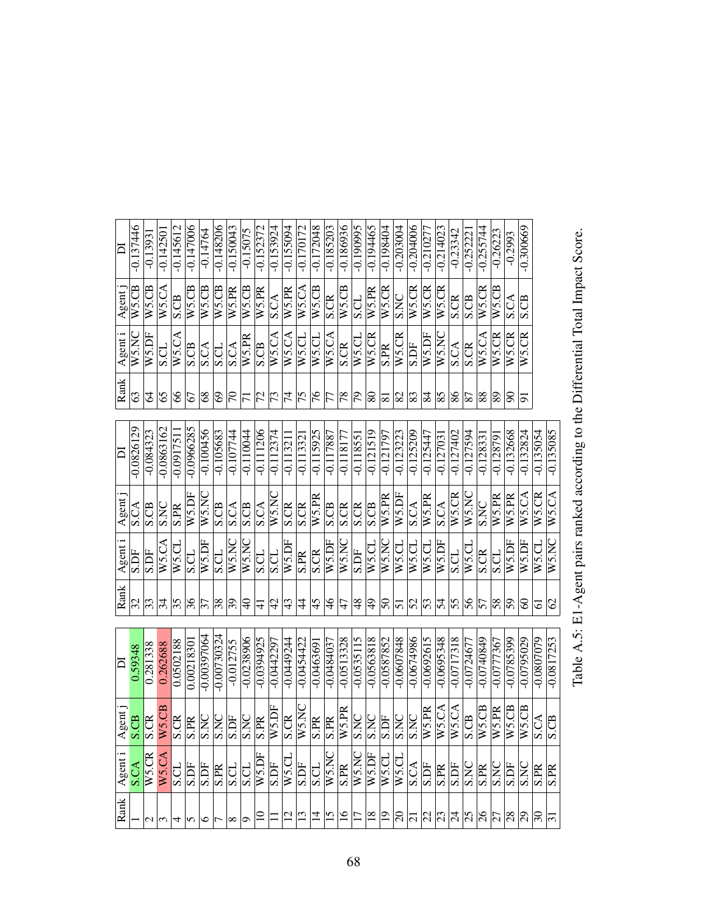| Agent i                                    | Agent.             | $\overline{\square}$     | Rank                     | Agent                      | Agent                     | $\overline{\mathbf{a}}$ | Rank                    | Agent i     | Agent <sub>.</sub>              | ā           |
|--------------------------------------------|--------------------|--------------------------|--------------------------|----------------------------|---------------------------|-------------------------|-------------------------|-------------|---------------------------------|-------------|
| S.CB                                       |                    | 0.59348                  | $\overline{\mathcal{E}}$ | S.DF                       | <b>S.CA</b>               | $-0.0826129$            | 63                      | W5.NC       | W5.CB                           | $-0.137446$ |
| <b>S.CR</b>                                |                    | 0.281338                 | $\overline{3}$           | S.DF                       | S.CB                      | $-0.084323$             | 2                       | W5.DF       | $W5$ .CB                        | $-0.13931$  |
| W5.CB                                      |                    | 0.262688                 | $\overline{\mathcal{Z}}$ | W5.CA                      | <b>S.NC</b>               | $-0.0863162$            | 65                      | S.CL        | W5.CA                           | $-0.14250$  |
| <b>S.CR</b>                                |                    | 0.0502188                | 35                       | W5.CL                      | $\overline{\text{S.PR}}$  | $-0.091751$             | 8                       | W5.CA       | <b>S.CB</b>                     | $-0.145612$ |
| $\overline{\text{S.PR}}$                   |                    | 0.0021830                | 36                       | <b>S.CL</b>                | W5.DF                     | $-0.0966285$            | 67                      | S.CB        | $W5$ .CB                        | $-0.147006$ |
| S.NC                                       |                    | $-0.00397064$            | $\overline{\mathcal{E}}$ | W5.DF                      | WS.NC                     | $-0.100456$             | 89                      | S.CA        | $W5$ .CB                        | $-0.14764$  |
| S.NC                                       |                    | $-0.\overline{00730324}$ | $\overline{38}$          | S.CL                       | S.CB                      | $-0.105683$             | 3                       | S.CL        | $W5$ .CB                        | $-0.148206$ |
| S.DF                                       |                    | $-0.012755$              | $\overline{39}$          | W5.NC                      | <b>S.CA</b>               | $-0.107744$             | $\overline{5}$          | S.CA        | W5.PR                           | $-0.150043$ |
| <b>S.NC</b>                                |                    | $-0.0238906$             | $\Theta$                 | WS.NC                      | S.CB                      | $-0.110044$             | $\overline{7}$          | W5.PR       | $W5$ .CB                        | $-0.15075$  |
| S.PR                                       |                    | $-0.0394925$             | $\pm$                    | S.CL                       | <b>S.CA</b>               | $-0.111206$             | $\overline{72}$         | S.CB        | W5.PR                           | $-0.152372$ |
|                                            | W5.DF              | $-0.0442297$             | $\varphi$                | S.CL                       | W5.NC                     | $-0.112374$             | $\overline{73}$         | W5.CA       | <b>S.CA</b>                     | $-0.153924$ |
|                                            | S.CR               | -0.0449244               | 43                       | W5.DF                      | S.CR                      | $-0.113211$             | $\overline{7}$          | W5.CA       | W5.PR                           | $-0.155094$ |
|                                            | W5.NC              | $-0.0454422$             | 4                        | S.PR                       | <b>S.CR</b>               | $-0.11332$              | $\frac{5}{2}$           | W5.CL       | W5.CA                           | $-0.170172$ |
| S.PR<br>$\frac{\text{S.CL}}{\text{W5.NC}}$ |                    | $-0.046369$              | 45                       | S.CR                       | W5.PR                     | $-0.115925$             | 94                      | W5.CL       | $W5$ .CB                        | $-0.172048$ |
|                                            | <b>S.PR</b>        | $-0.0484037$             | $\frac{4}{6}$            | W5.DF                      | S.CB                      | -0.117887               | 77                      | W5.CA       | S.CR                            | $-0.185203$ |
|                                            | W5.PR              | $-0.0513328$             | 47                       | W5.NC                      | S.CR                      | $-0.118177$             | $\overline{78}$         | S.CR        | $W5$ .CB                        | $-0.186936$ |
|                                            | <b>S.NC</b>        | $-0.0535115$             | 48                       | S.DF                       | S.CR                      | $-0.11855$              | 56                      | W5.CL       | S.CL                            | $-0.190995$ |
| W5.DF                                      | S.NC               | $-0.0563818$             | $\overline{4}$           | $W5$ .CL                   | <b>S.CB</b>               | $-0.121519$             | 80                      | W5.CR       | W5.PR                           | $-0.194465$ |
|                                            | <b>S.DF</b>        | $-0.0587852$             | $\overline{50}$          | WS.NC                      | W5.PR                     | $-0.121797$             | $\overline{8}$          | <b>S.PR</b> | W5.CR                           | $-0.198404$ |
|                                            | S.NC               | $-0.0607848$             | 51                       | W5.CL                      | W5.DF                     | $-0.123223$             | 82                      | $W$ 5.CR    | <b>S.NC</b>                     | $-0.203004$ |
|                                            | S.NC               | $-0.0674986$             | 52                       | $\overline{\text{W5}}$ .CL | <b>S.CA</b>               | $-0.125209$             | $\sqrt{83}$             | S.DF        | $W$ 5.CR                        | $-0.204006$ |
|                                            | $W5$ .PR           | $-0.0692615$             | $\overline{53}$          | W5.CL                      | W5.PR                     | $-0.125447$             | 84                      | W5.DF       | $W$ 5.CR                        | $-0.210277$ |
|                                            | W5.CA              | $-0.0695348$             | $\overline{5}$           | W5.DF                      | <b>S.CA</b>               | $-0.127031$             | 85                      | W5.NC       | W5.CR                           | $-0.214023$ |
|                                            | W5.CA              | $-0.0717318$             | 55                       | S.CL                       | W5.CR                     | $-0.127402$             | 86                      | S.CA        | S.CR                            | $-0.23342$  |
|                                            | $\frac{1}{2}$      | $-0.0724677$             | $\frac{8}{5}$            | W5.CL                      | W5.NC                     | $-0.127594$             | $\overline{87}$         | <b>S.CR</b> | $\overline{\text{S}.\text{CB}}$ | $-0.25222$  |
|                                            | W5.CB              | $-0.0740849$             | 57                       | S.CR                       | S.NC                      | $-0.128331$             | $\overline{8}$          | W5.CA       | W5.CR                           | $-0.255744$ |
|                                            | W5.PR              | $-0.0777367$             | $\overline{\mathcal{S}}$ | S.CL                       | W5.PR                     | $-0.12879$              | $\overline{\mathbb{8}}$ | W5.CR       | $W5$ .CB                        | $-0.26223$  |
|                                            | W5.CB              | $-0.0785399$             | $\overline{5}$           | W5.DF                      | $\overline{\text{W5.PR}}$ | $-0.132668$             | $8\,$                   | W5.CR       | <b>S.CA</b>                     | $-0.2993$   |
|                                            | W5.CB              | $-0.0795029$             | $\odot$                  | W5.DF                      | W5.CA                     | $-0.132824$             | 5                       | W5.CR       | S.CB                            | $-0.300669$ |
|                                            | S.CA               | $-0.0807079$             | <u>ଟ</u>                 | WS.CL                      | W5.CR                     | $-0.135054$             |                         |             |                                 |             |
|                                            | $\overline{S}$ .CB | $-0.0817253$             | 2                        | W5.NC                      | $\overline{W}$ 5.CA       | $-0.135085$             |                         |             |                                 |             |
|                                            |                    |                          |                          |                            |                           |                         |                         |             |                                 |             |

Table A.5: E1-Agent pairs ranked according to the Differential Total Impact Score. Table A.5: E1-Agent pairs ranked according to the Differential Total Impact Score.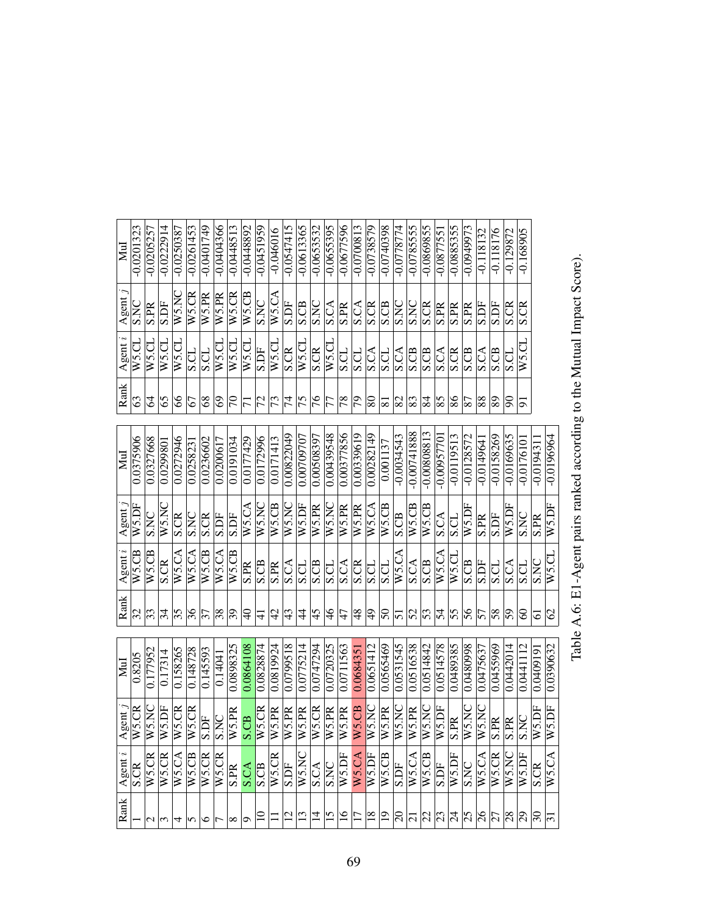| Mul                | $-0.0201323$             | $-0.0205257$  | $-0.0222914$ | $-0.0250387$        | $-0.0261453$ | $-0.0401749$              | $-0.0404366$            | $-0.0448513$             | $-0.0448892$    | $-0.0451959$  | $-0.046016$              | $-0.0547415$             | $-0.0613365$  | $-0.0653532$  | $-0.0655395$  | $-0.0677596$    | $-0.0700813$    | $-0.0738579$                    | $-0.0740398$     | $-0.0778774$    | $-0.0785555$   | $-0.0869855$  | $-0.087755$    | $-0.0885355$    | $-0.0949973$    | $-0.118132$     | $-0.118176$              | $-0.129872$                    | $-0.168905$    |                    |                     |
|--------------------|--------------------------|---------------|--------------|---------------------|--------------|---------------------------|-------------------------|--------------------------|-----------------|---------------|--------------------------|--------------------------|---------------|---------------|---------------|-----------------|-----------------|---------------------------------|------------------|-----------------|----------------|---------------|----------------|-----------------|-----------------|-----------------|--------------------------|--------------------------------|----------------|--------------------|---------------------|
|                    |                          |               |              |                     |              |                           |                         |                          |                 |               |                          |                          |               |               |               |                 |                 |                                 |                  |                 |                |               |                |                 |                 |                 |                          |                                |                |                    |                     |
| Agent              | $\overline{\text{S. N}}$ | <b>S.PR</b>   | S.DF         | WS.NC               | W5.CR        | $\overline{\text{W5.PR}}$ | W5.PR                   | $\overline{W5}$ .CR      | $W5$ .CB        | <b>S.NC</b>   | W5.CA                    | S.DF                     | S.CB          | S.NC          | <b>S.CA</b>   | <b>S.PR</b>     | S.CA            | $\overline{\text{S}.\text{CR}}$ | S.CB             | S.NC            | S.NC           | <b>S.CR</b>   | S.PR           | <b>S.PR</b>     | S.PR            | S.DF            | S.DF                     | <b>S.CR</b>                    | S.CR           |                    |                     |
| Agent $i$          | W5.CL                    | WS.CL         | W5.CL        | $W$ 5.CL            | S.CL         | <b>S.CL</b>               | $W$ 5.CL                | W5.CL                    | W5.CL           | S.DF          | $W$ 5.CL                 | <b>S.CR</b>              | $W$ 5.CL      | <b>S.CR</b>   | W5.CL         | <b>S.CL</b>     | <b>S.CL</b>     | $\overline{\text{S.A}}$         | <b>S.CL</b>      | <b>S.CA</b>     | <b>S.CB</b>    | S.CB          | S.CA           | S.CR            | S.CB            | <b>S.CA</b>     | S.CB                     | S.CL                           | W5.CL          |                    |                     |
| Rank               | 63                       | 2             | 65           | 8                   | 67           | $8^{\circ}$               | ତ                       | $\overline{5}$           | $\overline{7}$  | 72            | $\overline{73}$          | $\overline{7}$           | $\frac{5}{2}$ | $\frac{9}{7}$ | 77            | 78              | $\overline{5}$  | $\overline{\infty}$             | $ \overline{s} $ | $\overline{82}$ | $\mathbb{S}^3$ | 84            | 85             | $\frac{86}{5}$  | $\overline{87}$ | $\overline{8}$  | 89                       | 8                              | 5              |                    |                     |
| MuI                | 0.0375906                | 0.0327668     | 0.0299801    | 0.0272946           | 0.025823     | 0.0236602                 | 0.0200617               | 0.0191034                | 0.0177429       | 0.0172996     | 0.0171413                | 0.00822049               | 0.00709707    | 0.00508397    | 0.00439548    | 0.00377856      | 0.00339619      | 0.00282149                      | 0.001137         | $-0.0034543$    | $-0.00741888$  | $-0.00808813$ | 0.00957701     | $-0.0119513$    | $-0.0128572$    | $-0.0149641$    | $-0.0158269$             | $-0.0169635$                   | $-0.0176101$   | $-0.0194311$       | $-0.0196964$        |
| Agent              | W5.DF                    | <b>S.NC</b>   | WS.NC        | S.CR                | S.NC         | S.CR                      | S.DF                    | S.DF                     | W5.CA           | W5.NC         | $W5$ .CB                 | W5NC                     | W5.DF         | W5.PR         | W5.NC         | W5.PR           | W5.PR           | W5.CA                           | $W5$ .CB         | S.CB            | W5.CB          | W5.CB         | S.CA           | S.CL            | W5.DF           | S.PR            | S.DF                     | W5.DF                          | S.NC           | S.PR               | W5.DF               |
| Agent $i$          | W5.CB                    | W5.CB         | S.CR         | $\overline{W}$ 5.CA | W5.CA        | $W5$ CB                   | W5.CA                   | $W5$ CB                  | <b>S.PR</b>     | S.CB          | $\overline{\text{S.PR}}$ | $\overline{\text{S.CA}}$ | S.CL          | S.CB          | <b>S.CL</b>   | S.CA            | S.CR            | <b>TD.S</b>                     | S.CL             | W5.CA           | S.CA           | S.CB          | W5.CA          | W5.CI           | S.CB            | S.DF            | <b>S.CL</b>              | S.CA                           | S.CL           | <b>S.NC</b>        | W5.CL               |
| Rank               | $\overline{\mathcal{S}}$ | 33            | 34           | 35                  | 36           | $\overline{\mathcal{E}}$  | $\overline{38}$         | $\overline{\mathcal{E}}$ | ¥               | $\frac{1}{4}$ | 42                       | $\frac{4}{3}$            | 4             | 45            | $\frac{4}{6}$ | 47              | 48              | $ \frac{1}{2}\rangle$           | $\overline{50}$  | $\overline{51}$ | $\overline{S}$ | 53            | $\overline{5}$ | $\overline{55}$ | $\frac{96}{5}$  | $\overline{57}$ | $\overline{\mathcal{S}}$ | $\overline{5}$                 | 8              | 5                  | $\mathcal{O}$       |
| Mul                | 0.8205                   | 0.177952      | 0.17314      | 0.158265            | 0.148728     | 0.145593                  | 0.14041                 | 0.0898325                | 0.0864108       | 0.0828874     | 0.0819924                | 0.0799518                | 0.0775214     | 0.0747294     | 0.0720325     | 0.0711563       | 0.0684351       | 0.0651412                       | 0.0565469        | 0.0531545       | 0.0516538      | 0.0514842     | 0.0514578      | 0.0489385       | 0.0480998       | 0.0475637       | 0.0455969                | 0.0442014                      | 0.0441112      | 0.0409191          | 0.0390632           |
| Agent $j$          | W5.CR                    | W5.NC         | W5.DF        | $N5$ .CR            | W5.CR        | Ĕ<br>Ω                    | $\overline{\text{SNC}}$ | W5.PR                    | CB.<br>$\infty$ | W5.CR         | W5.PR                    | W5.PR                    | W5.PR         | W5.CR         | W5.PR         | W5.PR           | W5.CB           | W5.NC                           | W5.PR            | W5.NC           | W5.PR          | W5.NC         | W5.DF          | Æ<br>S          | W5.NC           | W5.NC           | <b>PR</b><br>Ω           | $\mathbb{R}$<br>S              | <b>DE</b><br>Ω | $W5.\overline{DF}$ | $\overline{W5}$ .DF |
| $\lambda$ gent $i$ | S.CR                     | W5.CR         | W5.CR        | W5.CA               | W5.CB        | W5.CR                     | W5.CR                   | <b>S.PR</b>              | <b>S.CA</b>     | S.CB          | WS.CR                    |                          | W5.NC         | <b>S.CA</b>   | <b>S.NC</b>   | W5.DF           | W5.CA           | W5.DF                           | W5.CB            | <b>S.DF</b>     | W5.CA          | W5.CB         | S.DF           | W5.DF           | <b>S.NC</b>     | W5.CA           | W5.CR                    | $\overline{\text{WS}}$ .<br>NC | W5.DF          | S.CR               | W5.CA               |
| Rank               |                          | $\frac{1}{3}$ |              | 4                   | 5            | ७                         |                         | $\infty$                 | $\circ$         |               |                          | $\frac{1}{2}$            |               | $\vec{a}$     | 15            | $\overline{16}$ | $\overline{17}$ | $\overline{18}$                 | $\overline{19}$  | $\Xi$           | 2 2 2          |               |                |                 | z z z z         |                 |                          | $\frac{8}{29}$                 |                | $\mathcal{S}$      | $\overline{5}$      |

Table A.6: E1-Agent pairs ranked according to the Mutual Impact Score). Table A.6: E1-Agent pairs ranked according to the Mutual Impact Score).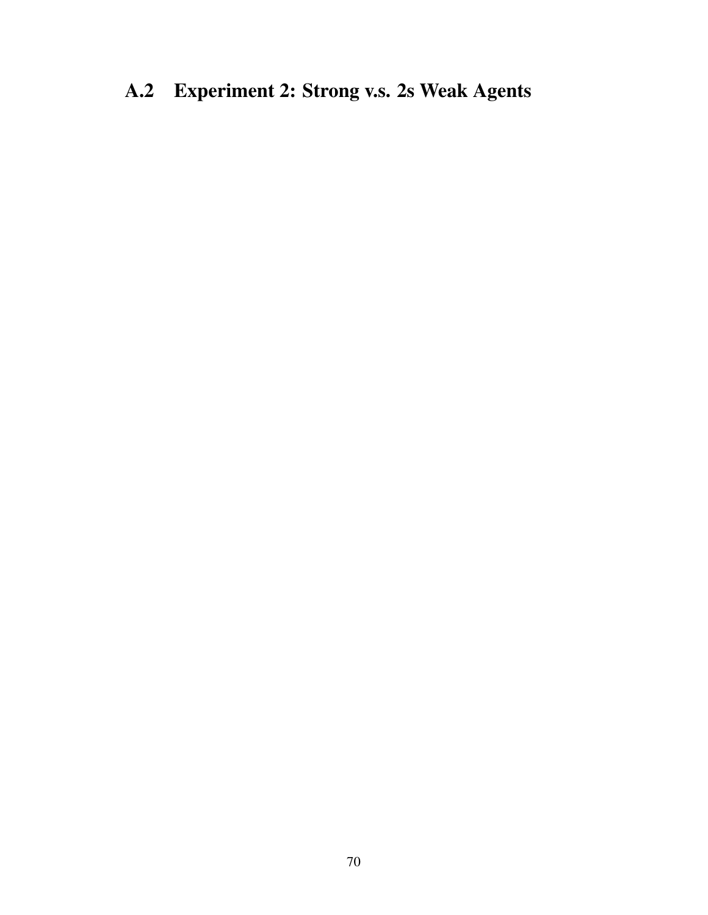## A.2 Experiment 2: Strong v.s. 2s Weak Agents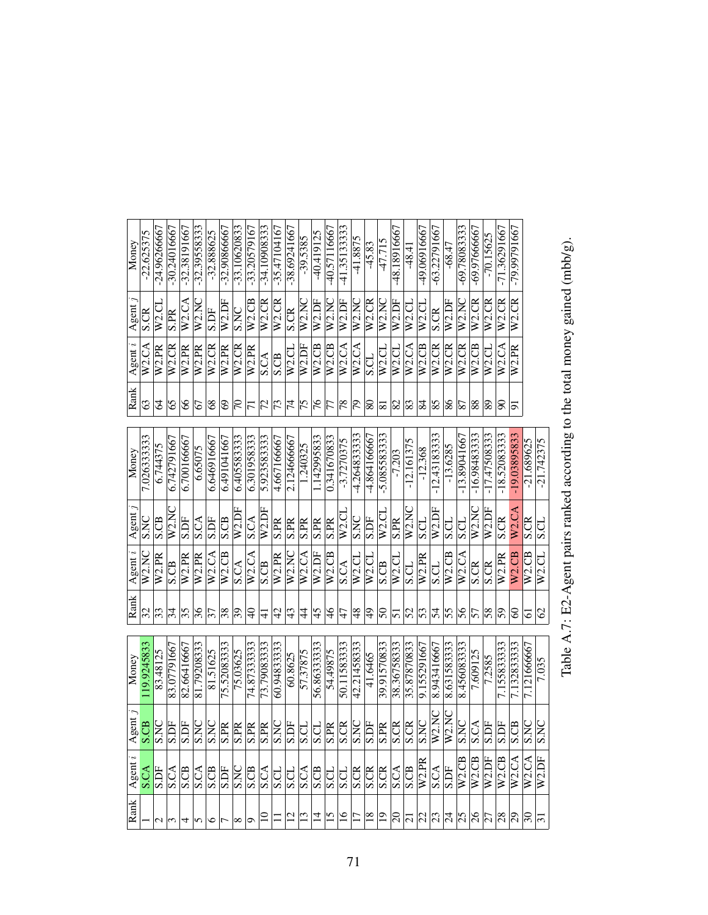| Money   | $-22.625375$ | $-24.96266667$ | $-30.24016667$     | $-32.38191667$    | $-32.39558333$           | $-32.888625$             | $-32.90866667$           | $-33.10620833$           | $-33.20579167$            | $-34.10908333$            | $-35.47104167$     | $-38.69241667$          | $-39.5385$     | $-40.419125$       | -40.57116667             | 41.35133333        | -41.8875                | $-45.83$           | $-47.715$                                    | -48.18916667       | $-48.4$        | -49.06916667             | $-63.22791667$                  | $-68.47$            | -69.78083333       | -69.97666667       | $-70.15625$              | $-71.36291667$ | -79.99791667        |              |               |
|---------|--------------|----------------|--------------------|-------------------|--------------------------|--------------------------|--------------------------|--------------------------|---------------------------|---------------------------|--------------------|-------------------------|----------------|--------------------|--------------------------|--------------------|-------------------------|--------------------|----------------------------------------------|--------------------|----------------|--------------------------|---------------------------------|---------------------|--------------------|--------------------|--------------------------|----------------|---------------------|--------------|---------------|
| Agent   | S.CR         | W2.C1          | S.PR               | W2.CA             | $\overline{W2.N}$        | S.DF                     | W2.DF                    | <b>S.NC</b>              | W2.CB                     | $\overline{\text{W2.CR}}$ | W <sub>2</sub> .CR | S.CR                    | W2.NC          | W2.DF              | W2NC                     | W <sub>2</sub> .DF | $\overline{W2}$ .NC     | W2.CR              | $\overline{W2}$ .NC                          | $\overline{W}2.DF$ | W2.C1          | $\overline{W2}$ .CL      | S.CR                            | W2.DF               | W2.NC              | W <sub>2</sub> .CR | $\overline{W2}$ .CR      | W2.CR          | $\overline{W2}$ .CR |              |               |
| Agent i | W2.CA        | W2.PR          | W <sub>2</sub> .CR | W <sub>2.PR</sub> | W2.PR                    | W <sub>2</sub> .CR       | W <sub>2</sub> .PR       | W2.CR                    | W2.PR                     | S.CA                      | S.CB               | W2.CL                   | W2.DF          | W2.CB              | $W2$ .CB                 | W <sub>2</sub> .CA | $\overline{W2}$ .CA     | U.S                | W2.CL                                        | W2.CL              | W2.CA          | W2.CB                    | $\overline{W}$ <sub>2</sub> .CR | W <sub>2</sub> .CR  | W2.CR              | W <sub>2</sub> .CB | $\overline{W2}$ .CL      | W2.CA          | W <sub>2.PR</sub>   |              |               |
| Rank    | S            | 2              | 65                 | 8                 | 2                        | 8 <sup>o</sup>           | $\odot$                  | $\mathbb{E}$             | $\overline{7}$            | $\overline{z}$            | 73                 | $\overline{7}$          | 75             | $\frac{9}{16}$     | $\overline{\tau}$        | 78                 | $\overline{\mathbb{S}}$ | 80                 | $\overline{\overline{\textbf{8}}\textbf{1}}$ | 82                 | 83             | $\overline{\mathbb{A}}$  | 85                              | $\frac{8}{8}$       | $\overline{87}$    | 88                 | $ \mathbb{S} $           | 8              | 5                   |              |               |
| Money   | 7.026333333  | 6.744375       | 6.742791667        | 6.700166667       | 6.65075                  | 6.646916667              | 6.491041667              | 6.405583333              | 6.301958333               | 5.923583333               | 4.667166667        | 2.124666667             | 1.240325       | .142995833         | 0.341670833              | $-3.7270375$       | 4.264833333             | -4.864166667       | $-5.085583333$                               | $-7.203$           | $-12.161375$   | $-12.368$                | $-12.43183333$                  | $-13.6285$          | $-13.89041667$     | $-16.98483333$     | $-17.47508333$           | $-18.5208333$  | -19.03895833        | $-21.689625$ | $-21.742375$  |
| Agent   | S.NC         | <b>S.CB</b>    | W2.NC              | S.DF              | $\overline{\text{S.CA}}$ | S.DF                     | S.CB                     | W2.DI                    | <b>S.CA</b>               | W2.DF                     | S.PR               | $\overline{\text{SPR}}$ | S.PR           | <b>S.PR</b>        | $\overline{\text{S.PR}}$ | W2.CL              | <b>S.NC</b>             | <b>S.DF</b>        | W2.CL                                        | S.PR               | W2.NC          | S.CL                     | W2.DF                           | S.CL                | <b>S.CL</b>        | W2.NC              | W2.DF                    | <b>S.CR</b>    | W <sub>2</sub> .CA  | S.CR         | <b>S.CL</b>   |
| Agent i | W2.NC        | W2.PR          | S.CB               | W2.PR             | $\overline{W2.PR}$       | W2.CA                    | $W2$ .CB                 | <b>S.CA</b>              | $\overline{\text{W2.CA}}$ | S.CB                      | W <sub>2.PR</sub>  | W2NC                    | W2.CA          | W <sub>2</sub> .DF | $W2$ .CB                 | S.CA               | W2.CL                   | $W2$ .CI           | S.CB                                         | W2.CI              | <b>S.CL</b>    | W2.PR                    | S.CL                            | $W2$ .CB            | W <sub>2</sub> .CA | S.CR               | <b>S.CR</b>              | W2.PR          | W <sub>2</sub> CB   | $W2$ .CB     | $W2$ .CL      |
| Rank    | 32           | $\sqrt{3}$     | $\frac{34}{3}$     | $\overline{55}$   | $\frac{96}{5}$           | $\overline{\mathcal{E}}$ | $ \%$                    | $\overline{\mathcal{E}}$ | $\Theta$                  | $\pm$                     | $\overline{4}$     | 43                      | 4              | 45                 | $\frac{9}{4}$            | 47                 | ∣ଞ୍                     | $\overline{6}$     | $\overline{50}$                              | 51                 | 52             | $\overline{5}$           | $\overline{5}$                  | $\overline{55}$     | $\frac{8}{5}$      | 57                 | $\overline{\mathcal{S}}$ | $\overline{5}$ | 8                   | 61           | $\mathcal{O}$ |
| Money   | 19.9245833   | 83.48125       | 83.07791667        | 82.66416667       | 81.79208333              | 81.51625                 | 75.52083333              | 75.03625                 | 74.8733333                | 73.79083333               | 60.94833333        | 60.8625                 | 57.37875       | 56.8633333         | 54.49875                 | 50.11583333        | 42.21458333             | 41.6465            | 39.91570833                                  | 38.36758333        | 35.87870833    | 9.155291667              | 8.943416667                     | 8.631583333         | 8.456083333        | 7.609125           | 7.2585                   | 7.155833333    | 7.132833333         | 7.121666667  | 7.035         |
| Agent.  | S.CB         | S.NC           | S.DF               | S.DF              | S.NC                     | <b>S.NC</b>              | $\overline{\text{S.PR}}$ | S.PR                     | S.PR                      | S.PR                      | <b>S.NC</b>        | S.DF                    | <b>S.CL</b>    | $\frac{1}{2}$      | S.PR                     | S.CR               | <b>S.NC</b>             | S.DF               | $\overline{\text{S.PR}}$                     | S.CR               | S.CR           | S.NC                     | W2.NC                           | $\overline{W2}$ .NC | <b>S.NC</b>        | S.CA               | S.DF                     | <b>S.DF</b>    | $rac{1}{s}$         | <b>S.NC</b>  | <b>S.NC</b>   |
| Agent   | <b>S.CA</b>  | S.DF           | S.CA               | S.CB              | S.CA                     | S.CB                     | <b>S.DF</b>              | S.NC                     | <b>ECS</b>                | <b>S.CA</b>               | <b>USS</b>         | <b>USS</b>              | S.CA           | S.CB               | S.CL                     | S.CL               | S.CR                    | $rac{1}{\sqrt{2}}$ |                                              | <b>S.CA</b>        | S.CB           | W2.PR                    | S.CA                            | S.DF                | W <sub>2</sub> CB  | W2.CB              | W2.DF                    | W2.CB          | $\overline{W2}$ .CA | W2.CA        | W2.DF         |
| Rank    |              |                | $\sim$ ത           | 4                 | $\sim$                   | $\frac{1}{2}$            |                          | ∞  ⊙                     |                           | $\Xi$                     |                    | $\overline{\Xi}$        | $\frac{13}{2}$ | $\vec{a}$          | $\overline{15}$          | $\overline{16}$    | $\overline{\Xi}$        | $\overline{18}$    | $ \Xi$                                       | ∣ສ                 | $\overline{c}$ | $\overline{\mathcal{Z}}$ | $ z $ ধ                         |                     | $\frac{25}{2}$     | $\frac{26}{27}$    |                          | $\frac{8}{20}$ |                     | ନ            | $\Xi$         |

Table A.7: E2-Agent pairs ranked according to the total money gained (mbb/g). Table A.7: E2-Agent pairs ranked according to the total money gained (mbb/g).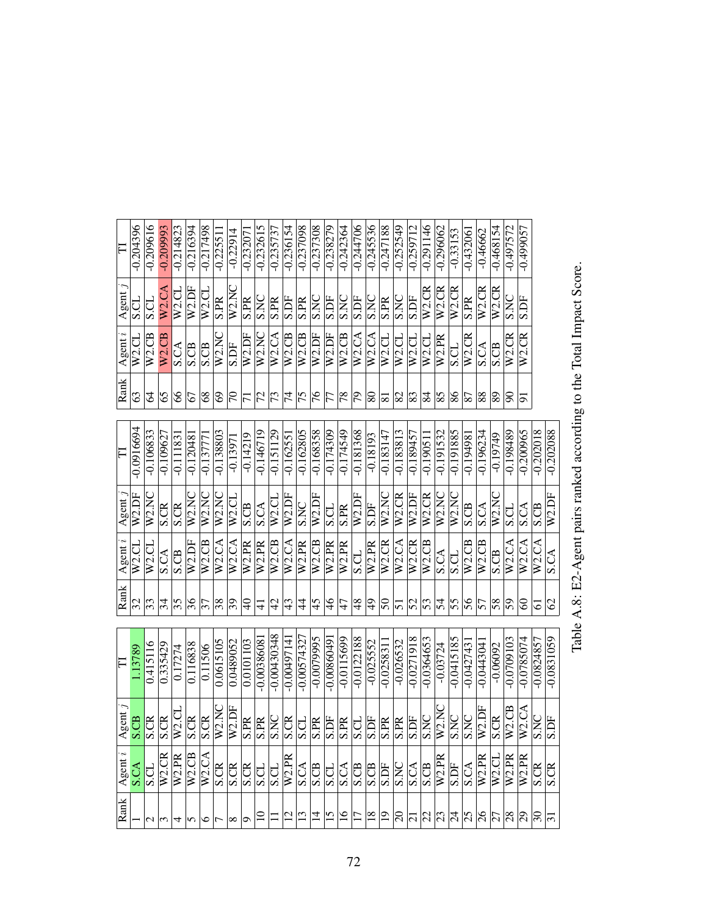| $\overline{\Gamma}$ | $-0.204396$  | $-0.209616$              | $-0.209993$         | $-0.214823$        | $-0.216394$       | $-0.217498$        | $-0.22551$      | $-0.22914$                                   | $-0.23207$     | $-0.232615$              | $-0.235737$     | $-0.236154$             | $-0.237098$       | $-0.237308$     | $-0.238279$   | $-0.242364$     | $-0.244706$     | $-0.245556$             | $-0.247188$     | $-0.252549$         | $-0.259712$              | $-0.291146$     | $-0.296062$         | $-0.33153$          | $-0.43206$               | $-0.46662$         | $-0.468154$         | $-0.497572$        | $-0.499057$        |                                                 |               |
|---------------------|--------------|--------------------------|---------------------|--------------------|-------------------|--------------------|-----------------|----------------------------------------------|----------------|--------------------------|-----------------|-------------------------|-------------------|-----------------|---------------|-----------------|-----------------|-------------------------|-----------------|---------------------|--------------------------|-----------------|---------------------|---------------------|--------------------------|--------------------|---------------------|--------------------|--------------------|-------------------------------------------------|---------------|
| Agent               | S.CL         | S.CL                     | W2.CA               | W2.CL              | W2.DF             | W <sub>2</sub> .CL | <b>S.PR</b>     | W2NC                                         | S.PR           | S.NC                     | S.PR            | S.DF                    | <b>S.PR</b>       | S.NC            | S.DF          | S.NC            | S.DF            | S.NC                    | <b>S.PR</b>     | S.NC                | <b>S.DF</b>              | W2.CR           | $\overline{W2}$ .CR | $\overline{W2}$ .CR | $\overline{\text{S.PR}}$ | W <sub>2</sub> .CR | $\overline{W2}$ .CR | <b>S.NC</b>        | S.DF               |                                                 |               |
| Agent $i$           | W2.CL        | $W2$ .CB                 | W2.CB               | <b>S.CA</b>        | S.CB              | S.CB               | W2.N            | S.DF                                         | W2.DF          | W2.NC                    | W2.CA           | W2.CB                   | $W2$ .CB          | W2.DF           | W2.DF         | $W2$ .CB        | W2.CA           | W2.CA                   | $W2$ .CL        | W2.C1               | W2.CL                    | W2.CL           | W2.PR               | S.CL                | W2.CR                    | <b>S.CA</b>        | S.CB                | W2.CR              | W <sub>2</sub> .CR |                                                 |               |
| Rank                | 3            | 2                        | 65                  | 8                  | 67                | $8^{\circ}$        | 3               | $\overline{\Xi}$                             | $\overline{7}$ | $\overline{72}$          | $\overline{73}$ | $ \vec{z} $             | $\frac{5}{2}$     | $\frac{9}{16}$  | 77            | 78              | 56              | 80                      | $\overline{81}$ | 82                  | $\overline{\mathscr{S}}$ | $\overline{84}$ | 85                  | 86                  | $\overline{87}$          | 88                 | $\overline{89}$     | 8 <sup>o</sup>     | 5                  |                                                 |               |
| $\overline{\Gamma}$ | $-0.0916694$ | $-0.106833$              | $-0.109627$         | $-0.11183$         | $-0.12048$        | $-0.13777$         | $-0.138803$     | $-0.1397$                                    | $-0.14219$     | $-0.146719$              | $-0.151129$     | $-0.16255$              | $-0.162805$       | $-0.168358$     | $-0.174309$   | $-0.174549$     | $-0.181368$     | $-0.18193$              | $-0.183147$     | $-0.183813$         | $-0.189457$              | $-0.19051$      | $-0.191532$         | $-0.191885$         | $-0.19498$               | $-0.196234$        | $-0.19749$          | 685861.0           | $-0.200965$        | $-0.202018$                                     | $-0.202088$   |
| Agent.              | W2.DF        | W2NC                     | S.CR                | S.CR               | W2NC              | W2.NC              | W2.NC           | $\overline{W2}$ .CL                          | S.CB           | S.CA                     | $W2$ .CL        | W2.DF                   | <b>S.NC</b>       | W2.DF           | <b>S.CL</b>   | S.PR            | W2.DF           | <b>S.DF</b>             | W2.NC           | W2.CR               | $\overline{W2.DF}$       | W2.CR           | $\overline{W}$ 2.NC | W2.NC               | $\overline{\text{SCB}}$  | <b>S.CA</b>        | $W2$ .No            | S.CL               | S.CA               | S.CB                                            | W2.DF         |
| Agent               | $W2$ .CL     | $\overline{W}$ 2.CL      | S.CA                | S.CB               | W2.DF             | W2.CB              | W2.CA           | W2.CA                                        | W2.PR          | W2.PR                    | $W2$ .CB        | W2.CA                   | W <sub>2.PR</sub> | $W2$ .CB        | W2.PR         | W2.PR           | S.CL            | W2.PR                   | W2.CR           | $\overline{W2}$ .CA | W2.CR                    | W2.CB           | S.CA                | S.CL                | $W2$ .CB                 | W2.CB              | S.CB                | W2.CA              | W2.CA              | W <sub>2</sub> .CA                              | <b>S.CA</b>   |
| Rank                | 32           | $\overline{\mathcal{E}}$ | 34                  | 35                 | 36                | 37                 | $\overline{38}$ | $\overline{39}$                              | $\Theta$       | $\frac{1}{4}$            | $\varphi$       | $\frac{4}{3}$           | 4                 | 45              | $\frac{4}{6}$ | 47              | $\frac{8}{3}$   | $\frac{9}{4}$           | $\overline{50}$ | 51                  | 52                       | $\overline{53}$ | $\overline{5}$      | 55                  | 56                       | $\overline{57}$    | 58                  | 59                 | 8                  | 61                                              | $\mathcal{O}$ |
| F                   | 1.13789      | 0.415116                 | 0.335429            | 0.17274            | 0.116838          | 0.11506            | 0.0615105       | 0.0489052                                    | 0.0101103      | $-0.0038608$             | $-0.00430348$   | $-0.00497141$           | $-0.00574327$     | -0.0079995      | $-0.0086049$  | $-0.0115699$    | $-0.0122188$    | $-0.025552$             | -0.025831       | $-0.026532$         | $-0.0271918$             | $-0.0364653$    | $-0.03724$          | $-0.0415185$        | $-0.042743$              | $-0.044304$        | $-0.06092$          | $-0.0709103$       | $-0.0785074$       | $-0.0824857$                                    | $-0.0831059$  |
| Agent.              | S.CB         | S.CR                     | S.CR                | W <sub>2</sub> .CL | S.CR              | <b>S.CR</b>        | W2.NC           | $\overline{W2.DF}$                           | S.PR           | $\overline{\text{S.PR}}$ | S.NC            | $\overline{\text{S.R}}$ | <b>S.CL</b>       | S.PR            | S.DF          | S.PR            | <b>S.CL</b>     | S.DF                    | S.PR            | S.PR                | S.DF                     | S.NC            | W2.NC               | <b>S.NC</b>         | <b>ON'S</b>              | W <sub>2</sub> .DF | S.CR                | W <sub>2</sub> .CB | W2.CA              | <b>S.NC</b>                                     | <b>S.DF</b>   |
| Agent               | S.CA         | S.CL                     | $\overline{W2}$ .CR | W2PR               | W <sub>2</sub> CB | W2.CA              |                 | $\frac{8}{10}$ $\frac{1}{10}$ $\frac{1}{10}$ |                | S.CL                     |                 | $rac{C}{W2PR}$          |                   | $\frac{25}{10}$ |               | S.CA            |                 | <b>EE</b><br>SEE<br>SEE |                 | S.NC                | $rac{1}{\sqrt{2}}$       |                 | W2.PR               | S.DF                | S.CA<br>W2.PR            |                    | $W2$ .CI            | W2.PR              | W2.PR              | S.CR                                            | S.CR          |
| Rank                |              | $\mathbf{\sim}$          | $\omega$            | 4                  | ∽                 | ७                  |                 | $^{\circ}$                                   | Ō              |                          |                 | $\frac{1}{2}$           |                   | $\frac{11}{7}$  |               | $\overline{16}$ | $\overline{17}$ | $\overline{\mathbb{S}}$ | $\overline{19}$ | $\mathbb{E}$        |                          |                 |                     |                     |                          |                    |                     |                    |                    | $ \Xi $ ង ង $ \Xi $ ង ង $ \Xi $ ង ង $ \Xi $ ង ង |               |

## Table A.8: E2-Agent pairs ranked according to the Total Impact Score. Table A.8: E2-Agent pairs ranked according to the Total Impact Score.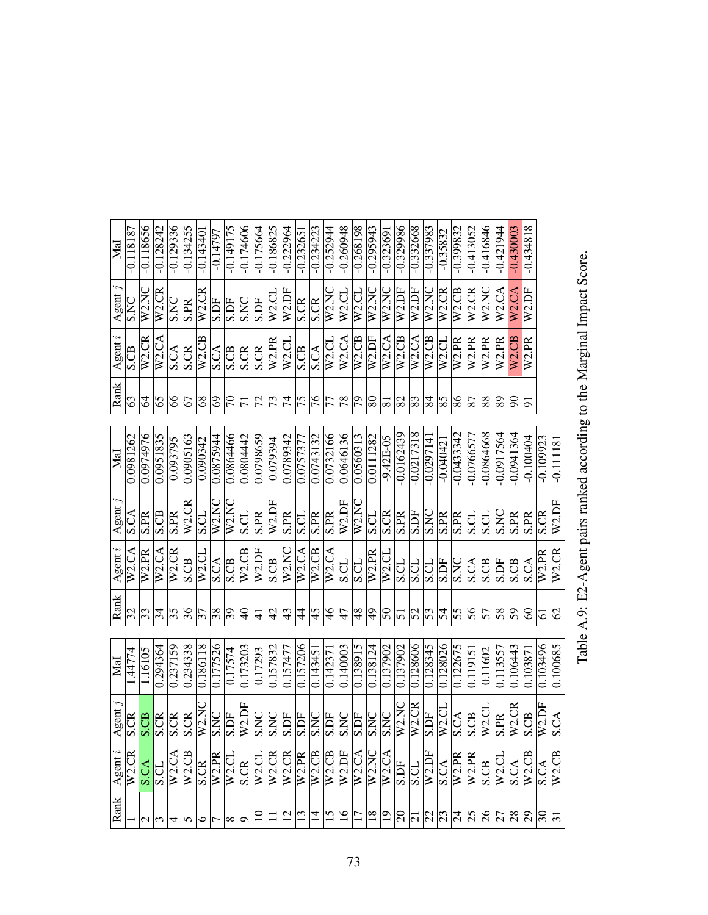| $\rm{M}_{\rm{al}}$            | $-0.118187$                          | $-0.118656$              | $-0.128242$                     | $-0.129336$         | $-0.134255$         | $-0.14340$               | $-0.14797$               | $-0.149175$              | $-0.174606$                                | $-0.175664$    | $-0.186825$                     | $-0.222964$    | $-0.23265$    | $-0.234223$        | $-0.252944$        | $-0.260948$        | $-0.268198$             | $-0.295943$              | $-0.32369$                  | $-0.329986$         | $-0.332668$                   | $-0.337983$              | $-0.35832$          | $-0.399832$       | $-0.413052$                         | $-0.416846$            | $-0.421944$        | $-0.430003$                              | $-0.434818$             |             |                     |
|-------------------------------|--------------------------------------|--------------------------|---------------------------------|---------------------|---------------------|--------------------------|--------------------------|--------------------------|--------------------------------------------|----------------|---------------------------------|----------------|---------------|--------------------|--------------------|--------------------|-------------------------|--------------------------|-----------------------------|---------------------|-------------------------------|--------------------------|---------------------|-------------------|-------------------------------------|------------------------|--------------------|------------------------------------------|-------------------------|-------------|---------------------|
| Agent                         | <b>SNC</b>                           | W2.NC                    | W2.CR                           | S.NC                | S.PR                | W2.CR                    | S.DF                     | S.DF                     | <b>ON'S</b>                                | S.DF           | $W2$ .CI                        | W2.DF          | S.CR          | <b>S.CR</b>        | W2NC               | W2.CL              | W2.CL                   | W2.NC                    | W2.NC                       | W2.DF               | W2.DF                         | W2NC                     | W <sub>2</sub> .CR  | W2.CB             | W2.CR                               | W2NC                   | W <sub>2</sub> .CA | W2.CA                                    | W2.DF                   |             |                     |
| $\ddot{\phantom{0}}$<br>Agent | S.CB                                 | W2.CR                    | $\overline{W}$ 2.CA             | S.CA                | SCR                 | W2.CB                    | S.CA                     | S.CB                     | S.CR                                       | S.CR           | W2.PR                           | W2.C1          | S.CB          | S.CA               | W2.CL              | W <sub>2</sub> CA  | W2.CB                   | W2.DF                    | W2.CA                       | W2.CB               | W2.CA                         | W2.CB                    | $\overline{W}$ 2.CL | W2.PR             | W2.PR                               | W2.PR                  | W <sub>2.PR</sub>  | W2.CB                                    | W2.PR                   |             |                     |
| Rank                          | $\overline{63}$                      | 2                        | 65                              | 8                   | 67                  | $\frac{8}{3}$            | $\Im$                    | $ \widetilde{\zeta} $    | $\overline{71}$                            | $\overline{z}$ | $\overline{\mathcal{L}}$        | $\overline{7}$ | $\frac{5}{2}$ | $\frac{9}{16}$     | $\overline{7}$     | 78                 | $\overline{\mathbb{S}}$ | $\overline{\circ}$       | $\overline{81}$             | 82                  | $\overline{\infty}$           | $\overline{\mathscr{Z}}$ | 85                  | 86                | $\overline{87}$                     | $\overline{\text{88}}$ | $\overline{89}$    | ାର                                       | 5                       |             |                     |
| MaI                           | 0.0981262                            | 0.0974976                | 0.0951835                       | 0.093795            | 0.0905163           | 0.090342                 | 0.0875944                | 0.0864466                | 0.0804442                                  | 0.0798659      | 0.079394                        | 0.0789342      | 0.0757377     | 0.0743132          | 0.0732166          | 0.0646136          | 0.0560313               | 0.0111282                | $-9.42E-05$                 | $-0.0162439$        | $-0.0217318$                  | $-0.029714$              | $-0.04042$          | $-0.0433342$      | $-0.0766577$                        | $-0.0864668$           | $-0.0917564$       | $-0.0941364$                             | $-0.100404$             | $-0.109923$ | $-0.11118$          |
| Agent                         | <b>S.CA</b>                          | S.PR                     | S.CB                            | <b>S.PR</b>         | W <sub>2</sub> .CR  | S.CL                     | W2.NC                    | W2NC                     | S.CL                                       | <b>S.PR</b>    | W2.DF                           | <b>S.PR</b>    | <b>S.CL</b>   | S.PR               | S.PR               | W <sub>2</sub> .DF | W2.NC                   | <b>S.CL</b>              | S.CR                        | S.PR                | <b>S.DF</b>                   | S.NC                     | S.PR                | S.PR              | <b>S.CL</b>                         | S.CL                   | <b>S.NC</b>        | S.PR                                     | S.PR                    | S.CR        | W <sub>2</sub> .DF  |
| Agent $i$                     | $\overline{\text{W2.CA}}$            | W <sub>2.PR</sub>        | W2.CA                           | $\overline{W2}$ .CR | S.CB                | W <sub>2.CL</sub>        | S.CA                     | S.CB                     | W2.CB                                      | W2.DF          | <b>S.CB</b>                     | W2.NC          | W2.CA         | W <sub>2</sub> .CB | $\overline{W2.CA}$ | S.CL               | S.CL                    | W2.PR                    | W2.CL                       | S.CL                | <b>S.CL</b>                   | <b>S.CL</b>              | <b>S.DF</b>         | <b>S.NC</b>       | <b>S.CA</b>                         | S.CB                   | S.DF               | $\overline{\text{S.B}}$                  | <b>S.CA</b>             | W2.PR       | W <sub>2</sub> .CR  |
| Rank                          | $\overline{\mathcal{E}}$             | $\overline{\mathcal{E}}$ | $\overline{3}$                  | $\frac{5}{5}$       | $\frac{36}{5}$      | $\overline{\mathcal{E}}$ | $\overline{\mathcal{S}}$ | $\overline{\mathcal{E}}$ | $\theta$                                   | 4              | $\frac{4}{2}$                   | 43             | 4             | 45                 | $\frac{4}{6}$      | 47                 | $\frac{8}{3}$           | $\frac{6}{7}$            | $\mathcal{S}^{\mathcal{O}}$ | $\overline{5}$      | $\frac{52}{53}$               |                          | 54                  | $\overline{55}$   | $\frac{95}{5}$                      | $\overline{57}$        | $\overline{S8}$    | $\overline{5}$                           | 8                       | ত           | $\mathcal{S}$       |
| MaI                           | 1.44774                              | 1.16105                  | 0.294364                        | 0.237159            | 0.234338            | 0.186118                 | 0.177526                 | 0.17574                  | 0.173203                                   | 0.17293        | 0.157832                        | 0.157477       | 0.157206      | 0.14345            | 0.14237            | 0.140003           | 0.138915                | 0.138124                 | 0.137902                    | 0.137902            | 0.128606                      | 0.128345                 | 0.128026            | 0.122675          | 0.11915                             | 0.11602                | 0.113557           | 0.106443                                 | 0.10387                 | 0.103496    | 0.100685            |
|                               | $\frac{\text{Agent }j}{\text{S.CR}}$ | <b>S.CB</b>              | $\overline{\text{S}.\text{CR}}$ | S.CR                | <b>S.CR</b>         | $\overline{W2}$ .NC      | S.NC                     | S.DF                     | $\frac{\overline{W2.DF}}{\overline{S.NC}}$ |                | S.NC                            | S.DF           | S.DF          | S.NC               | <b>S.DF</b>        | <b>S.NC</b>        | S.DF                    | <b>S.NC</b>              | <b>S.NC</b>                 | $\overline{W2}$ .NC | $\overline{W2}.\overline{CR}$ | S.DF                     | $W2$ .CL            | <b>S.CA</b>       | $\overline{\text{S.B}}$             | W <sub>2</sub> .CL     | S.PR               | $\overline{W2}.\overline{CR}$            | $\overline{\mathbb{E}}$ | W2.DF       | S.CA                |
| Agent $i$                     | W <sub>2</sub> .CR                   | <b>S.CA</b>              | S.CL                            | $\overline{W2}$ .C. | $\overline{W2}$ .CB | S.CR                     | W2.PR                    | $\overline{W2}$ .CI      | <b>S.CR</b>                                | W2.C1          | $\frac{W2}{W2}$ $\overline{CR}$ |                | W2.PR         | W <sub>2</sub> .CB | W2.CB              | W2.DF              | W2.CA                   | W2NC                     | W2.CA                       | <b>S.DF</b>         | S.CL                          | W2.DF                    | S.CA                | W <sub>2.PR</sub> | W2.PR<br>S.CB                       |                        | $W2$ .Cl           | $rac{\overline{S.CA}}{\overline{W2.CB}}$ |                         | <b>S.CA</b> | W2.CB               |
| Rank                          |                                      | $\mathbf{\sim}$          | $\overline{\mathfrak{c}}$       |                     | n                   | ∘                        |                          | $^{\circ}$               | ᢒ                                          | $\Xi$          |                                 | $\frac{2}{1}$  | 13            | $\vec{4}$          | $\overline{5}$     | $\overline{16}$    | $\overline{17}$         | $\overline{\mathbb{18}}$ | $\overline{19}$             | $\overline{5}$      |                               |                          |                     |                   | $ z $ $ z $ $ z $ $ z $ $ z $ $ z $ |                        |                    | <u> ଅ</u>                                |                         | $\sqrt{6}$  | $ \overline{\cdot}$ |

Table A.9: E2-Agent pairs ranked according to the Marginal Impact Score. Table A.9: E2-Agent pairs ranked according to the Marginal Impact Score.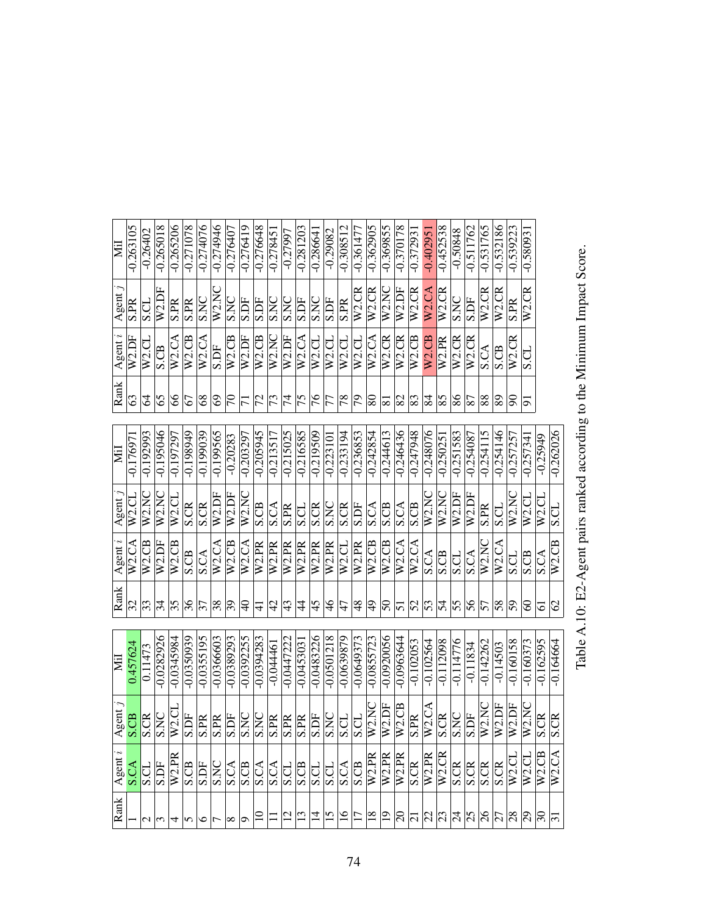| ΣË        | $-0.263105$              | $-0.26402$  | $-0.265018$  | $-0.265206$ | $-0.271078$  | $-0.274076$              | $-0.274946$              | $-0.276407$  | $-0.276419$  | $-0.276648$       | $-0.27845$               | -0.27997       | $-0.281203$              | $-0.28664$        | $-0.29082$               | $-0.308512$   | $-0.361477$        | $-0.362905$             | $-0.369855$         | $-0.370178$        | $-0.37293$              | $-0.40295$         | $-0.452538$        | $-0.50848$     | $-0.511762$              | $-0.531765$        | $-0.532186$             | $-0.539223$                      | $-0.58093$         |                          |                          |
|-----------|--------------------------|-------------|--------------|-------------|--------------|--------------------------|--------------------------|--------------|--------------|-------------------|--------------------------|----------------|--------------------------|-------------------|--------------------------|---------------|--------------------|-------------------------|---------------------|--------------------|-------------------------|--------------------|--------------------|----------------|--------------------------|--------------------|-------------------------|----------------------------------|--------------------|--------------------------|--------------------------|
| Agent     | S.PR                     | S.CL        | W2.DF        | <b>S.PR</b> | <b>S.PR</b>  | S.NC                     | W2.NC                    | <b>S.NC</b>  | S.DF         | S.DF              | <b>S.NC</b>              | <b>S.NC</b>    | S.DF                     | S.NC              | S.DF                     | S.PR          | W <sub>2</sub> .CR | W2.CR                   | W2NC                | W2.DF              | W2.CR                   | W <sub>2</sub> .CA | W <sub>2</sub> .CR | <b>S.NC</b>    | <b>S.DF</b>              | W <sub>2</sub> .CR | $\overline{W}$ 2.CR     | <b>S.PR</b>                      | W <sub>2</sub> .CR |                          |                          |
| Agent $i$ | W2.DF                    | $W2$ .CL    | S.CB         | W2.CA       | W2.CB        | W2.CA                    | S.DF                     | $W2$ .CB     | W2.DF        | W2.CB             | W2.NC                    | W2.DF          | W2.CA                    | $W2$ .CL          | W2.CL                    | W2.C1         | W2.C1              | W2.CA                   | W <sub>2</sub> .CR  | W <sub>2</sub> .CR | $W2$ .CB                | W <sub>2</sub> .CB | W2.PR              | W2.CR          | W2.CR                    | S.CA               | S.CB                    | W2.CR                            | S.CL               |                          |                          |
| Rank      | 63                       | 2           | 65           | 8           | 67           | $\frac{8}{3}$            | $\odot$                  | $\beta$      | $\Xi$        | 72                | $\overline{\mathcal{L}}$ | $\overline{7}$ | $\overline{75}$          | 97                | $\overline{7}$           | 78            | $\overline{5}$     | $\overline{8}$          | $ \overline{s} $    | 82                 | $\overline{\mathbb{8}}$ | 84                 | 85                 | $\frac{8}{6}$  | $\overline{87}$          | $ \%$              | 89                      | 8                                | 51                 |                          |                          |
| ЙÏ        | $-0.17697$               | $-0.192993$ | $-0.195046$  | $-0.197297$ | $-0.198949$  | $-0.\overline{199039}$   | $-0.199565$              | $-0.20283$   | $-0.203297$  | $-0.205945$       | $-0.213517$              | $-0.215025$    | $-0.216585$              | $-0.219509$       | $-0.22310$               | $-0.233194$   | $-0.236853$        | $-0.242854$             | $-0.244613$         | $-0.246436$        | $-0.247948$             | $-0.248076$        | $-0.25025$         | $-0.251583$    | $-0.254087$              | $-0.254115$        | $-0.254146$             | $-0.25725$                       | $-0.25734$         | $-0.25949$               | $-0.262026$              |
| Agent     | W <sub>2</sub> .CL       | W2.NC       | W2.NC        | $W2$ .Cl    | <b>S.CR</b>  | <b>S.CR</b>              | W2.DF                    | W2.DF        | W2.NC        | S.CB              | <b>S.CA</b>              | <b>S.PR</b>    | S.CL                     | S.CR              | SNC                      | <b>S.CR</b>   | S.DF               | $\overline{\text{S.A}}$ | S.CB                | S.CA               | <b>S.CB</b>             | W2.NC              | W2.NC              | W2.DF          | W <sub>2</sub> .DF       | <b>S.PR</b>        | S.CL                    | W2NC                             | W2.CL              | W <sub>2</sub> .CL       | S.CL                     |
| Agent $i$ | W2.CA                    | W2.CB       | W2.DF        | $W2$ .CB    | S.CB         | S.CA                     | W2.CA                    | $W2$ .CB     | W2.CA        | W <sub>2.PR</sub> | W2.PR                    | W2.PR          | W2.PR                    | W <sub>2.PR</sub> | W2.PR                    | W2.CL         | W2.PR              | $W2$ .CB                | W2.CB               | W2.CA              | W2.CA                   | S.CA               | S.CB               | S.CL           | <b>S.CA</b>              | W2NC               | W2.CA                   | <b>U.S</b>                       | S.CB               | S.CA                     | W <sub>2</sub> .CB       |
| Rank      | $\overline{\mathcal{S}}$ | 33          | 34           | 35          | 36           | $\overline{\mathcal{E}}$ | $\overline{38}$          | 39           | $\partial_0$ | $\exists$         | $\frac{4}{3}$            | 43             | 4                        | 45                | $\frac{9}{4}$            | 47            | $\overline{8}$     | $\overline{6}$          | $50\,$              | 51                 | 52                      | $\overline{53}$    | $\overline{54}$    | 55             | 56                       | 57                 | 58                      | $\overline{5}$                   | 8                  | 5                        | $\mathcal{O}$            |
| Ξ         | 0.457624                 | 0.11473     | $-0.0282926$ | $-0.034598$ | $-0.0350939$ | $-0.0355195$             | $-0.0366603$             | $-0.0389293$ | $-0.0392255$ | $-0.0394283$      | $-0.04446$               | $-0.0447222$   | $-0.045303$              | $-0.0483226$      | $-0.0501218$             | $-0.0639879$  | $-0.0649373$       | $-0.0855723$            | $-0.0920056$        | $-0.0963644$       | $-0.102053$             | $-0.102564$        | $-0.112098$        | $-0.114776$    | $-0.11834$               | $-0.142262$        | $-0.14503$              | $-0.160158$                      | $-0.160373$        | $-0.162595$              | $-0.164664$              |
| Agent     | S.CB                     | S.CR        | <b>S.NC</b>  | $W2$ .CI    | S.DF         | S.PR                     | $\overline{\text{S.PR}}$ | S.DF         | S.NC         | <b>S.NC</b>       | S.PR                     | S.PR           | S.PR                     | <b>S.DF</b>       | $\overline{\text{S.NC}}$ | <b>S.CL</b>   | <b>S.CL</b>        | W2.NC                   | $\overline{W2}$ .DF | W2.CB              | <b>S.PR</b>             | $\overline{W2.CA}$ | <b>S.CR</b>        | <b>S.NC</b>    | $\overline{\text{S.DF}}$ | W2NC               | W2.DF                   | W2.DF                            | W2.NC              | <b>S.CR</b>              | S.CR                     |
| Agent     |                          | S.CL        | <b>S.DF</b>  | W2.PR       | S.CB         | S.DF                     | SNC                      | <b>S.CA</b>  | <b>S.CB</b>  | S.CA              | $rac{1}{25}$             |                | $\overline{\text{S.CB}}$ | S.CL              | S.CL                     | S.CA          | <b>S.CB</b>        | W2.PR                   | W2.PR               | W <sub>2.PR</sub>  | $\overline{\text{SCR}}$ | W2.PR              | W2.CR              | <b>S.CR</b>    | <b>S.CR</b>              | SCR                | $\overline{\text{S.R}}$ | W2.C                             | W2.C1              | W2.CB                    | W2.CA                    |
| Rank      |                          | $\sim$      | $\omega$     | 4           | 5            | $\circ$                  | $\overline{ }$           | $\infty$     | ⊙            |                   |                          | $\overline{c}$ | $\overline{13}$          | $\vec{a}$         | 15                       | $\frac{6}{1}$ | $\overline{17}$    | $\frac{8}{1}$           | $\overline{1}$      | $\overline{5}$     | $\overline{\omega}$     | $\overline{2}$     | $\sqrt{2}$         | $\frac{54}{3}$ | $\overline{25}$          | $\frac{26}{5}$     | $\overline{5}$          | $\overline{\overset{8}{\alpha}}$ | $\overline{62}$    | $\overline{\mathcal{E}}$ | $\overline{\mathcal{E}}$ |

Table A.10: E2-Agent pairs ranked according to the Minimum Impact Score. Table A.10: E2-Agent pairs ranked according to the Minimum Impact Score.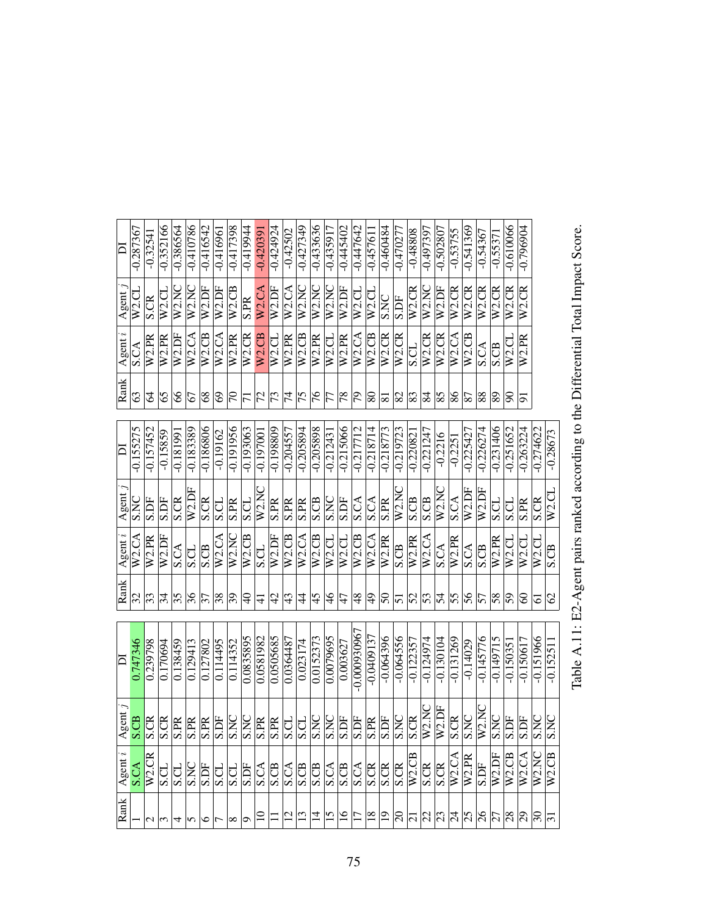| $\overline{\mathsf{d}}$ | $-0.287367$ | $-0.3254$               | $-0.352166$     | $-0.386564$     | $-0.410786$ | $-0.416542$                     | $-0.41696$    | $-0.417398$     | $-0.419944$         | $-0.42039$         | $-0.424924$        | $-0.42502$                     | $-0.427349$         | $-0.433636$                   | $-0.435917$        | $-0.445402$        | $-0.447642$        | $-0.45761$                                                                                                                          | $-0.460484$         | $-0.470277$    | $-0.48808$              | $-0.497397$             | $-0.502807$             | $-0.53755$                | $-0.541369$            | $-0.54367$             | $-0.55371$                          | $-0.610066$         | $-0.796904$         |              |                     |
|-------------------------|-------------|-------------------------|-----------------|-----------------|-------------|---------------------------------|---------------|-----------------|---------------------|--------------------|--------------------|--------------------------------|---------------------|-------------------------------|--------------------|--------------------|--------------------|-------------------------------------------------------------------------------------------------------------------------------------|---------------------|----------------|-------------------------|-------------------------|-------------------------|---------------------------|------------------------|------------------------|-------------------------------------|---------------------|---------------------|--------------|---------------------|
| Agent                   | W2.CI       | S.CR                    | W2.CL           | W2.NC           | W2.NC       | $\overline{W}$ <sub>2</sub> .DF | W2.DF         | $W2$ .CB        | S.PR                | W2.CA              | $\overline{W2.DF}$ | $\overline{W}2.CA$             | W2.NC               | $\overline{W2NC}$             | W2.NC              | W <sub>2</sub> .DF | W <sub>2.CL</sub>  | W2.CL                                                                                                                               | S.NC                | S.DF           | W2.CR                   | W2.NC                   | $\overline{W2}$ .DF     | $\overline{W2}$ .CR       | $\overline{W2}$ .CR    | $\overline{W2}$ .CR    | W <sub>2</sub> .CR                  | $\overline{W2}$ .CR | W <sub>2</sub> .CR  |              |                     |
| Agent $i$               | <b>S.CA</b> | W2.PR                   | W2.PR           | W2.DF           | W2.CA       | $\overline{W2}$ .CB             | W2.CA         | W2.PR           | $\overline{W}$ 2.CR | W <sub>2</sub> .CB | $W2$ .CL           | W2.PR                          | $\overline{W2}$ .CB | $\overline{W2.PR}$            | W2.CL              | W <sub>2</sub> .PR | W2.CA              | $W2$ .CB                                                                                                                            | W <sub>2</sub> .CR  | W2.CR          | S.CL                    | W <sub>2</sub> .CR      | $\overline{W2}$ .CR     | $\overline{\text{W2.CA}}$ | $W2$ .CB               | <b>S.CA</b>            | S.CB                                | W2.CL               | W2.PR               |              |                     |
| Rank                    | 63          | 2                       | 65              | 8               | 67          | 8 <sup>o</sup>                  | 69            | $\overline{7}$  | $\overline{7}$      | $\overline{7}$     | $\overline{73}$    | $ \vec{z} $                    | $\overline{75}$     | $\frac{9}{7}$                 | $\overline{7}$     | 78                 | 56                 | 80                                                                                                                                  | $\overline{8}$      | 82             | $\overline{\mathbb{8}}$ | 84                      | $\frac{85}{5}$          | 86                        | 87                     | $\overline{\text{88}}$ | 89                                  | $\infty$            | 5                   |              |                     |
| $\overline{\mathsf{d}}$ | $-0.155275$ | $-0.157452$             | $-0.15859$      | $-0.18199$      | $-0.183389$ | -0.186806                       | $-0.19162$    | -0.191956       | $-0.193063$         | $-0.19700$         | $-0.198809$        | $-0.204557$                    | $-0.205894$         | $-0.20588$                    | $-0.21243$         | -0.215066          | $-0.217712$        | $-0.218714$                                                                                                                         | $-0.218773$         | -0.219723      | $-0.22082$              | $-0.221247$             | $-0.2216$               | $-0.2251$                 | $-0.225427$            | $-0.226274$            | $-0.231406$                         | $-0.251652$         | $-0.263224$         | 0.274622     | $-0.28673$          |
| Agent                   | S.NC        | S.DF                    | S.DF            | <b>S.CR</b>     | W2.DF       | <b>S.CR</b>                     | S.CL          | <b>S.PR</b>     | S.CL                | W2.NC              | <b>S.PR</b>        | $\overline{\text{SPR}}$        | S.PR                | S.CB                          | <b>S.NC</b>        | S.DF               | S.CA               | S.CA                                                                                                                                | <b>S.PR</b>         | W2.NC          | <b>S.CB</b>             | <b>S.CB</b>             | W2.NC                   | $\overline{S.CA}$         | W <sub>2</sub> .DF     | W2.DF                  | S.CL                                | <b>S.CL</b>         | <b>S.PR</b>         | S.CR         | W2.CL               |
| Agent $i$               | W2.CA       | W2.PR                   | W2.DF           | <b>S.CA</b>     | S.CL        | <b>S.CB</b>                     | W2.CA         | W2.NC           | $\overline{W}2.CB$  | S.CL               | W2.DF              | W <sub>2</sub> .CB             | $\overline{W2}$ .CA | $W2$ .CB                      | W <sub>2</sub> .CL | W <sub>2</sub> .CL | $\overline{W}2.CB$ | W2.CA                                                                                                                               | $\overline{W2}$ .PR | S.CB           | W2.PR                   | W2.CA                   | S.CA                    | W2.PR                     | <b>S.CA</b>            | S.CB                   | W2.PR                               | W2.CL               | W <sub>2.CL</sub>   | W2.CL        | S.CB                |
| Rank                    | 32          | $\sqrt{3}$              | $\overline{34}$ | $\overline{35}$ | 36          | $\overline{\mathcal{E}}$        | $\frac{8}{3}$ | $\overline{39}$ | $\theta$            | $\pm$              | $\vartheta$        | $ \frac{4}{3}\rangle$          | 4                   | 45                            | $\frac{8}{4}$      | 47                 | $\frac{8}{3}$      | $\frac{9}{4}$                                                                                                                       | 50                  | $\overline{5}$ | $\overline{S}$          | 53                      | $\frac{2}{3}$           | $\overline{55}$           | 56                     | $\overline{57}$        | 58                                  | 59                  | 8                   | 5            | $\mathcal{S}$       |
| D                       | 0.747346    | 0.239798                | 0.170694        | 0.138459        | 0.129413    | 0.127802                        | 0.114495      | 0.114352        | 0.0835895           | 0.0581982          | 0.0505685          | 0.0364487                      | 0.023174            | 0.0152373                     | 0.0079695          | 0.003627           | $-0.000930967$     | $-0.0409137$                                                                                                                        | $-0.064396$         | $-0.064556$    | $-0.122357$             | $-0.124974$             | $-0.130104$             | $-0.131269$               | $-0.14029$             | $-0.145776$            | $-0.149715$                         | $-0.150351$         | $-0.150617$         | $-0.151966$  | $-0.15251$          |
| Agent.                  | S.CB        | $\overline{\mathbb{R}}$ | S.CR            | .PR             | <b>S.PR</b> | S.PR                            | S.DF          | S.NC            | S.NC<br>S.PR        |                    | <b>PR</b><br>∽     | S.CL                           | S.CL                | S.NC                          | S.NC               | <b>S.DF</b>        | S.DF               | S.PR                                                                                                                                | S.DF                | S.NC           | $\overline{\text{S.R}}$ | W2NC                    | $\overline{W2.DF}$      | <b>S.CR</b>               | E                      | W2NC                   | S.NC                                | S.DF                | S.DF                | <b>S.NC</b>  | E                   |
| Agent                   | <b>S.CA</b> | W2.CR                   | S.CI            | S.CI            | <b>S.NC</b> | $\frac{15}{25}$                 |               |                 | S.DF                | $rac{1}{\sqrt{2}}$ |                    | $rac{\text{C-A}}{\text{S-CB}}$ |                     | $rac{\text{CB}}{\text{S.CA}}$ |                    | S.CB               |                    | $rac{1}{\frac{1}{2}} \frac{1}{\frac{1}{2}} \frac{1}{\frac{1}{2}} \frac{1}{\frac{1}{2}} \frac{1}{\frac{1}{2}} \frac{1}{\frac{1}{2}}$ |                     |                |                         | $\overline{\text{SCR}}$ | $\overline{\text{SCR}}$ |                           | W2.CA<br>W2.PR<br>S.DF |                        | W2.DF                               | W2.CB               | $\overline{W}$ 2.CA | W2.NC        | $\overline{W2}$ .CB |
| Rank                    |             | $\mathbf{C}$            |                 |                 | n           | ७                               |               | ∞               | ٥                   |                    |                    | $\frac{12}{12}$                |                     |                               | $\frac{21}{7}$     | $\overline{16}$    | $\overline{17}$    | $\frac{8}{18}$                                                                                                                      | $\overline{5}$      | $\mathbb{S}$   |                         |                         |                         |                           |                        |                        | $ 7 $ $ 3 $ $ 4 $ $ 8 $ $ 8 $ $ 8 $ |                     | $\mathbb{S}$        | $\mathbb{S}$ | $ \Xi$              |

Table A.11: E2-Agent pairs ranked according to the Differential Total Impact Score. Table A.11: E2-Agent pairs ranked according to the Differential Total Impact Score.